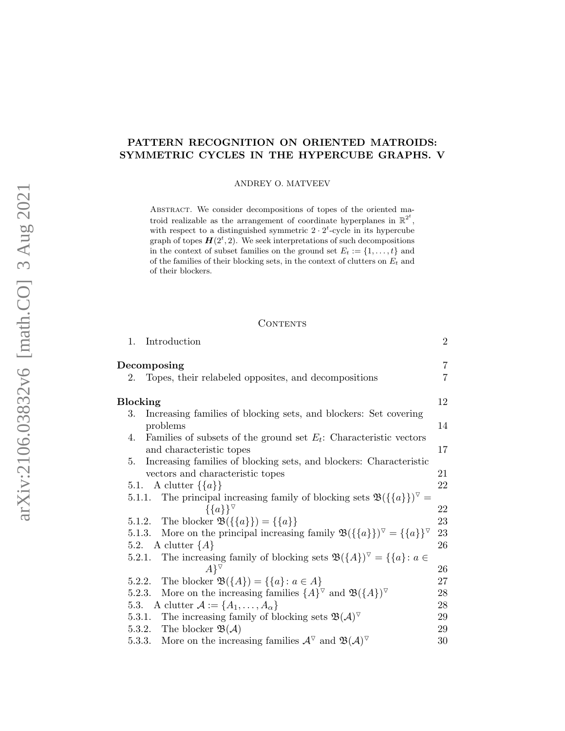# PATTERN RECOGNITION ON ORIENTED MATROIDS: SYMMETRIC CYCLES IN THE HYPERCUBE GRAPHS. V

ANDREY O. MATVEEV

ABSTRACT. We consider decompositions of topes of the oriented matroid realizable as the arrangement of coordinate hyperplanes in  $\mathbb{R}^{2^t}$ , with respect to a distinguished symmetric  $2 \cdot 2^t$ -cycle in its hypercube graph of topes  $H(2^t, 2)$ . We seek interpretations of such decompositions in the context of subset families on the ground set  $E_t := \{1, \ldots, t\}$  and of the families of their blocking sets, in the context of clutters on  $E_t$  and of their blockers.

#### **CONTENTS**

| 1.     | Introduction                                                                                                                                                                                                                                                                                                                                                                                                                                                                             | $\overline{2}$ |  |
|--------|------------------------------------------------------------------------------------------------------------------------------------------------------------------------------------------------------------------------------------------------------------------------------------------------------------------------------------------------------------------------------------------------------------------------------------------------------------------------------------------|----------------|--|
|        |                                                                                                                                                                                                                                                                                                                                                                                                                                                                                          | $\overline{7}$ |  |
| 2.     | Topes, their relabeled opposites, and decompositions                                                                                                                                                                                                                                                                                                                                                                                                                                     | $\overline{7}$ |  |
|        | Decomposing<br><b>Blocking</b><br>Increasing families of blocking sets, and blockers: Set covering<br>problems<br>Families of subsets of the ground set $E_t$ : Characteristic vectors<br>and characteristic topes<br>Increasing families of blocking sets, and blockers: Characteristic<br>vectors and characteristic topes<br>5.1. A clutter $\{\{a\}\}\$<br>5.1.1. The principal increasing family of blocking sets $\mathfrak{B}(\{\{a\}\})^{\vee} =$<br>$\{\{a\}\}^{\triangledown}$ |                |  |
| 3.     |                                                                                                                                                                                                                                                                                                                                                                                                                                                                                          |                |  |
|        |                                                                                                                                                                                                                                                                                                                                                                                                                                                                                          | 14             |  |
| 4.     |                                                                                                                                                                                                                                                                                                                                                                                                                                                                                          |                |  |
|        |                                                                                                                                                                                                                                                                                                                                                                                                                                                                                          | 17             |  |
| 5.     |                                                                                                                                                                                                                                                                                                                                                                                                                                                                                          |                |  |
|        |                                                                                                                                                                                                                                                                                                                                                                                                                                                                                          | 21             |  |
|        |                                                                                                                                                                                                                                                                                                                                                                                                                                                                                          | 22             |  |
|        |                                                                                                                                                                                                                                                                                                                                                                                                                                                                                          |                |  |
|        |                                                                                                                                                                                                                                                                                                                                                                                                                                                                                          | 22             |  |
|        | 5.1.2. The blocker $\mathfrak{B}(\{\{a\}\}) = \{\{a\}\}\$                                                                                                                                                                                                                                                                                                                                                                                                                                | 23             |  |
| 5.1.3. | More on the principal increasing family $\mathfrak{B}(\{\{a\}\})^{\vee} = \{\{a\}\}^{\vee}$                                                                                                                                                                                                                                                                                                                                                                                              | 23             |  |
|        | 5.2. A clutter $\{A\}$                                                                                                                                                                                                                                                                                                                                                                                                                                                                   | 26             |  |
| 5.2.1. | The increasing family of blocking sets $\mathfrak{B}(\lbrace A \rbrace)^{\triangledown} = \lbrace \lbrace a \rbrace : a \in$                                                                                                                                                                                                                                                                                                                                                             |                |  |
|        | $A$ <sup><math>\triangledown</math></sup>                                                                                                                                                                                                                                                                                                                                                                                                                                                | 26             |  |
| 5.2.2. | The blocker $\mathfrak{B}(\lbrace A \rbrace) = \lbrace \lbrace a \rbrace : a \in A \rbrace$                                                                                                                                                                                                                                                                                                                                                                                              | 27             |  |
| 5.2.3. | More on the increasing families $\{A\}^{\nabla}$ and $\mathfrak{B}(\{A\})^{\nabla}$                                                                                                                                                                                                                                                                                                                                                                                                      | 28             |  |
|        | 5.3. A clutter $\mathcal{A} := \{A_1, \ldots, A_\alpha\}$                                                                                                                                                                                                                                                                                                                                                                                                                                | 28             |  |
|        | 5.3.1. The increasing family of blocking sets $\mathfrak{B}(\mathcal{A})^{\triangledown}$                                                                                                                                                                                                                                                                                                                                                                                                | 29             |  |
| 5.3.2. | The blocker $\mathfrak{B}(\mathcal{A})$                                                                                                                                                                                                                                                                                                                                                                                                                                                  | 29             |  |
| 5.3.3. | More on the increasing families $\mathcal{A}^{\nabla}$ and $\mathfrak{B}(\mathcal{A})^{\nabla}$                                                                                                                                                                                                                                                                                                                                                                                          | 30             |  |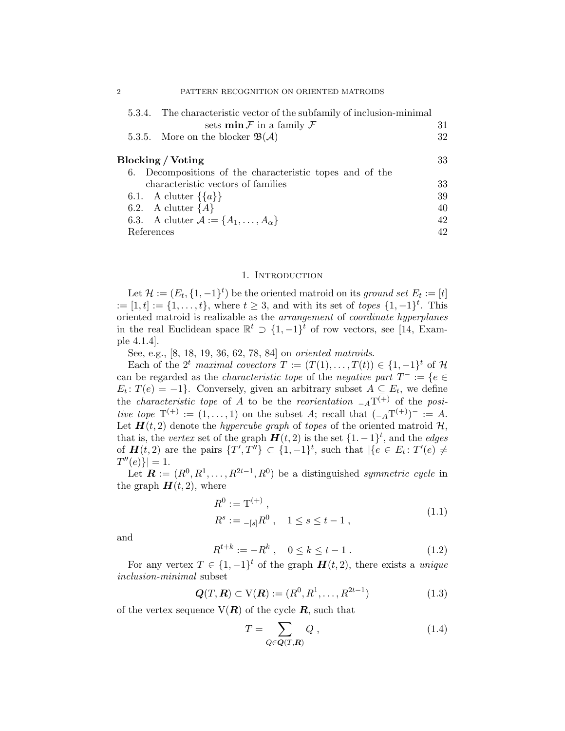| 5.3.4. The characteristic vector of the subfamily of inclusion-minimal |    |
|------------------------------------------------------------------------|----|
| sets $\min \mathcal{F}$ in a family $\mathcal{F}$                      | 31 |
| 5.3.5. More on the blocker $\mathfrak{B}(\mathcal{A})$                 | 32 |
|                                                                        |    |
| Blocking / Voting                                                      | 33 |
| 6. Decompositions of the characteristic topes and of the               |    |
| characteristic vectors of families                                     | 33 |
| 6.1. A clutter $\{\{a\}\}\$                                            | 39 |
| 6.2. A clutter ${A}$                                                   | 40 |
| 6.3. A clutter $\mathcal{A} := \{A_1, \ldots, A_\alpha\}$              | 42 |
| References                                                             | 42 |

#### 1. INTRODUCTION

<span id="page-1-0"></span>Let  $\mathcal{H} := (E_t, \{1, -1\}^t)$  be the oriented matroid on its ground set  $E_t := [t]$  $:= [1, t] := \{1, \ldots, t\}$ , where  $t \geq 3$ , and with its set of *topes*  $\{1, -1\}^t$ . This oriented matroid is realizable as the arrangement of coordinate hyperplanes in the real Euclidean space  $\mathbb{R}^t \supset \{1, -1\}^t$  of row vectors, see [\[14,](#page-42-0) Example 4.1.4].

See, e.g., [\[8,](#page-42-1) [18,](#page-42-2) [19,](#page-42-3) [36,](#page-43-0) [62,](#page-44-0) [78,](#page-45-0) [84\]](#page-45-1) on oriented matroids.

Each of the  $2^t$  maximal covectors  $T := (T(1), \ldots, T(t)) \in \{1, -1\}^t$  of  $\mathcal{H}$ can be regarded as the *characteristic tope* of the *negative part*  $T^- := \{e \in$  $E_t$ :  $T(e) = -1$ . Conversely, given an arbitrary subset  $A \subseteq E_t$ , we define the *characteristic tope* of A to be the *reorientation*  $_{-A}T^{(+)}$  of the *posi*tive tope  $T^{(+)} := (1, \ldots, 1)$  on the subset A; recall that  $\binom{-A T^{(+)}}{=} = A$ . Let  $H(t, 2)$  denote the *hypercube graph* of *topes* of the oriented matroid  $H$ , that is, the vertex set of the graph  $H(t, 2)$  is the set  $\{1, -1\}^t$ , and the edges of  $\mathbf{H}(t,2)$  are the pairs  $\{T',T''\}\subset \{1,-1\}^t$ , such that  $|\{e \in E_t: T'(e) \neq \emptyset\}|$  $T''(e)$ }| = 1.

Let  $\mathbf{R} := (R^0, R^1, \ldots, R^{2t-1}, R^0)$  be a distinguished symmetric cycle in the graph  $H(t, 2)$ , where

$$
R^{0} := T^{(+)},
$$
  
\n
$$
R^{s} := {}_{-[s]}R^{0}, \quad 1 \le s \le t - 1,
$$
\n(1.1)

<span id="page-1-2"></span>and

<span id="page-1-3"></span>
$$
R^{t+k} := -R^k \ , \quad 0 \le k \le t-1 \ . \tag{1.2}
$$

For any vertex  $T \in \{1, -1\}^t$  of the graph  $H(t, 2)$ , there exists a *unique* inclusion-minimal subset

<span id="page-1-4"></span>
$$
Q(T, R) \subset V(R) := (R^0, R^1, \dots, R^{2t-1})
$$
\n(1.3)

of the vertex sequence  $V(R)$  of the cycle R, such that

<span id="page-1-1"></span>
$$
T = \sum_{Q \in \mathbf{Q}(T,\mathbf{R})} Q \,, \tag{1.4}
$$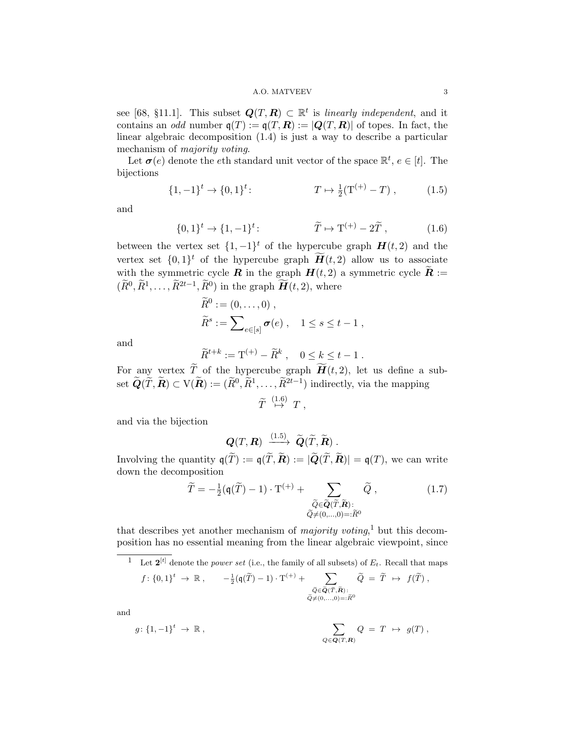see [\[68,](#page-45-2) §11.1]. This subset  $Q(T, R) \subset \mathbb{R}^t$  is linearly independent, and it contains an *odd* number  $q(T) := q(T, R) := |Q(T, R)|$  of topes. In fact, the linear algebraic decomposition [\(1.4\)](#page-1-1) is just a way to describe a particular mechanism of majority voting.

Let  $\sigma(e)$  denote the eth standard unit vector of the space  $\mathbb{R}^t$ ,  $e \in [t]$ . The bijections

$$
\{1, -1\}^t \to \{0, 1\}^t: \qquad T \mapsto \frac{1}{2}(T^{(+)} - T) , \qquad (1.5)
$$

and

$$
\{0,1\}^t \to \{1,-1\}^t: \qquad \qquad \widetilde{T} \mapsto \mathcal{T}^{(+)} - 2\widetilde{T} , \qquad (1.6)
$$

between the vertex set  $\{1, -1\}^t$  of the hypercube graph  $H(t, 2)$  and the vertex set  $\{0,1\}^t$  of the hypercube graph  $\widetilde{H}(t,2)$  allow us to associate with the symmetric cycle **R** in the graph  $H(t, 2)$  a symmetric cycle  $\widetilde{R}$  :=  $(\widetilde{R}^0, \widetilde{R}^1, \ldots, \widetilde{R}^{2t-1}, \widetilde{R}^0)$  in the graph  $\widetilde{H}(t, 2)$ , where

<span id="page-2-1"></span><span id="page-2-0"></span>
$$
\widetilde{R}^0 := (0, \dots, 0) ,
$$
  

$$
\widetilde{R}^s := \sum_{e \in [s]} \sigma(e) , \quad 1 \le s \le t - 1 ,
$$

and

$$
\widetilde{R}^{t+k}:=\mathbf{T}^{(+)}-\widetilde{R}^k\;,\quad 0\leq k\leq t-1\;.
$$

For any vertex T of the hypercube graph  $H(t, 2)$ , let us define a subset  $\widetilde{Q}(\widetilde{T}, \widetilde{R}) \subset V(\widetilde{R}) := (\widetilde{R}^0, \widetilde{R}^1, \ldots, \widetilde{R}^{2t-1})$  indirectly, via the mapping

$$
\widetilde{T} \stackrel{(1.6)}{\mapsto} T ,
$$

and via the bijection

$$
\mathbf{Q}(T,\mathbf{R}) \xrightarrow{(1.5)} \widetilde{\mathbf{Q}}(\widetilde{T},\widetilde{\mathbf{R}}).
$$

Involving the quantity  $q(\widetilde{T}) := q(\widetilde{T}, \widetilde{R}) := |\widetilde{Q}(\widetilde{T}, \widetilde{R})| = q(T)$ , we can write down the decomposition

<span id="page-2-3"></span>
$$
\widetilde{T} = -\frac{1}{2}(\mathfrak{q}(\widetilde{T}) - 1) \cdot \mathbf{T}^{(+)} + \sum_{\substack{\widetilde{Q} \in \widetilde{\mathbf{Q}}(\widetilde{T}, \widetilde{\mathbf{R}}): \\ \widetilde{Q} \neq (0, \dots, 0) = : \widetilde{R}^0}} \widetilde{Q},
$$
\n(1.7)

that describes yet another mechanism of *majority voting*,<sup>[1](#page-2-2)</sup> but this decomposition has no essential meaning from the linear algebraic viewpoint, since

<span id="page-2-2"></span><sup>1</sup> Let  $2^{[t]}$  denote the *power set* (i.e., the family of all subsets) of  $E_t$ . Recall that maps

$$
f: \{0,1\}^t \to \mathbb{R} \,, \qquad -\frac{1}{2}(\mathfrak{q}(\widetilde{T})-1) \cdot \mathbf{T}^{(+)} + \sum_{\substack{\widetilde{Q} \in \widetilde{\mathbf{Q}}(\widetilde{T}, \widetilde{\mathbf{R}}) : \\ \widetilde{Q} \neq (0,\ldots,0)=:\widetilde{R}^0}} \widetilde{Q} = \widetilde{T} \ \mapsto \ f(\widetilde{T}) \,,
$$

and

$$
g\colon \{1,-1\}^t \to \mathbb{R} \;, \qquad \qquad \sum_{Q\in \mathbf{Q}(T,\mathbf{R})} Q = T \ \mapsto \ g(T) \;,
$$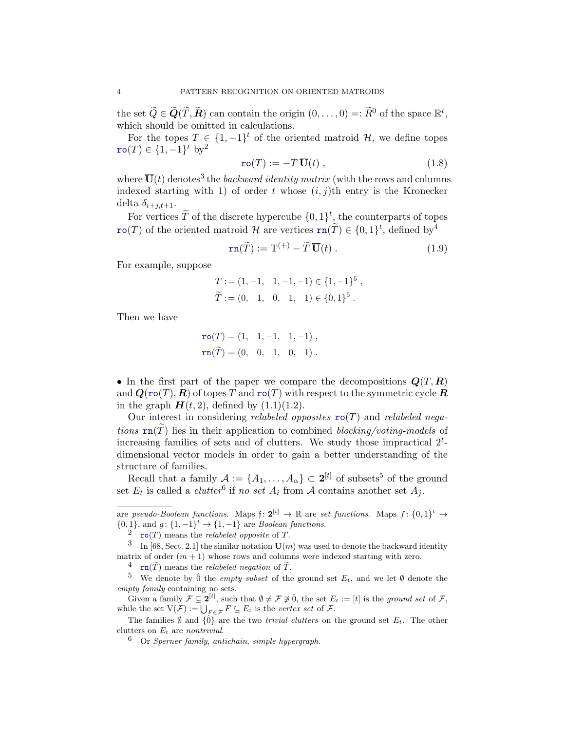the set  $\widetilde{Q} \in \widetilde{Q}(\widetilde{T}, \widetilde{R})$  can contain the origin  $(0, \ldots, 0) =: \widetilde{R}^0$  of the space  $\mathbb{R}^t$ , which should be omitted in calculations.

For the topes  $T \in \{1, -1\}^t$  of the oriented matroid  $\mathcal{H}$ , we define topes  $\texttt{ro}(T) \in \{1, -1\}^t \text{ by}^2$  $\texttt{ro}(T) \in \{1, -1\}^t \text{ by}^2$ 

<span id="page-3-6"></span>
$$
\mathbf{ro}(T) := -T \, \overline{\mathbf{U}}(t) \;, \tag{1.8}
$$

where  $\overline{\mathbf{U}}(t)$  denotes<sup>[3](#page-3-1)</sup> the *backward identity matrix* (with the rows and columns indexed starting with 1) of order t whose  $(i, j)$ th entry is the Kronecker delta  $\delta_{i+j,t+1}$ .

For vertices  $\widetilde{T}$  of the discrete hypercube  $\{0,1\}^t$ , the counterparts of topes ro(T) of the oriented matroid H are vertices  $\text{rn}(\tilde{T}) \in \{0, 1\}^t$ , defined by<sup>[4](#page-3-2)</sup>

<span id="page-3-5"></span>
$$
\mathbf{rn}(\widetilde{T}) := \mathbf{T}^{(+)} - \widetilde{T}\,\overline{\mathbf{U}}(t) \,. \tag{1.9}
$$

For example, suppose

$$
T := (1, -1, 1, -1, -1) \in \{1, -1\}^{5},
$$
  

$$
\widetilde{T} := (0, 1, 0, 1, 1) \in \{0, 1\}^{5}.
$$

Then we have

$$
\mathbf{ro}(T) = (1, 1, -1, 1, -1),
$$
  

$$
\mathbf{rn}(\widetilde{T}) = (0, 0, 1, 0, 1).
$$

• In the first part of the paper we compare the decompositions  $\mathbf{Q}(T,\mathbf{R})$ and  $Q(\text{ro}(T), R)$  of topes T and  $\text{ro}(T)$  with respect to the symmetric cycle R in the graph  $H(t, 2)$ , defined by  $(1.1)(1.2)$  $(1.1)(1.2)$ .

Our interest in considering relabeled opposites  $\text{ro}(T)$  and relabeled negations  $\text{rn}(T)$  lies in their application to combined blocking/voting-models of increasing families of sets and of clutters. We study those impractical  $2<sup>t</sup>$ dimensional vector models in order to gain a better understanding of the structure of families.

Recall that a family  $\mathcal{A} := \{A_1, \ldots, A_\alpha\} \subset \mathbf{2}^{[t]}$  of subsets<sup>[5](#page-3-3)</sup> of the ground set  $E_t$  is called a *clutter*<sup>[6](#page-3-4)</sup> if no set  $A_i$  from  $A$  contains another set  $A_j$ .

are pseudo-Boolean functions. Maps  $f: 2^{[t]} \to \mathbb{R}$  are set functions. Maps  $f: \{0,1\}^t \to$  $\{0,1\}$ , and  $g: \{1,-1\}^t \rightarrow \{1,-1\}$  are *Boolean functions*.

<span id="page-3-1"></span><span id="page-3-0"></span> $2 \cdot \text{ro}(T)$  means the *relabeled opposite* of T.

<sup>&</sup>lt;sup>3</sup> In [\[68,](#page-45-2) Sect. 2.1] the similar notation  $\mathbf{U}(m)$  was used to denote the backward identity matrix of order  $(m + 1)$  whose rows and columns were indexed starting with zero.

<span id="page-3-3"></span><span id="page-3-2"></span><sup>&</sup>lt;sup>4</sup> rn( $\widetilde{T}$ ) means the *relabeled negation* of  $\widetilde{T}$ .

<sup>&</sup>lt;sup>5</sup> We denote by  $\hat{0}$  the *empty subset* of the ground set  $E_t$ , and we let  $\emptyset$  denote the empty family containing no sets.

Given a family  $\mathcal{F} \subseteq 2^{[t]}$ , such that  $\emptyset \neq \mathcal{F} \neq \hat{0}$ , the set  $E_t := [t]$  is the ground set of  $\mathcal{F}$ , while the set  $V(\mathcal{F}) := \bigcup_{F \in \mathcal{F}} F \subseteq E_t$  is the vertex set of  $\mathcal{F}$ .

The families  $\emptyset$  and  $\{\hat{0}\}\$ are the two *trivial clutters* on the ground set  $E_t$ . The other clutters on  $E_t$  are nontrivial.

<span id="page-3-4"></span> $6$  Or *Sperner family, antichain, simple hypergraph.*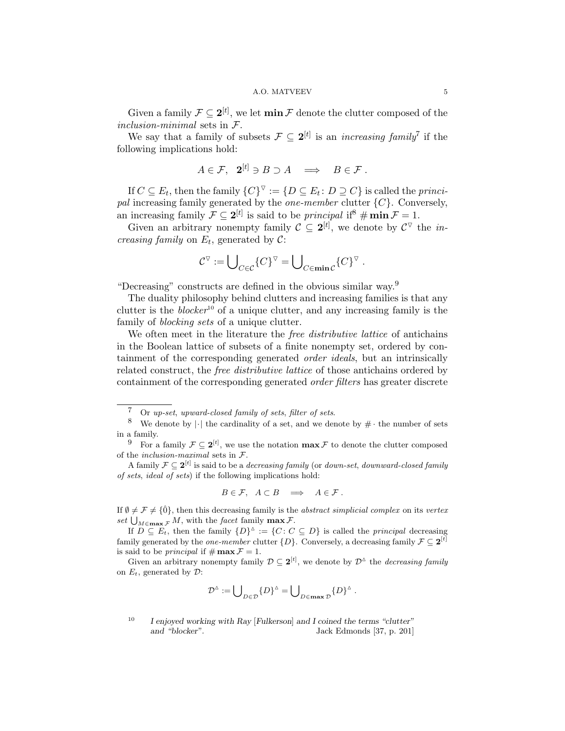Given a family  $\mathcal{F} \subseteq 2^{[t]}$ , we let  $\min \mathcal{F}$  denote the clutter composed of the inclusion-minimal sets in F.

We say that a family of subsets  $\mathcal{F} \subseteq 2^{[t]}$  is an *increasing family*<sup>[7](#page-4-0)</sup> if the following implications hold:

$$
A\in\mathcal{F},\ \ \mathbf{2}^{[t]}\ni B\supset A\ \ \Longrightarrow\ \ B\in\mathcal{F}.
$$

If  $C \subseteq E_t$ , then the family  $\{C\}^\nabla := \{D \subseteq E_t : D \supseteq C\}$  is called the *princi*pal increasing family generated by the *one-member* clutter  $\{C\}$ . Conversely, an increasing family  $\mathcal{F} \subseteq 2^{[t]}$  is said to be *principal* if  $\#\min \mathcal{F} = 1$ .

Given an arbitrary nonempty family  $C \subseteq 2^{[t]}$ , we denote by  $C^{\triangledown}$  the *increasing family* on  $E_t$ , generated by  $C$ :

$$
\mathcal{C}^\triangledown:=\bigcup\nolimits_{C\in\mathcal{C}}\{C\}^\triangledown=\bigcup\nolimits_{C\in\min\mathcal{C}}\{C\}^\triangledown.
$$

"Decreasing" constructs are defined in the obvious similar way.[9](#page-4-2)

The duality philosophy behind clutters and increasing families is that any clutter is the *blocker*<sup>[10](#page-4-3)</sup> of a unique clutter, and any increasing family is the family of *blocking sets* of a unique clutter.

We often meet in the literature the *free distributive lattice* of antichains in the Boolean lattice of subsets of a finite nonempty set, ordered by containment of the corresponding generated order ideals, but an intrinsically related construct, the free distributive lattice of those antichains ordered by containment of the corresponding generated order filters has greater discrete

$$
B\in\mathcal{F}, A\subset B \implies A\in\mathcal{F}.
$$

If  $\emptyset \neq \mathcal{F} \neq \{0\}$ , then this decreasing family is the *abstract simplicial complex* on its vertex set  $\bigcup_{M\in \max \mathcal{F}} M$ , with the facet family  $\max \mathcal{F}$ .

If  $D \subseteq E_t$ , then the family  $\{D\}^{\Delta} := \{C : C \subseteq D\}$  is called the *principal* decreasing family generated by the *one-member* clutter  $\{D\}$ . Conversely, a decreasing family  $\mathcal{F} \subseteq 2^{[t]}$ is said to be *principal* if  $\#\max \mathcal{F} = 1$ .

Given an arbitrary nonempty family  $\mathcal{D} \subseteq 2^{[t]}$ , we denote by  $\mathcal{D}^{\Delta}$  the *decreasing family* on  $E_t$ , generated by  $\mathcal{D}$ :

$$
\mathcal{D}^{\vartriangle}:=\bigcup\nolimits_{D\in\mathcal{D}}\{D\}^{\vartriangle}=\bigcup\nolimits_{D\in\max\mathcal{D}}\{D\}^{\vartriangle}~.
$$

<span id="page-4-1"></span><span id="page-4-0"></span><sup>7</sup> Or up-set, upward-closed family of sets, filter of sets.

<sup>&</sup>lt;sup>8</sup> We denote by  $|\cdot|$  the cardinality of a set, and we denote by  $\#\cdot$  the number of sets in a family.

<span id="page-4-2"></span><sup>&</sup>lt;sup>9</sup> For a family  $\mathcal{F} \subseteq 2^{[t]}$ , we use the notation  $\max \mathcal{F}$  to denote the clutter composed of the *inclusion-maximal* sets in  $\mathcal{F}$ .

A family  $\mathcal{F} \subseteq 2^{[t]}$  is said to be a *decreasing family* (or *down-set, downward-closed family* of sets, ideal of sets) if the following implications hold:

<span id="page-4-3"></span><sup>&</sup>lt;sup>10</sup> I enjoyed working with Ray [Fulkerson] and I coined the terms "clutter" and "blocker". Jack Edmonds [\[37,](#page-43-1) p. 201]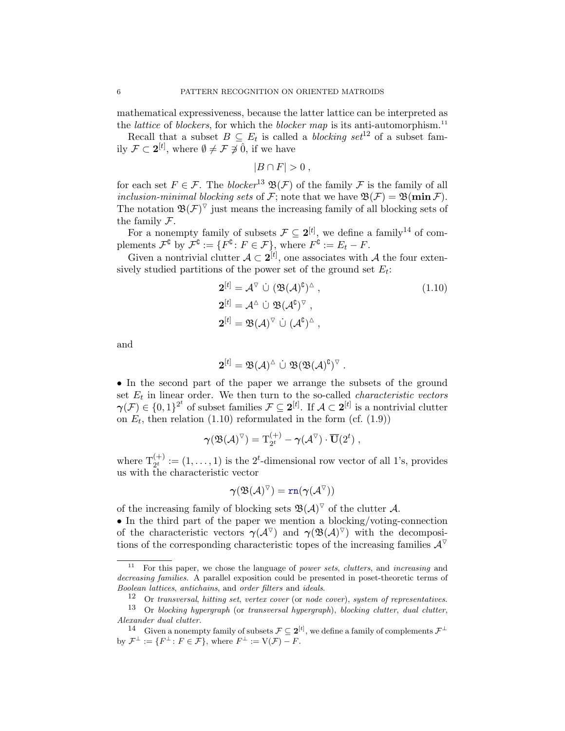mathematical expressiveness, because the latter lattice can be interpreted as the *lattice* of *blockers*, for which the *blocker map* is its anti-automorphism.<sup>[11](#page-5-0)</sup>

Recall that a subset  $B \subseteq E_t$  is called a *blocking set*<sup>[12](#page-5-1)</sup> of a subset family  $\mathcal{F} \subset \mathbf{2}^{[t]}$ , where  $\emptyset \neq \mathcal{F} \not\ni \hat{0}$ , if we have

<span id="page-5-4"></span>
$$
|B \cap F| > 0,
$$

for each set  $F \in \mathcal{F}$ . The *blocker*<sup>[13](#page-5-2)</sup>  $\mathfrak{B}(\mathcal{F})$  of the family  $\mathcal F$  is the family of all inclusion-minimal blocking sets of F; note that we have  $\mathfrak{B}(\mathcal{F}) = \mathfrak{B}(\min \mathcal{F})$ . The notation  $\mathfrak{B}(\mathcal{F})^{\triangledown}$  just means the increasing family of all blocking sets of the family F.

For a nonempty family of subsets  $\mathcal{F} \subseteq 2^{[t]}$ , we define a family<sup>[14](#page-5-3)</sup> of complements  $\mathcal{F}^{\complement}$  by  $\mathcal{F}^{\complement} := \{ F^{\complement} \colon F \in \mathcal{F} \}$ , where  $F^{\complement} := E_t - F$ .

Given a nontrivial clutter  $A \subset 2^{[t]}$ , one associates with A the four extensively studied partitions of the power set of the ground set  $E_t$ :

$$
2^{[t]} = \mathcal{A}^{\nabla} \dot{\cup} (\mathfrak{B}(\mathcal{A})^{\mathfrak{C}})^{\Delta} ,
$$
  
\n
$$
2^{[t]} = \mathcal{A}^{\Delta} \dot{\cup} \mathfrak{B}(\mathcal{A}^{\mathfrak{C}})^{\nabla} ,
$$
  
\n
$$
2^{[t]} = \mathfrak{B}(\mathcal{A})^{\nabla} \dot{\cup} (\mathcal{A}^{\mathfrak{C}})^{\Delta} ,
$$
\n(1.10)

and

$$
\mathbf{2}^{[t]} = \mathfrak{B}(\mathcal{A})^{\triangle} \stackrel{.}{\cup} \mathfrak{B}(\mathfrak{B}(\mathcal{A})^{\complement})^{\triangledown}.
$$

• In the second part of the paper we arrange the subsets of the ground set  $E_t$  in linear order. We then turn to the so-called *characteristic vectors*  $\boldsymbol{\gamma}(\mathcal{F}) \in \{0,1\}^{2^t}$  of subset families  $\mathcal{F} \subseteq 2^{[t]}$ . If  $\mathcal{A} \subset 2^{[t]}$  is a nontrivial clutter on  $E_t$ , then relation [\(1.10\)](#page-5-4) reformulated in the form (cf. [\(1.9\)](#page-3-5))

$$
\boldsymbol{\gamma}(\mathfrak{B}(\mathcal{A})^{\triangledown}) = \mathrm{T}_{2^t}^{(+)} - \boldsymbol{\gamma}(\mathcal{A}^{\triangledown}) \cdot \overline{\mathbf{U}}(2^t) ,
$$

where  $T_{2^t}^{(+)} := (1, \ldots, 1)$  is the 2<sup>*t*</sup>-dimensional row vector of all 1's, provides us with the characteristic vector

$$
\boldsymbol{\gamma}(\mathfrak{B}(\mathcal{A})^{\triangledown})=\mathtt{rn}(\boldsymbol{\gamma}(\mathcal{A}^{\triangledown}))
$$

of the increasing family of blocking sets  $\mathfrak{B}(\mathcal{A})^{\triangledown}$  of the clutter  $\mathcal{A}$ .

• In the third part of the paper we mention a blocking/voting-connection of the characteristic vectors  $\gamma(\mathcal{A}^{\vee})$  and  $\gamma(\mathfrak{B}(\mathcal{A})^{\vee})$  with the decompositions of the corresponding characteristic topes of the increasing families  $\mathcal{A}^{\triangledown}$ 

<span id="page-5-0"></span><sup>&</sup>lt;sup>11</sup> For this paper, we chose the language of *power sets, clutters*, and *increasing* and decreasing families. A parallel exposition could be presented in poset-theoretic terms of Boolean lattices, antichains, and order filters and ideals.

<span id="page-5-2"></span><span id="page-5-1"></span> $12$  Or transversal, hitting set, vertex cover (or node cover), system of representatives.

 $13$  Or blocking hypergraph (or transversal hypergraph), blocking clutter, dual clutter, Alexander dual clutter.

<span id="page-5-3"></span><sup>&</sup>lt;sup>14</sup> Given a nonempty family of subsets  $\mathcal{F} \subseteq 2^{[t]}$ , we define a family of complements  $\mathcal{F}^{\perp}$ by  $\mathcal{F}^{\perp} := \{ F^{\perp} \colon F \in \mathcal{F} \}, \text{ where } F^{\perp} := V(\mathcal{F}) - F.$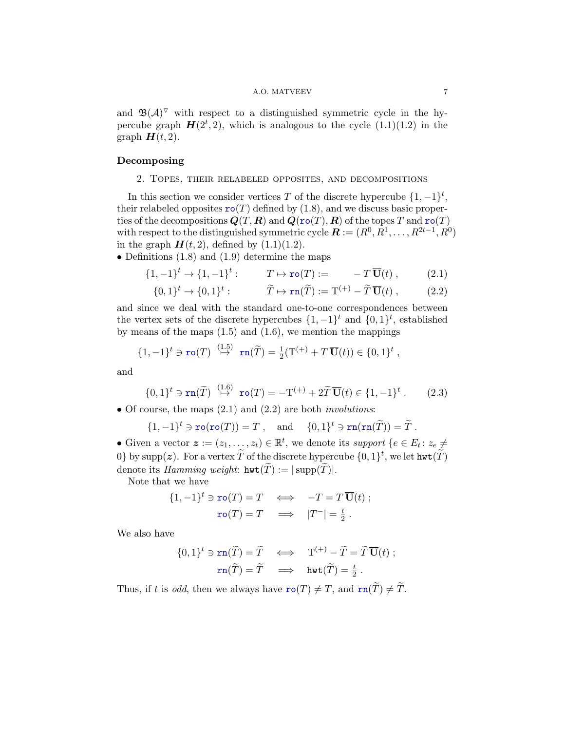#### <span id="page-6-3"></span><span id="page-6-2"></span>A.O. MATVEEV 7

and  $\mathfrak{B}(\mathcal{A})^{\nabla}$  with respect to a distinguished symmetric cycle in the hypercube graph  $H(2^t, 2)$ , which is analogous to the cycle  $(1.1)(1.2)$  $(1.1)(1.2)$  in the graph  $H(t, 2)$ .

### <span id="page-6-1"></span><span id="page-6-0"></span>Decomposing

#### 2. Topes, their relabeled opposites, and decompositions

In this section we consider vertices T of the discrete hypercube  $\{1, -1\}^t$ , their relabeled opposites  $\texttt{ro}(T)$  defined by [\(1.8\)](#page-3-6), and we discuss basic properties of the decompositions  $Q(T, R)$  and  $Q(\text{ro}(T), R)$  of the topes T and  $\text{ro}(T)$ with respect to the distinguished symmetric cycle  $\boldsymbol{R} := (R^0, R^1, \dots, R^{2t-1}, R^0)$ in the graph  $H(t, 2)$ , defined by  $(1.1)(1.2)$  $(1.1)(1.2)$ .

• Definitions  $(1.8)$  and  $(1.9)$  determine the maps

$$
\{1, -1\}^t \to \{1, -1\}^t : T \mapsto \text{ro}(T) := -T\,\overline{\mathbf{U}}(t) , \qquad (2.1)
$$

$$
\{0,1\}^t \to \{0,1\}^t: \qquad \widetilde{T} \mapsto \operatorname{rn}(\widetilde{T}) := \mathbf{T}^{(+)} - \widetilde{T}\,\overline{\mathbf{U}}(t) , \qquad (2.2)
$$

and since we deal with the standard one-to-one correspondences between the vertex sets of the discrete hypercubes  $\{1, -1\}^t$  and  $\{0, 1\}^t$ , established by means of the maps  $(1.5)$  and  $(1.6)$ , we mention the mappings

$$
\{1,-1\}^t \ni \operatorname{ro}(T) \stackrel{(1.5)}{\mapsto} \operatorname{rn}(\widetilde{T}) = \frac{1}{2}(T^{(+)} + T\overline{\mathbf{U}}(t)) \in \{0,1\}^t,
$$

and

$$
\{0,1\}^t \ni \operatorname{rn}(\widetilde{T}) \stackrel{(1.6)}{\mapsto} \operatorname{ro}(T) = -\mathbf{T}^{(+)} + 2\widetilde{T}\,\overline{\mathbf{U}}(t) \in \{1,-1\}^t \,. \tag{2.3}
$$

• Of course, the maps  $(2.1)$  and  $(2.2)$  are both *involutions*:

$$
\{1, -1\}^t \ni \operatorname{ro}(\operatorname{ro}(T)) = T , \quad \text{and} \quad \{0, 1\}^t \ni \operatorname{rn}(\operatorname{rn}(\widetilde{T})) = \widetilde{T} .
$$

• Given a vector  $\boldsymbol{z} := (z_1, \ldots, z_t) \in \mathbb{R}^t$ , we denote its support  $\{e \in E_t : z_e \neq 0\}$ 0} by supp(z). For a vertex  $\widetilde{T}$  of the discrete hypercube  $\{0,1\}^t$ , we let  $\text{hwt}(\widetilde{T})$ denote its Hamming weight:  $hwt(\widetilde{T}) := |\text{supp}(\widetilde{T})|$ .

Note that we have

<span id="page-6-4"></span>
$$
\{1, -1\}^t \ni \operatorname{ro}(T) = T \iff -T = T \overline{\mathbf{U}}(t) ;
$$

$$
\operatorname{ro}(T) = T \iff |T^-| = \frac{t}{2} .
$$

We also have

$$
\{0,1\}^t \ni \operatorname{rn}(\widetilde{T}) = \widetilde{T} \iff \operatorname{T}^{(+)} - \widetilde{T} = \widetilde{T} \, \overline{\mathbf{U}}(t) ;
$$

$$
\operatorname{rn}(\widetilde{T}) = \widetilde{T} \implies \operatorname{hwt}(\widetilde{T}) = \frac{t}{2} .
$$

Thus, if t is odd, then we always have  $\text{ro}(T) \neq T$ , and  $\text{rn}(\widetilde{T}) \neq \widetilde{T}$ .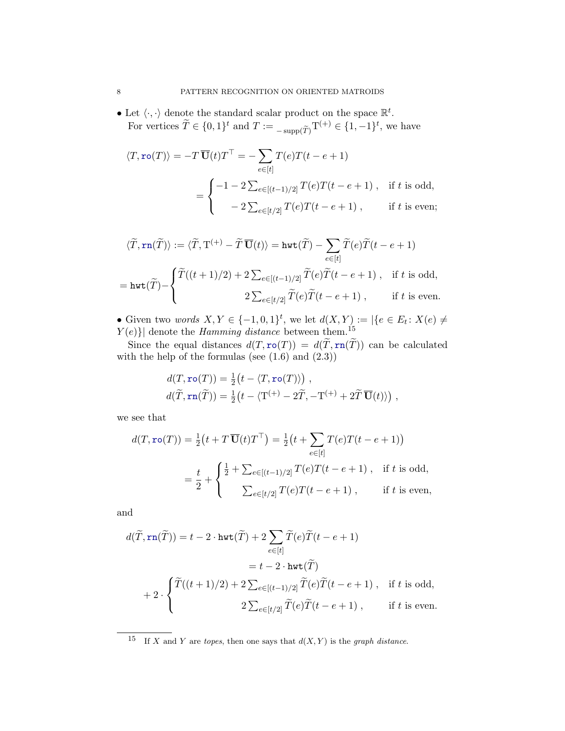• Let  $\langle \cdot, \cdot \rangle$  denote the standard scalar product on the space  $\mathbb{R}^t$ . For vertices  $\widetilde{T} \in \{0,1\}^t$  and  $T := \sup_{\widetilde{T}}(\widetilde{T})$   $T^{(+)} \in \{1, -1\}^t$ , we have

$$
\langle T, \text{ro}(T) \rangle = -T \overline{\mathbf{U}}(t) T^{\top} = -\sum_{e \in [t]} T(e) T(t - e + 1)
$$

$$
= \begin{cases} -1 - 2 \sum_{e \in [(t-1)/2]} T(e) T(t - e + 1), & \text{if } t \text{ is odd,} \\ -2 \sum_{e \in [t/2]} T(e) T(t - e + 1), & \text{if } t \text{ is even;} \end{cases}
$$

$$
\langle \widetilde{T}, \operatorname{rn}(\widetilde{T}) \rangle := \langle \widetilde{T}, \operatorname{T}^{(+)} - \widetilde{T} \, \overline{\mathbf{U}}(t) \rangle = \operatorname{hwt}(\widetilde{T}) - \sum_{e \in [t]} \widetilde{T}(e) \widetilde{T}(t - e + 1)
$$
  
= 
$$
\operatorname{hwt}(\widetilde{T}) - \begin{cases} \widetilde{T}((t+1)/2) + 2 \sum_{e \in [(t-1)/2]} \widetilde{T}(e) \widetilde{T}(t - e + 1), & \text{if } t \text{ is odd,} \\ 2 \sum_{e \in [t/2]} \widetilde{T}(e) \widetilde{T}(t - e + 1), & \text{if } t \text{ is even.} \end{cases}
$$

• Given two words  $X, Y \in \{-1, 0, 1\}^t$ , we let  $d(X, Y) := |\{e \in E_t \colon X(e) \neq \emptyset\}|$  $|Y(e)|$  denote the *Hamming distance* between them.<sup>[15](#page-7-0)</sup>

Since the equal distances  $d(T, \text{ro}(T)) = d(\tilde{T}, \text{rn}(\tilde{T}))$  can be calculated with the help of the formulas (see  $(1.6)$  and  $(2.3)$ )

$$
d(T, \text{ro}(T)) = \frac{1}{2} \big( t - \langle T, \text{ro}(T) \rangle \big) ,
$$
  

$$
d(\widetilde{T}, \text{rn}(\widetilde{T})) = \frac{1}{2} \big( t - \langle T^{(+)} - 2\widetilde{T}, -T^{(+)} + 2\widetilde{T} \overline{\mathbf{U}}(t) \rangle \big) ,
$$

we see that

$$
d(T, \text{ro}(T)) = \frac{1}{2} \left( t + T \overline{\mathbf{U}}(t) T^{\top} \right) = \frac{1}{2} \left( t + \sum_{e \in [t]} T(e) T(t - e + 1) \right)
$$
  
=  $\frac{t}{2} + \begin{cases} \frac{1}{2} + \sum_{e \in [(t-1)/2]} T(e) T(t - e + 1), & \text{if } t \text{ is odd,} \\ \sum_{e \in [t/2]} T(e) T(t - e + 1), & \text{if } t \text{ is even,} \end{cases}$ 

and

$$
d(\widetilde{T}, \text{rn}(\widetilde{T})) = t - 2 \cdot \text{hwt}(\widetilde{T}) + 2 \sum_{e \in [t]} \widetilde{T}(e)\widetilde{T}(t - e + 1)
$$
  
=  $t - 2 \cdot \text{hwt}(\widetilde{T})$   
+  $2 \cdot \begin{cases} \widetilde{T}((t+1)/2) + 2 \sum_{e \in [(t-1)/2]} \widetilde{T}(e)\widetilde{T}(t - e + 1), & \text{if } t \text{ is odd,} \\ 2 \sum_{e \in [t/2]} \widetilde{T}(e)\widetilde{T}(t - e + 1), & \text{if } t \text{ is even.} \end{cases}$ 

<span id="page-7-0"></span><sup>&</sup>lt;sup>15</sup> If X and Y are topes, then one says that  $d(X, Y)$  is the graph distance.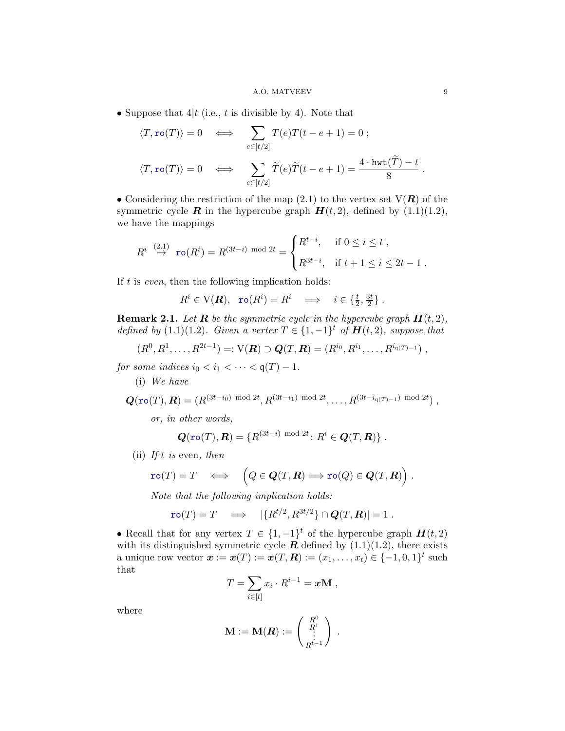#### A.O. MATVEEV 9

• Suppose that  $4|t$  (i.e., t is divisible by 4). Note that

$$
\langle T, \text{ro}(T) \rangle = 0 \iff \sum_{e \in [t/2]} T(e)T(t - e + 1) = 0 ;
$$
  

$$
\langle T, \text{ro}(T) \rangle = 0 \iff \sum_{e \in [t/2]} \widetilde{T}(e)\widetilde{T}(t - e + 1) = \frac{4 \cdot \text{hwt}(\widetilde{T}) - t}{8}.
$$

• Considering the restriction of the map  $(2.1)$  to the vertex set  $V(R)$  of the symmetric cycle **R** in the hypercube graph  $H(t, 2)$ , defined by  $(1.1)(1.2)$  $(1.1)(1.2)$ , we have the mappings

$$
R^{i} \stackrel{(2.1)}{\mapsto} \text{ro}(R^{i}) = R^{(3t-i) \mod 2t} = \begin{cases} R^{t-i}, & \text{if } 0 \leq i \leq t ,\\ R^{3t-i}, & \text{if } t+1 \leq i \leq 2t-1 . \end{cases}
$$

If  $t$  is *even*, then the following implication holds:

$$
R^i \in V(\mathbf{R}), \quad \text{ro}(R^i) = R^i \quad \Longrightarrow \quad i \in \{\frac{t}{2}, \frac{3t}{2}\} \ .
$$

**Remark 2.1.** Let **R** be the symmetric cycle in the hypercube graph  $H(t, 2)$ , defined by [\(1.1\)](#page-1-2)[\(1.2\)](#page-1-3). Given a vertex  $T \in \{1, -1\}^t$  of  $H(t, 2)$ , suppose that

$$
(R^0, R^1, \ldots, R^{2t-1}) =: \mathcal{V}(\mathbf{R}) \supset \mathbf{Q}(T, \mathbf{R}) = (R^{i_0}, R^{i_1}, \ldots, R^{i_{\mathfrak{q}(T)-1}}),
$$

for some indices  $i_0 < i_1 < \cdots < \mathfrak{q}(T) - 1$ .

(i) We have

$$
\mathbf{Q}(\mathbf{r}\mathbf{o}(T),\mathbf{R}) = (R^{(3t-i_0) \mod 2t}, R^{(3t-i_1) \mod 2t}, \ldots, R^{(3t-i_{\mathfrak{q}(T)-1}) \mod 2t}),
$$

or, in other words,

$$
\mathbf{Q}(\texttt{ro}(T), \mathbf{R}) = \{R^{(3t-i) \mod 2t} \colon R^i \in \mathbf{Q}(T, \mathbf{R})\}.
$$

(ii) If t is even, then

$$
\text{ro}(T) = T \quad \Longleftrightarrow \quad \left(Q \in \mathbf{Q}(T, \mathbf{R}) \Longrightarrow \text{ro}(Q) \in \mathbf{Q}(T, \mathbf{R})\right).
$$

Note that the following implication holds:

$$
\text{ro}(T) = T \quad \Longrightarrow \quad |\{R^{t/2}, R^{3t/2}\} \cap \mathbf{Q}(T, \mathbf{R})| = 1 \; .
$$

• Recall that for any vertex  $T \in \{1, -1\}^t$  of the hypercube graph  $H(t, 2)$ with its distinguished symmetric cycle  $\vec{R}$  defined by [\(1.1\)](#page-1-2)[\(1.2\)](#page-1-3), there exists a unique row vector  $\bm{x} := \bm{x}(T) := \bm{x}(T, \bm{R}) := (x_1, \dots, x_t) \in \{-1, 0, 1\}^t$  such that

$$
T = \sum_{i \in [t]} x_i \cdot R^{i-1} = x \mathbf{M} ,
$$

where

$$
\mathbf{M}:=\mathbf{M}(\boldsymbol{R}):=\left(\begin{array}{c} R^0 \\ R^1 \\ \vdots \\ R^{t-1} \end{array}\right)\ .
$$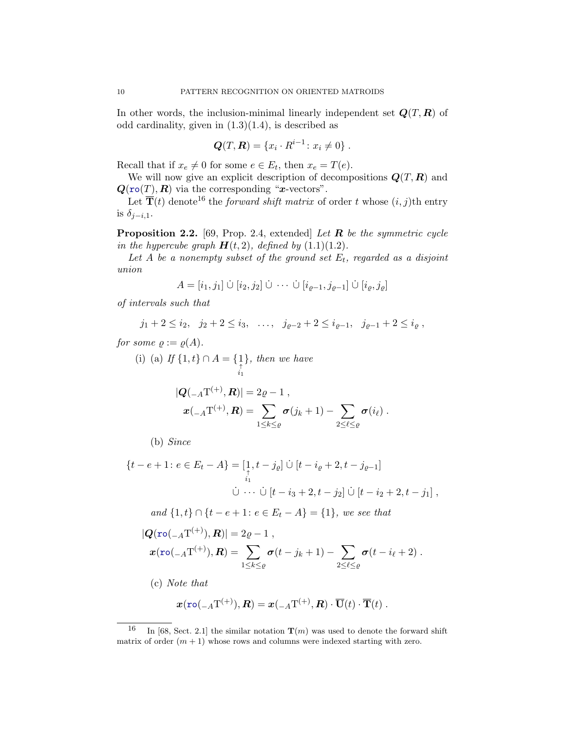In other words, the inclusion-minimal linearly independent set  $Q(T, R)$  of odd cardinality, given in  $(1.3)(1.4)$  $(1.3)(1.4)$ , is described as

$$
Q(T, R) = \{x_i \cdot R^{i-1} \colon x_i \neq 0\} .
$$

Recall that if  $x_e \neq 0$  for some  $e \in E_t$ , then  $x_e = T(e)$ .

We will now give an explicit description of decompositions  $Q(T, R)$  and  $\mathbf{Q}(\texttt{ro}(T), \mathbf{R})$  via the corresponding "*x*-vectors".

Let  $\overline{T}(t)$  denote<sup>[16](#page-9-0)</sup> the *forward shift matrix* of order t whose  $(i, j)$ th entry is  $\delta_{i-i,1}$ .

<span id="page-9-1"></span>**Proposition 2.2.** [\[69,](#page-45-3) Prop. 2.4, extended] Let  $\bf{R}$  be the symmetric cycle in the hypercube graph  $H(t, 2)$ , defined by  $(1.1)(1.2)$  $(1.1)(1.2)$ .

Let A be a nonempty subset of the ground set  $E_t$ , regarded as a disjoint union

$$
A = [i_1, j_1] \cup [i_2, j_2] \cup \cdots \cup [i_{\varrho-1}, j_{\varrho-1}] \cup [i_{\varrho}, j_{\varrho}]
$$

of intervals such that

$$
j_1 + 2 \leq i_2, \quad j_2 + 2 \leq i_3, \quad \ldots, \quad j_{\varrho-2} + 2 \leq i_{\varrho-1}, \quad j_{\varrho-1} + 2 \leq i_{\varrho},
$$

for some  $\rho := \rho(A)$ .

(i) (a) If  $\{1, t\} \cap A = \{ \begin{matrix} 1 \\ \uparrow \\ i_1 \end{matrix} \}$ }, then we have

$$
|\mathbf{Q}(_{A}T^{(+)}, \mathbf{R})| = 2\varrho - 1 ,
$$
  

$$
\mathbf{x}(_{A}T^{(+)}, \mathbf{R}) = \sum_{1 \leq k \leq \varrho} \sigma(j_k + 1) - \sum_{2 \leq \ell \leq \varrho} \sigma(i_{\ell}).
$$

(b) Since

$$
\{t - e + 1 \colon e \in E_t - A\} = \left[\begin{matrix} 1 \\ 1 \\ i_1 \end{matrix}\right] \cup \left[t - i_{\varrho} + 2, t - j_{\varrho-1}\right]
$$
  

$$
\dot{\cup} \cdots \dot{\cup} \left[t - i_3 + 2, t - j_2\right] \dot{\cup} \left[t - i_2 + 2, t - j_1\right],
$$

and  ${1, t} \cap {t - e + 1: e \in E_t - A} = {1}$ , we see that

$$
|\mathbf{Q}(\text{ro}(-A T^{(+)}), \mathbf{R})| = 2\varrho - 1,
$$
  

$$
\mathbf{x}(\text{ro}(-A T^{(+)}), \mathbf{R}) = \sum_{1 \le k \le \varrho} \sigma(t - j_k + 1) - \sum_{2 \le \ell \le \varrho} \sigma(t - i_{\ell} + 2).
$$

(c) Note that

$$
\boldsymbol{x}(\texttt{ro}(\mathcal{-}_A\mathrm{T}^{(+)}),\boldsymbol{R})=\boldsymbol{x}(\mathcal{-}_A\mathrm{T}^{(+)},\boldsymbol{R})\cdot\overline{\mathbf{U}}(t)\cdot\overline{\mathbf{T}}(t).
$$

<span id="page-9-0"></span><sup>&</sup>lt;sup>16</sup> In [\[68,](#page-45-2) Sect. 2.1] the similar notation  $\mathbf{T}(m)$  was used to denote the forward shift matrix of order  $(m + 1)$  whose rows and columns were indexed starting with zero.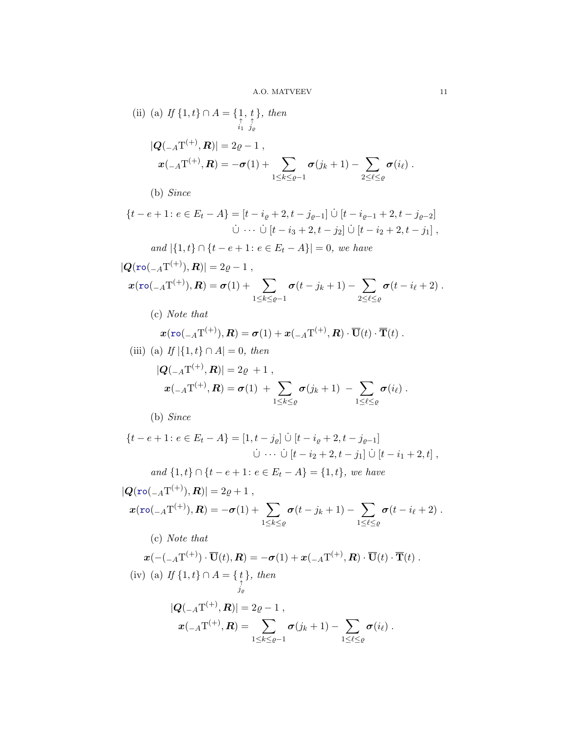(ii) (a) If 
$$
\{1, t\} \cap A = \{\underset{i_1}{\overset{\uparrow}{\underset{j_2}{\overset{\uparrow}{\underset{i_1}{\overset{\uparrow}{\underset{j_\ell}{\underset{j_\ell}{\longrightarrow}}}}}}} 1
$$
, then  
\n
$$
|Q(\underset{-A}{-\underset{i_1}{\cdot}(T^{(+)}, R)}| = 2\varrho - 1,
$$
\n
$$
x(\underset{-A}{-\underset{1}{\cdot}(T^{(+)}, R)} = -\sigma(1) + \sum_{1 \le k \le \varrho - 1} \sigma(j_k + 1) - \sum_{2 \le \ell \le \varrho} \sigma(i_\ell).
$$

(b) Since

$$
\{t - e + 1 \colon e \in E_t - A\} = [t - i_{\varrho} + 2, t - j_{\varrho-1}] \cup [t - i_{\varrho-1} + 2, t - j_{\varrho-2}]
$$
  

$$
\dot{\cup} \cdots \dot{\cup} [t - i_3 + 2, t - j_2] \dot{\cup} [t - i_2 + 2, t - j_1],
$$

and 
$$
|\{1,t\} \cap \{t-e+1 : e \in E_t - A\}| = 0
$$
, we have

$$
|\mathbf{Q}(\text{ro}(_{-A}T^{(+)}), \mathbf{R})| = 2\varrho - 1 ,\n\mathbf{x}(\text{ro}(_{-A}T^{(+)}), \mathbf{R}) = \sigma(1) + \sum_{1 \leq k \leq \varrho - 1} \sigma(t - j_k + 1) - \sum_{2 \leq \ell \leq \varrho} \sigma(t - i_{\ell} + 2) .
$$

(c) Note that

$$
\mathbf{x}(\mathbf{r}\mathbf{o}(\mathbf{v}_A \mathbf{T}^{(+)}), \mathbf{R}) = \boldsymbol{\sigma}(1) + \mathbf{x}(\mathbf{v}_A \mathbf{T}^{(+)}, \mathbf{R}) \cdot \overline{\mathbf{U}}(t) \cdot \overline{\mathbf{T}}(t).
$$
\n(iii) (a) If [1, +1, 0, 4] = 0, then

$$
(III) (a) If  $|{1, t} \cap A| = 0$ , then
$$

$$
|\mathbf{Q}(_{A}T^{(+)}, \mathbf{R})| = 2\varrho + 1 ,
$$
  

$$
\mathbf{x}(_{A}T^{(+)}, \mathbf{R}) = \sigma(1) + \sum_{1 \leq k \leq \varrho} \sigma(j_k + 1) - \sum_{1 \leq \ell \leq \varrho} \sigma(i_{\ell}).
$$

(b) Since

$$
\{t - e + 1 \colon e \in E_t - A\} = [1, t - j_\varrho] \dot{\cup} [t - i_\varrho + 2, t - j_{\varrho-1}]
$$
  

$$
\dot{\cup} \cdots \dot{\cup} [t - i_2 + 2, t - j_1] \dot{\cup} [t - i_1 + 2, t],
$$

and 
$$
\{1, t\} \cap \{t - e + 1 : e \in E_t - A\} = \{1, t\}, we have
$$

$$
|\mathbf{Q}(\text{ro}(-A\text{T}^{(+)}), \mathbf{R})| = 2\varrho + 1,
$$
  

$$
\mathbf{x}(\text{ro}(-A\text{T}^{(+)}), \mathbf{R}) = -\sigma(1) + \sum_{1 \le k \le \varrho} \sigma(t - j_k + 1) - \sum_{1 \le \ell \le \varrho} \sigma(t - i_{\ell} + 2).
$$
  
(c) Note that

$$
\mathbf{x}(-(-A\mathbf{T}^{(+)})\cdot\overline{\mathbf{U}}(t),\mathbf{R}) = -\boldsymbol{\sigma}(1) + \mathbf{x}(-A\mathbf{T}^{(+)},\mathbf{R})\cdot\overline{\mathbf{U}}(t)\cdot\overline{\mathbf{T}}(t).
$$
\n(iv) (a) If  $\{1,t\} \cap A = \{\underset{j_e}{t}\},\text{ then}$   
\n
$$
|\mathbf{Q}(-A\mathbf{T}^{(+)},\mathbf{R})| = 2\varrho - 1,
$$
  
\n
$$
\mathbf{x}(-A\mathbf{T}^{(+)},\mathbf{R}) = \sum_{1 \le k \le \varrho - 1} \boldsymbol{\sigma}(j_k + 1) - \sum_{1 \le \ell \le \varrho} \boldsymbol{\sigma}(i_\ell).
$$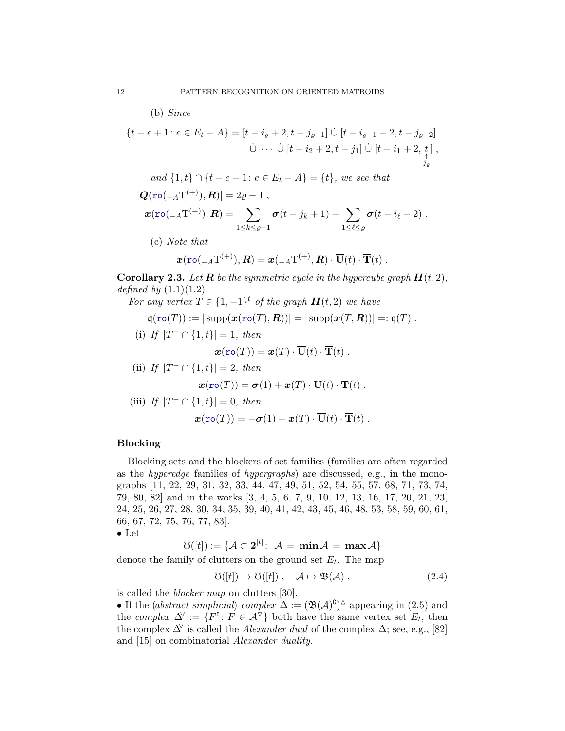(b) Since

$$
\{t - e + 1 \colon e \in E_t - A\} = [t - i_{\varrho} + 2, t - j_{\varrho-1}] \cup [t - i_{\varrho-1} + 2, t - j_{\varrho-2}]
$$
  

$$
\cup \cdots \cup [t - i_2 + 2, t - j_1] \cup [t - i_1 + 2, t],
$$
  

$$
\cup \cdots \cup [t - i_2 + 2, t - j_1] \cup [t - i_1 + 2, t],
$$

and 
$$
\{1, t\} \cap \{t - e + 1 : e \in E_t - A\} = \{t\}
$$
, we see that  
\n
$$
|\mathbf{Q}(\mathbf{ro}(_{-A}\mathbf{T}^{(+)}), \mathbf{R})| = 2\varrho - 1,
$$
\n
$$
\mathbf{x}(\mathbf{ro}(_{-A}\mathbf{T}^{(+)}), \mathbf{R}) = \sum_{1 \le k \le \varrho - 1} \sigma(t - j_k + 1) - \sum_{1 \le \ell \le \varrho} \sigma(t - i_\ell + 2).
$$
\n(c) Note that\n
$$
\mathbf{x}(\mathbf{ro}(_{-A}\mathbf{T}^{(+)}), \mathbf{R}) = \mathbf{x}(_{-A}\mathbf{T}^{(+)}, \mathbf{R}) \cdot \overline{\mathbf{U}}(t) \cdot \overline{\mathbf{T}}(t).
$$

<span id="page-11-2"></span>**Corollary 2.3.** Let **R** be the symmetric cycle in the hypercube graph  $H(t, 2)$ , defined by  $(1.1)(1.2)$  $(1.1)(1.2)$ .

For any vertex 
$$
T \in \{1, -1\}^t
$$
 of the graph  $\mathbf{H}(t, 2)$  we have  
\n
$$
\mathfrak{q}(\mathbf{r} \circ (T)) := |\operatorname{supp}(\mathbf{x}(\mathbf{r} \circ (T), \mathbf{R}))| = |\operatorname{supp}(\mathbf{x}(T, \mathbf{R}))| =: \mathfrak{q}(T) .
$$
\n(i) If  $|T - \cap \{1, t\}| = 1$ , then  
\n
$$
\mathfrak{x}(\mathbf{r} \circ (T)) = \mathfrak{x}(T) \cdot \overline{\mathbf{U}}(t) \cdot \overline{\mathbf{T}}(t) .
$$
\n(ii) If  $|T - \cap \{1, t\}| = 2$ , then  
\n
$$
\mathfrak{x}(\mathbf{r} \circ (T)) = \sigma(1) + \mathfrak{x}(T) \cdot \overline{\mathbf{U}}(t) \cdot \overline{\mathbf{T}}(t) .
$$
\n(iii) If  $|T - \cap \{1, t\}| = 0$ , then  
\n
$$
\mathfrak{x}(\mathbf{r} \circ (T)) = -\sigma(1) + \mathfrak{x}(T) \cdot \overline{\mathbf{U}}(t) \cdot \overline{\mathbf{T}}(t) .
$$

### <span id="page-11-0"></span>Blocking

Blocking sets and the blockers of set families (families are often regarded as the hyperedge families of hypergraphs) are discussed, e.g., in the monographs [\[11,](#page-42-4) [22,](#page-42-5) [29,](#page-43-2) [31,](#page-43-3) [32,](#page-43-4) [33,](#page-43-5) [44,](#page-43-6) [47,](#page-44-1) [49,](#page-44-2) [51,](#page-44-3) [52,](#page-44-4) [54,](#page-44-5) [55,](#page-44-6) [57,](#page-44-7) [68,](#page-45-2) [71,](#page-45-4) [73,](#page-45-5) [74,](#page-45-6) [79,](#page-45-7) [80,](#page-45-8) [82\]](#page-45-9) and in the works [\[3,](#page-41-2) [4,](#page-41-3) [5,](#page-42-6) [6,](#page-42-7) [7,](#page-42-8) [9,](#page-42-9) [10,](#page-42-10) [12,](#page-42-11) [13,](#page-42-12) [16,](#page-42-13) [17,](#page-42-14) [20,](#page-42-15) [21,](#page-42-16) [23,](#page-42-17) [24,](#page-42-18) [25,](#page-43-7) [26,](#page-43-8) [27,](#page-43-9) [28,](#page-43-10) [30,](#page-43-11) [34,](#page-43-12) [35,](#page-43-13) [39,](#page-43-14) [40,](#page-43-15) [41,](#page-43-16) [42,](#page-43-17) [43,](#page-43-18) [45,](#page-44-8) [46,](#page-44-9) [48,](#page-44-10) [53,](#page-44-11) [58,](#page-44-12) [59,](#page-44-13) [60,](#page-44-14) [61,](#page-44-15) [66,](#page-45-10) [67,](#page-45-11) [72,](#page-45-12) [75,](#page-45-13) [76,](#page-45-14) [77,](#page-45-15) [83\]](#page-45-16).

$$
\bullet \ \mathrm{Let}
$$

$$
\mho([t]):=\{\mathcal{A}\subset \mathbf{2}^{[t]}\colon \; \mathcal{A}\,=\, \min \mathcal{A}\,=\, \max \mathcal{A}\}
$$

denote the family of clutters on the ground set  $E_t$ . The map

<span id="page-11-1"></span>
$$
\mathcal{O}([t]) \to \mathcal{O}([t]) , \quad \mathcal{A} \mapsto \mathfrak{B}(\mathcal{A}) , \qquad (2.4)
$$

is called the blocker map on clutters [\[30\]](#page-43-11).

• If the *(abstract simplicial)* complex  $\Delta := (\mathfrak{B}(\mathcal{A})^{\mathfrak{C}})^{\Delta}$  appearing in [\(2.5\)](#page-12-0) and the complex  $\Delta^{\vee} := \{ F^{\complement} \colon F \in \mathcal{A}^{\nabla} \}$  both have the same vertex set  $E_t$ , then the complex  $\Delta^{\vee}$  is called the *Alexander dual* of the complex  $\Delta$ ; see, e.g., [\[82\]](#page-45-9) and [\[15\]](#page-42-19) on combinatorial Alexander duality.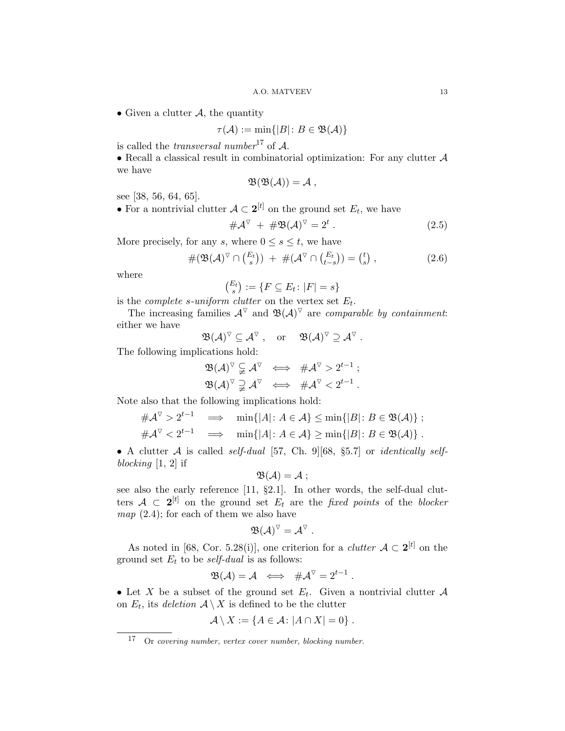• Given a clutter  $A$ , the quantity

$$
\tau({\mathcal A}):=\min\{|B|\colon B\in{\mathfrak B}({\mathcal A})\}
$$

is called the *transversal number*<sup>[17](#page-12-1)</sup> of  $A$ .

• Recall a classical result in combinatorial optimization: For any clutter  $A$ we have

$$
\mathfrak{B}(\mathfrak{B}(\mathcal{A}))=\mathcal{A}\ ,
$$

see [\[38,](#page-43-19) [56,](#page-44-16) [64,](#page-44-17) [65\]](#page-44-18).

• For a nontrivial clutter  $A \subset 2^{[t]}$  on the ground set  $E_t$ , we have

<span id="page-12-0"></span>
$$
\#\mathcal{A}^{\triangledown} + \#\mathfrak{B}(\mathcal{A})^{\triangledown} = 2^{t}.
$$
 (2.5)

More precisely, for any s, where  $0 \leq s \leq t$ , we have

<span id="page-12-2"></span>
$$
\#(\mathfrak{B}(\mathcal{A})^{\triangledown} \cap \binom{E_t}{s}) + \#(\mathcal{A}^{\triangledown} \cap \binom{E_t}{t-s}) = \binom{t}{s},\qquad(2.6)
$$

where

$$
\binom{E_t}{s} := \{ F \subseteq E_t \colon |F| = s \}
$$

is the *complete s-uniform clutter* on the vertex set  $E_t$ .

The increasing families  $\mathcal{A}^{\nabla}$  and  $\mathfrak{B}(\mathcal{A})^{\nabla}$  are comparable by containment: either we have

$$
\mathfrak{B}(\mathcal{A})^\triangledown \subseteq \mathcal{A}^\triangledown \;, \quad \text{or} \quad \ \mathfrak{B}(\mathcal{A})^\triangledown \supseteq \mathcal{A}^\triangledown \;.
$$

The following implications hold:

$$
\begin{array}{ccc} \mathfrak{B}(\mathcal{A})^{\triangledown} \subsetneqq \mathcal{A}^{\triangledown} & \Longleftrightarrow & \# \mathcal{A}^{\triangledown} > 2^{t-1} \ ; \\ \mathfrak{B}(\mathcal{A})^{\triangledown} \supsetneqq \mathcal{A}^{\triangledown} & \Longleftrightarrow & \# \mathcal{A}^{\triangledown} < 2^{t-1} \ . \end{array}
$$

Note also that the following implications hold:

$$
\begin{array}{rcl}\n\#\mathcal{A}^{\nabla} > 2^{t-1} & \Longrightarrow & \min\{|A|: A \in \mathcal{A}\} \le \min\{|B|: B \in \mathfrak{B}(\mathcal{A})\} ; \\
\#\mathcal{A}^{\nabla} < 2^{t-1} & \Longrightarrow & \min\{|A|: A \in \mathcal{A}\} \ge \min\{|B|: B \in \mathfrak{B}(\mathcal{A})\} .\n\end{array}
$$

• A clutter  $A$  is called self-dual [\[57,](#page-44-7) Ch. 9][\[68,](#page-45-2) §5.7] or *identically self*blocking  $[1, 2]$  $[1, 2]$  $[1, 2]$  if

$$
\mathfrak{B}(\mathcal{A})=\mathcal{A} ;
$$

see also the early reference [\[11,](#page-42-4) §2.1]. In other words, the self-dual clutters  $A \subset 2^{[t]}$  on the ground set  $E_t$  are the fixed points of the blocker map  $(2.4)$ ; for each of them we also have

$$
\mathfrak{B}(\mathcal{A})^{\triangledown}=\mathcal{A}^{\triangledown}.
$$

As noted in [\[68,](#page-45-2) Cor. 5.28(i)], one criterion for a *clutter*  $A \subset 2^{[t]}$  on the ground set  $E_t$  to be *self-dual* is as follows:

$$
\mathfrak{B}(\mathcal{A}) = \mathcal{A} \iff \# \mathcal{A}^{\nabla} = 2^{t-1} .
$$

• Let X be a subset of the ground set  $E_t$ . Given a nontrivial clutter  $\mathcal A$ on  $E_t$ , its deletion  $A \setminus X$  is defined to be the clutter

$$
\mathcal{A} \setminus X := \{ A \in \mathcal{A} \colon |A \cap X| = 0 \}.
$$

<span id="page-12-1"></span><sup>17</sup> Or covering number, vertex cover number, blocking number.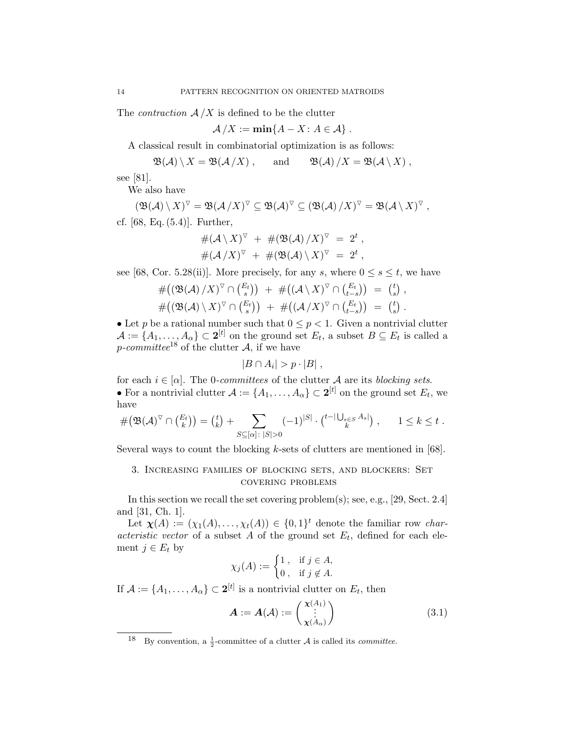The *contraction*  $A/X$  is defined to be the clutter

$$
\mathcal{A}/X := \min\{A - X : A \in \mathcal{A}\}.
$$

A classical result in combinatorial optimization is as follows:

$$
\mathfrak{B}(\mathcal{A}) \setminus X = \mathfrak{B}(\mathcal{A}/X), \quad \text{and} \quad \mathfrak{B}(\mathcal{A})/X = \mathfrak{B}(\mathcal{A} \setminus X),
$$

see [\[81\]](#page-45-17).

We also have

$$
(\mathfrak{B}(\mathcal{A}) \setminus X)^\nabla = \mathfrak{B}(\mathcal{A}/X)^\nabla \subseteq \mathfrak{B}(\mathcal{A})^\nabla \subseteq (\mathfrak{B}(\mathcal{A})/X)^\nabla = \mathfrak{B}(\mathcal{A} \setminus X)^\nabla,
$$
cf. [68, Eq. (5.4)]. Further,

$$
#(\mathcal{A}\setminus X)^{\triangledown} + #(\mathfrak{B}(\mathcal{A})/X)^{\triangledown} = 2^{t},
$$
  

$$
#(\mathcal{A}/X)^{\triangledown} + #(\mathfrak{B}(\mathcal{A})\setminus X)^{\triangledown} = 2^{t},
$$

see [\[68,](#page-45-2) Cor. 5.28(ii)]. More precisely, for any s, where  $0 \leq s \leq t$ , we have

$$
#((\mathfrak{B}(\mathcal{A})/X)^{\triangledown} \cap \binom{E_t}{s}) + #((\mathcal{A} \setminus X)^{\triangledown} \cap \binom{E_t}{t-s}) = \binom{t}{s},
$$
  

$$
#((\mathfrak{B}(\mathcal{A}) \setminus X)^{\triangledown} \cap \binom{E_t}{s}) + #((\mathcal{A}/X)^{\triangledown} \cap \binom{E_t}{t-s}) = \binom{t}{s}.
$$

• Let p be a rational number such that  $0 \leq p < 1$ . Given a nontrivial clutter  $\mathcal{A} := \{A_1, \ldots, A_\alpha\} \subset \mathbf{2}^{[t]}$  on the ground set  $E_t$ , a subset  $B \subseteq E_t$  is called a p-committee<sup>[18](#page-13-1)</sup> of the clutter  $A$ , if we have

$$
|B \cap A_i| > p \cdot |B| \ ,
$$

for each  $i \in [\alpha]$ . The 0-committees of the clutter A are its blocking sets. • For a nontrivial clutter  $\mathcal{A} := \{A_1, \ldots, A_\alpha\} \subset \mathbf{2}^{[t]}$  on the ground set  $E_t$ , we have

$$
\#(\mathfrak{B}(\mathcal{A})^{\triangledown} \cap \binom{E_t}{k}) = \binom{t}{k} + \sum_{S \subseteq [\alpha] \colon |S| > 0} (-1)^{|S|} \cdot \binom{t - |\bigcup_{s \in S} A_s|}{k}, \qquad 1 \leq k \leq t.
$$

Several ways to count the blocking k-sets of clutters are mentioned in [\[68\]](#page-45-2).

# <span id="page-13-0"></span>3. Increasing families of blocking sets, and blockers: Set covering problems

In this section we recall the set covering problem(s); see, e.g., [\[29,](#page-43-2) Sect. 2.4] and [\[31,](#page-43-3) Ch. 1].

Let  $\chi(A) := (\chi_1(A), \ldots, \chi_t(A)) \in \{0,1\}^t$  denote the familiar row *char*acteristic vector of a subset A of the ground set  $E_t$ , defined for each element  $j \in E_t$  by

$$
\chi_j(A) := \begin{cases} 1, & \text{if } j \in A, \\ 0, & \text{if } j \notin A. \end{cases}
$$

If  $\mathcal{A} := \{A_1, \ldots, A_\alpha\} \subset \mathbf{2}^{[t]}$  is a nontrivial clutter on  $E_t$ , then

$$
\boldsymbol{A} := \boldsymbol{A}(\mathcal{A}) := \begin{pmatrix} \boldsymbol{\chi}(A_1) \\ \vdots \\ \boldsymbol{\chi}(A_\alpha) \end{pmatrix} \tag{3.1}
$$

<span id="page-13-1"></span><sup>&</sup>lt;sup>18</sup> By convention, a <sup>1</sup>/<sub>2</sub>-committee of a clutter A is called its *committee*.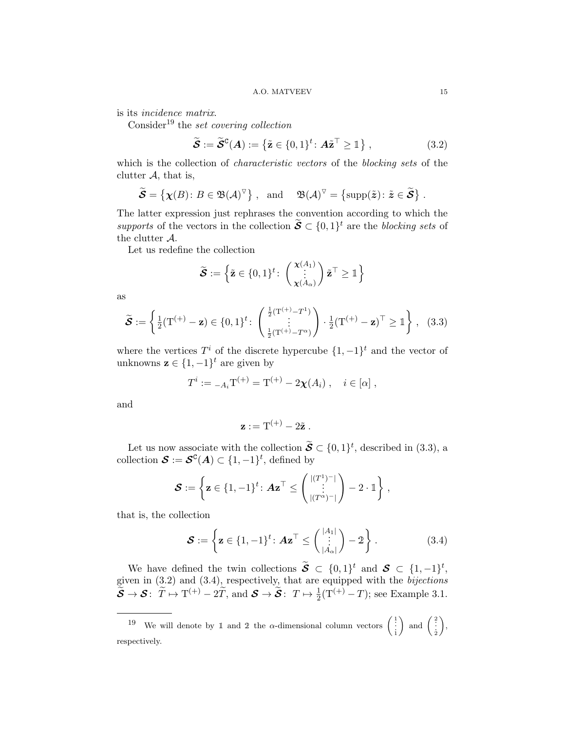is its incidence matrix.

Consider<sup>[19](#page-14-0)</sup> the set covering collection

<span id="page-14-2"></span>
$$
\widetilde{\mathcal{S}} := \widetilde{\mathcal{S}}^{\mathsf{C}}(A) := \left\{ \widetilde{\mathbf{z}} \in \{0,1\}^t \colon A\widetilde{\mathbf{z}}^{\top} \geq \mathbb{1} \right\},\tag{3.2}
$$

which is the collection of *characteristic vectors* of the *blocking sets* of the clutter  $A$ , that is,

$$
\widetilde{\mathcal{S}} = \{ \chi(B) \colon B \in \mathfrak{B}(\mathcal{A})^{\nabla} \}, \text{ and } \mathfrak{B}(\mathcal{A})^{\nabla} = \{ \text{supp}(\tilde{\boldsymbol{z}}) \colon \tilde{\boldsymbol{z}} \in \widetilde{\mathcal{S}} \}.
$$

The latter expression just rephrases the convention according to which the supports of the vectors in the collection  $\widetilde{S} \subset \{0,1\}^t$  are the blocking sets of the clutter A.

Let us redefine the collection

$$
\widetilde{\mathcal{S}} := \left\{ \tilde{\mathbf{z}} \in \{0,1\}^t \colon \begin{pmatrix} \mathbf{x}(A_1) \\ \vdots \\ \mathbf{x}(A_\alpha) \end{pmatrix} \tilde{\mathbf{z}}^\top \geq \mathbb{1} \right\}
$$

as

<span id="page-14-1"></span>
$$
\widetilde{\mathcal{S}} := \left\{ \frac{1}{2} (T^{(+)} - \mathbf{z}) \in \{0, 1\}^t : \begin{pmatrix} \frac{1}{2} (T^{(+)} - T^1) \\ \vdots \\ \frac{1}{2} (T^{(+)} - T^{\alpha}) \end{pmatrix} \cdot \frac{1}{2} (T^{(+)} - \mathbf{z})^\top \geq \mathbb{1} \right\}, \quad (3.3)
$$

where the vertices  $T^i$  of the discrete hypercube  $\{1, -1\}^t$  and the vector of unknowns  $z \in \{1, -1\}^t$  are given by

$$
T^i := {}_{-A_i}T^{(+)} = T^{(+)} - 2\chi(A_i) , \quad i \in [\alpha] ,
$$

and

$$
\mathbf{z} := \mathrm{T}^{(+)} - 2\tilde{\mathbf{z}} \ .
$$

Let us now associate with the collection  $\widetilde{S} \subset \{0,1\}^t$ , described in [\(3.3\)](#page-14-1), a collection  $\mathcal{S} := \mathcal{S}^{\mathbb{C}}(A) \subset \{1, -1\}^t$ , defined by

$$
\mathcal{S} := \left\{ \mathbf{z} \in \{1, -1\}^t \colon \mathbf{A} \mathbf{z}^\top \le \begin{pmatrix} |(T^1)^-| \\ \vdots \\ |(T^{\alpha})^-| \end{pmatrix} - 2 \cdot \mathbb{1} \right\},\,
$$

that is, the collection

<span id="page-14-3"></span>
$$
\mathcal{S} := \left\{ \mathbf{z} \in \{1, -1\}^t : \mathbf{Az}^\top \le \begin{pmatrix} |A_1| \\ \vdots \\ |A_\alpha| \end{pmatrix} - 2 \right\}.
$$
 (3.4)

We have defined the twin collections  $\widetilde{S} \subset \{0,1\}^t$  and  $S \subset \{1,-1\}^t$ , given in  $(3.2)$  and  $(3.4)$ , respectively, that are equipped with the *bijections*  $\widetilde{\mathcal{S}} \to \mathcal{S}: \ \widetilde{T} \mapsto \mathrm{T}^{(+)} - 2\widetilde{T}$ , and  $\mathcal{S} \to \widetilde{\mathcal{S}}: T \mapsto \frac{1}{2}(\mathrm{T}^{(+)} - T)$ ; see Example [3.1.](#page-15-0)

<span id="page-14-0"></span><sup>19</sup> We will denote by 1 and 2 the  $\alpha$ -dimensional column vectors  $\begin{pmatrix} 1 \\ 1 \\ 1 \end{pmatrix}$  $\bigg)$  and  $\bigg(\begin{smallmatrix}2\\ \vdots\\ 2\end{smallmatrix}\bigg)$  , respectively.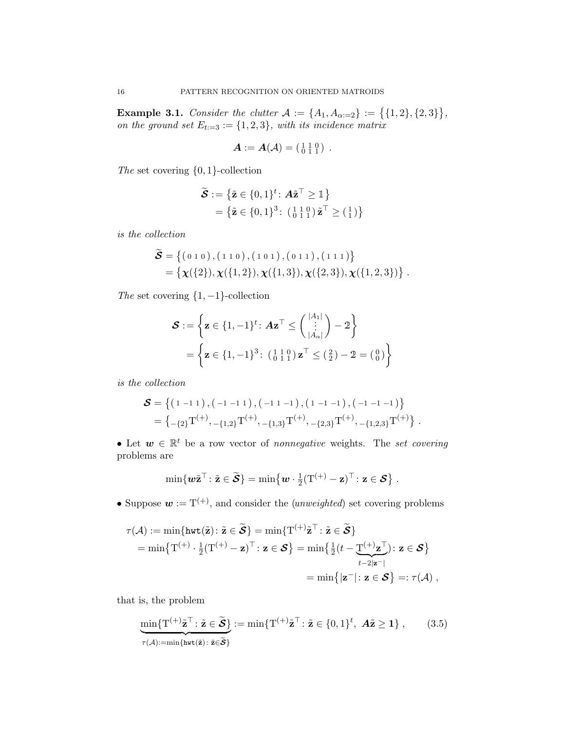<span id="page-15-0"></span>**Example 3.1.** Consider the clutter  $A := \{A_1, A_{\alpha:=2}\} := \{ \{1, 2\}, \{2, 3\} \},\$ on the ground set  $E_{t:=3} := \{1,2,3\}$ , with its incidence matrix

$$
\boldsymbol{A}:=\boldsymbol{A}(\mathcal{A})=\left(\begin{smallmatrix} 1 & 1 & 0 \\ 0 & 1 & 1 \end{smallmatrix}\right)\;.
$$

The set covering {0, 1}-collection

 $\mathbb{R}^2$ 

$$
\widetilde{\mathcal{S}} := \left\{ \widetilde{\mathbf{z}} \in \{0, 1\}^t : \mathbf{A} \widetilde{\mathbf{z}}^\top \ge \mathbb{1} \right\} \n= \left\{ \widetilde{\mathbf{z}} \in \{0, 1\}^3 : \left( \begin{smallmatrix} 1 & 1 & 0 \\ 0 & 1 & 1 \end{smallmatrix} \right) \widetilde{\mathbf{z}}^\top \ge \left( \begin{smallmatrix} 1 \\ 1 \end{smallmatrix} \right) \right\}
$$

is the collection

$$
\widetilde{\mathcal{S}} = \{ (0\ 1\ 0), (1\ 1\ 0), (1\ 0\ 1), (0\ 1\ 1), (1\ 1\ 1) \} = \{ \mathbf{\chi}(\{2\}), \mathbf{\chi}(\{1,2\}), \mathbf{\chi}(\{1,3\}), \mathbf{\chi}(\{2,3\}), \mathbf{\chi}(\{1,2,3\}) \}.
$$

The set covering  $\{1, -1\}$ -collection

$$
\mathcal{S} := \left\{ \mathbf{z} \in \{1, -1\}^{t} : A \mathbf{z}^{\top} \leq {\binom{|A_1|}{\vdots}} - 2 \right\}
$$
  
= 
$$
\left\{ \mathbf{z} \in \{1, -1\}^{3} : (\begin{smallmatrix} 1 & 1 & 0 \\ 0 & 1 & 1 \end{smallmatrix}) \mathbf{z}^{\top} \leq (\begin{smallmatrix} 2 \\ 2 \end{smallmatrix}) - 2 = (\begin{smallmatrix} 0 \\ 0 \end{smallmatrix}) \right\}
$$

is the collection

$$
\begin{aligned} \boldsymbol{\mathcal{S}} &= \left\{ \left(\begin{smallmatrix} 1 & -1 & 1 \end{smallmatrix}\right), \left(\begin{smallmatrix} -1 & -1 & 1 \end{smallmatrix}\right), \left(\begin{smallmatrix} -1 & 1 & -1 \end{smallmatrix}\right), \left(\begin{smallmatrix} 1 & -1 & -1 \end{smallmatrix}\right), \left(\begin{smallmatrix} -1 & -1 & -1 \end{smallmatrix}\right) \right\} \\ &= \left\{ \begin{smallmatrix} -\{2\} \end{smallmatrix} T^{(+)}, \begin{smallmatrix} -\{1,2\} \end{smallmatrix} T^{(+)}, \begin{smallmatrix} -\{1,3\} \end{smallmatrix} T^{(+)}, \begin{smallmatrix} -\{2,3\} \end{smallmatrix} T^{(+)}, \begin{smallmatrix} -\{1,2,3\} \end{smallmatrix} T^{(+)} \right\} \, . \end{aligned}
$$

• Let  $w \in \mathbb{R}^t$  be a row vector of nonnegative weights. The set covering problems are

$$
\min\{\boldsymbol{w}\tilde{\mathbf{z}}^{\top} : \tilde{\mathbf{z}} \in \widetilde{\boldsymbol{S}}\} = \min\{\boldsymbol{w} \cdot \frac{1}{2}(\mathrm{T}^{(+)} - \mathbf{z})^{\top} : \mathbf{z} \in \boldsymbol{S}\}.
$$

• Suppose  $\mathbf{w} := \mathrm{T}^{(+)}$ , and consider the *(unweighted)* set covering problems

$$
\tau(\mathcal{A}) := \min\{\text{hwt}(\tilde{\mathbf{z}}): \tilde{\mathbf{z}} \in \tilde{\mathcal{S}}\} = \min\{T^{(+)}\tilde{\mathbf{z}}^{\top}: \tilde{\mathbf{z}} \in \tilde{\mathcal{S}}\}
$$
  
= 
$$
\min\{T^{(+)} \cdot \frac{1}{2}(T^{(+)} - \mathbf{z})^{\top}: \mathbf{z} \in \mathcal{S}\} = \min\{\frac{1}{2}(t - \underline{T}^{(+)}\underline{\mathbf{z}}^{\top}): \mathbf{z} \in \mathcal{S}\}
$$
  
= 
$$
\min\{|\mathbf{z}^{-}|: \mathbf{z} \in \mathcal{S}\} =: \tau(\mathcal{A}),
$$

that is, the problem

<span id="page-15-1"></span>
$$
\underbrace{\min\{T^{(+)}\tilde{\mathbf{z}}^\top : \tilde{\mathbf{z}} \in \tilde{\mathbf{S}}\}}_{\tau(\mathcal{A}):=\min\{h \mathbf{w}(\tilde{\mathbf{z}}): \tilde{\mathbf{z}} \in \tilde{\mathbf{S}}\}} := \min\{T^{(+)}\tilde{\mathbf{z}}^\top : \tilde{\mathbf{z}} \in \{0,1\}^t, \ \mathcal{A}\tilde{\mathbf{z}} \ge 1\},\tag{3.5}
$$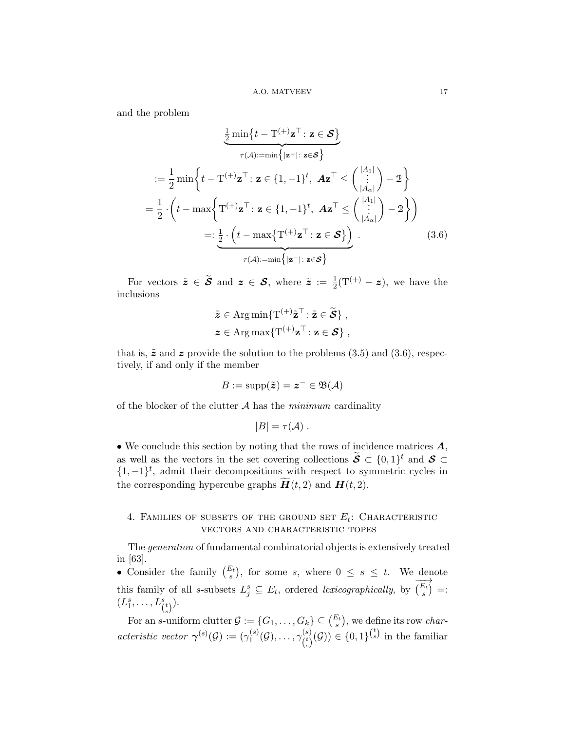and the problem

$$
\frac{1}{2}\min\{t - \mathbf{T}^{(+)}\mathbf{z}^{\top}: \mathbf{z} \in \mathbf{S}\}
$$
\n
$$
= \frac{1}{2}\min\{t - \mathbf{T}^{(+)}\mathbf{z}^{\top}: \mathbf{z} \in \{1, -1\}^{t}, \mathbf{A}\mathbf{z}^{\top} \leq {\binom{|A_{1}|}{|A_{\alpha}|}} - 2\}
$$
\n
$$
= \frac{1}{2} \cdot \left(t - \max\{\mathbf{T}^{(+)}\mathbf{z}^{\top}: \mathbf{z} \in \{1, -1\}^{t}, \mathbf{A}\mathbf{z}^{\top} \leq {\binom{|A_{1}|}{|A_{\alpha}|}} - 2\}\right)
$$
\n
$$
=:\frac{1}{2} \cdot \left(t - \max\{\mathbf{T}^{(+)}\mathbf{z}^{\top}: \mathbf{z} \in \mathbf{S}\}\right).
$$
\n(3.6)

For vectors  $\tilde{\boldsymbol{z}} \in \tilde{\boldsymbol{S}}$  and  $\boldsymbol{z} \in \boldsymbol{S}$ , where  $\tilde{\boldsymbol{z}} := \frac{1}{2}(T^{(+)} - \boldsymbol{z})$ , we have the inclusions

<span id="page-16-1"></span>
$$
\tilde{\mathbf{z}} \in \operatorname{Arg\,min}\{\mathrm{T}^{(+)}\tilde{\mathbf{z}}^{\top} : \tilde{\mathbf{z}} \in \tilde{\mathcal{S}}\},
$$
  

$$
\mathbf{z} \in \operatorname{Arg\,max}\{\mathrm{T}^{(+)}\mathbf{z}^{\top} : \mathbf{z} \in \mathcal{S}\},
$$

that is,  $\tilde{z}$  and z provide the solution to the problems [\(3.5\)](#page-15-1) and [\(3.6\)](#page-16-1), respectively, if and only if the member

$$
B := \text{supp}(\tilde{\boldsymbol{z}}) = \boldsymbol{z}^- \in \mathfrak{B}(\mathcal{A})
$$

of the blocker of the clutter  $A$  has the minimum cardinality

$$
|B| = \tau(\mathcal{A}) \; .
$$

• We conclude this section by noting that the rows of incidence matrices  $A$ , as well as the vectors in the set covering collections  $\widetilde{\mathcal{S}} \subset \{0,1\}^t$  and  $\mathcal{S} \subset$  $\{1, -1\}^t$ , admit their decompositions with respect to symmetric cycles in the corresponding hypercube graphs  $H(t, 2)$  and  $H(t, 2)$ .

# <span id="page-16-0"></span>4. FAMILIES OF SUBSETS OF THE GROUND SET  $E_t$ : CHARACTERISTIC vectors and characteristic topes

The generation of fundamental combinatorial objects is extensively treated in [\[63\]](#page-44-19).

• Consider the family  $\binom{E_t}{s}$ , for some s, where  $0 \leq s \leq t$ . We denote this family of all s-subsets  $L_j^s \subseteq E_t$ , ordered lexicographically, by  $\overrightarrow{E_t}$  =:  $(L_1^s, \ldots, L_{\binom{t}{s}}^s).$ 

For an s-uniform clutter  $\mathcal{G} := \{G_1, \ldots, G_k\} \subseteq {E_t \choose s}$ , we define its row *char*acteristic vector  $\gamma^{(s)}(\mathcal{G}) := (\gamma_1^{(s)})$  $\gamma_1^{(s)}(\mathcal{G}), \ldots, \gamma_{({}^{t})}^{(s)}$  $\binom{\binom{s}{s}}{\binom{t}{s}} \in \{0,1\}^{\binom{t}{s}}$  in the familiar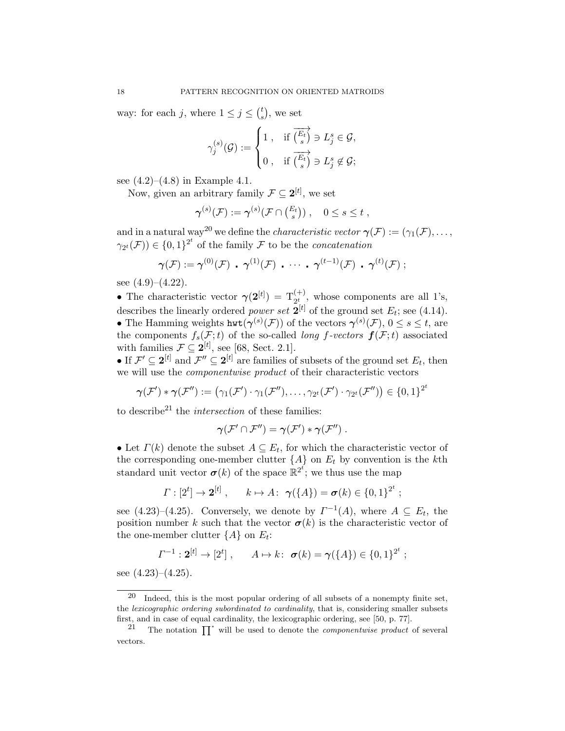way: for each j, where  $1 \leq j \leq {t \choose s}$  $_{s}^{t}$ , we set

$$
\gamma_j^{(s)}(\mathcal{G}):=\begin{cases}1\ , &\text{if}\ \overrightarrow{\binom{E_t}{s}}\ni L_j^s\in\mathcal{G},\\ 0\ , &\text{if}\ \overrightarrow{\binom{E_t}{s}}\ni L_j^s\not\in\mathcal{G};\end{cases}
$$

see  $(4.2)$ – $(4.8)$  in Example [4.1.](#page-18-2)

Now, given an arbitrary family  $\mathcal{F} \subseteq 2^{[t]}$ , we set

$$
\gamma^{(s)}(\mathcal{F}) := \gamma^{(s)}(\mathcal{F} \cap \binom{E_t}{s}), \quad 0 \le s \le t,
$$

and in a natural way<sup>[20](#page-17-0)</sup> we define the *characteristic vector*  $\gamma(\mathcal{F}) := (\gamma_1(\mathcal{F}), \ldots,$  $\gamma_{2^t}(\mathcal{F})\in\{0,1\}^{2^t}$  of the family  $\mathcal F$  to be the *concatenation* 

$$
\gamma(\mathcal{F}) := \gamma^{(0)}(\mathcal{F}) \cdot \gamma^{(1)}(\mathcal{F}) \cdot \cdots \cdot \gamma^{(t-1)}(\mathcal{F}) \cdot \gamma^{(t)}(\mathcal{F}) ;
$$

see  $(4.9)$ – $(4.22)$ .

• The characteristic vector  $\gamma(2^{[t]}) = T_{2^t}^{(+)}$ , whose components are all 1's, describes the linearly ordered *power set*  $2^{[t]}$  of the ground set  $E_t$ ; see [\(4.14\)](#page-18-4). • The Hamming weights  $\text{hwt}(\gamma^{(s)}(\mathcal{F}))$  of the vectors  $\gamma^{(s)}(\mathcal{F}), 0 \leq s \leq t$ , are the components  $f_s(\mathcal{F};t)$  of the so-called *long f-vectors*  $f(\mathcal{F};t)$  associated with families  $\mathcal{F} \subseteq \mathbf{2}^{[t]}$ , see [\[68,](#page-45-2) Sect. 2.1].

• If  $\mathcal{F}' \subseteq 2^{[t]}$  and  $\mathcal{F}'' \subseteq 2^{[t]}$  are families of subsets of the ground set  $E_t$ , then we will use the componentwise product of their characteristic vectors

$$
\boldsymbol{\gamma}(\mathcal{F}') * \boldsymbol{\gamma}(\mathcal{F}'') := (\gamma_1(\mathcal{F}') \cdot \gamma_1(\mathcal{F}''), \ldots, \gamma_{2^t}(\mathcal{F}') \cdot \gamma_{2^t}(\mathcal{F}'')) \in \{0,1\}^{2^t}
$$

to describe<sup>[21](#page-17-1)</sup> the *intersection* of these families:

$$
\gamma(\mathcal{F}'\cap \mathcal{F}'')=\gamma(\mathcal{F}')*\gamma(\mathcal{F}'')\;.
$$

• Let  $\Gamma(k)$  denote the subset  $A \subseteq E_t$ , for which the characteristic vector of the corresponding one-member clutter  ${A}$  on  $E_t$  by convention is the kth standard unit vector  $\sigma(k)$  of the space  $\mathbb{R}^{2^t}$ ; we thus use the map

$$
\Gamma : [2t] \to 2[t] , \qquad k \mapsto A : \ \gamma(\lbrace A \rbrace) = \sigma(k) \in \lbrace 0, 1 \rbrace^{2^t} ;
$$

see  $(4.23)$ – $(4.25)$ . Conversely, we denote by  $\Gamma^{-1}(A)$ , where  $A \subseteq E_t$ , the position number k such that the vector  $\sigma(k)$  is the characteristic vector of the one-member clutter  $\{A\}$  on  $E_t$ :

$$
\varGamma^{-1}: \mathbf{2}^{[t]} \to [2^t], \qquad A \mapsto k: \; \boldsymbol{\sigma}(k) = \boldsymbol{\gamma}(\{A\}) \in \{0,1\}^{2^t} ;
$$

see  $(4.23)$ – $(4.25)$ .

<span id="page-17-0"></span> $20$  Indeed, this is the most popular ordering of all subsets of a nonempty finite set, the lexicographic ordering subordinated to cardinality, that is, considering smaller subsets first, and in case of equal cardinality, the lexicographic ordering, see [\[50,](#page-44-20) p. 77].

<span id="page-17-1"></span><sup>&</sup>lt;sup>21</sup> The notation  $\prod^*$  will be used to denote the *componentwise product* of several vectors.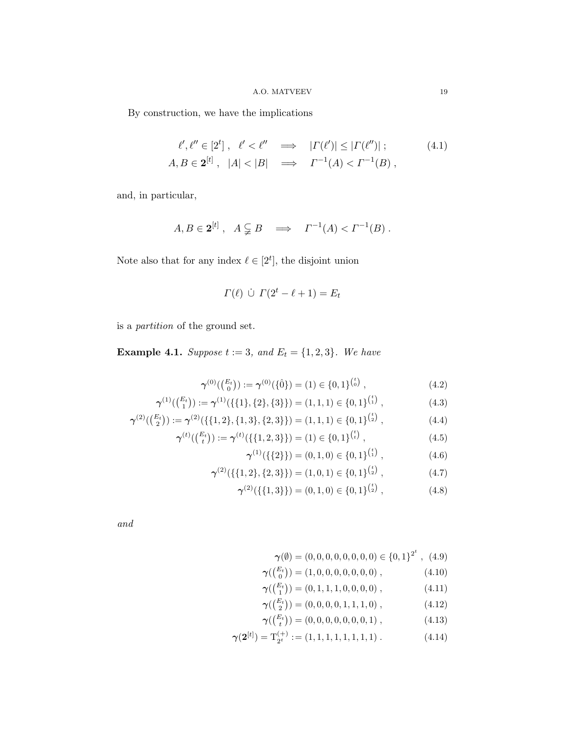By construction, we have the implications

$$
\ell', \ell'' \in [2^t], \quad \ell' < \ell'' \quad \implies \quad | \Gamma(\ell')| \leq | \Gamma(\ell'')| \, ; \tag{4.1}
$$
\n
$$
A, B \in \mathbf{2}^{[t]}, \quad |A| < |B| \quad \implies \quad \Gamma^{-1}(A) < \Gamma^{-1}(B) \, ,
$$

and, in particular,

$$
A, B \in \mathbf{2}^{[t]}, \quad A \subsetneq B \quad \Longrightarrow \quad \Gamma^{-1}(A) < \Gamma^{-1}(B) \; .
$$

Note also that for any index  $\ell \in [2^t]$ , the disjoint union

<span id="page-18-5"></span>
$$
\Gamma(\ell) \ \dot{\cup} \ \Gamma(2^t - \ell + 1) = E_t
$$

is a partition of the ground set.

<span id="page-18-2"></span>**Example 4.1.** Suppose  $t := 3$ , and  $E_t = \{1, 2, 3\}$ . We have

$$
\gamma^{(0)}(\binom{E_t}{0}) := \gamma^{(0)}(\{\hat{0}\}) = (1) \in \{0,1\}^{\binom{t}{0}},\tag{4.2}
$$

$$
\boldsymbol{\gamma}^{(1)}(\binom{E_t}{1}) := \boldsymbol{\gamma}^{(1)}(\{\{1\},\{2\},\{3\}\}) = (1,1,1) \in \{0,1\}^{\binom{t}{1}},\tag{4.3}
$$

$$
\gamma^{(2)}(\binom{E_t}{2}) := \gamma^{(2)}(\{\{1,2\},\{1,3\},\{2,3\}\}) = (1,1,1) \in \{0,1\}^{\binom{t}{2}},\tag{4.4}
$$

$$
\gamma^{(t)}\left(\binom{E_t}{t}\right) := \gamma^{(t)}\left(\{\{1, 2, 3\}\}\right) = (1) \in \{0, 1\}^{\binom{t}{t}},\tag{4.5}
$$

<span id="page-18-1"></span><span id="page-18-0"></span>
$$
\boldsymbol{\gamma}^{(1)}(\{\{2\}\}) = (0, 1, 0) \in \{0, 1\}^{{t \choose 1}}, \tag{4.6}
$$

$$
\boldsymbol{\gamma}^{(2)}(\{\{1,2\},\{2,3\}\}) = (1,0,1) \in \{0,1\}^{\binom{t}{2}},\tag{4.7}
$$

$$
\gamma^{(2)}(\{\{1,3\}\}) = (0,1,0) \in \{0,1\}^{\binom{t}{2}},\tag{4.8}
$$

and

<span id="page-18-3"></span>
$$
\gamma(\emptyset) = (0, 0, 0, 0, 0, 0, 0, 0) \in \{0, 1\}^{2^t}, (4.9)
$$
  
\n
$$
\gamma(\binom{E_t}{0}) = (1, 0, 0, 0, 0, 0, 0), \qquad (4.10)
$$
  
\n
$$
\gamma(\binom{E_t}{1}) = (0, 1, 1, 1, 0, 0, 0, 0), \qquad (4.11)
$$
  
\n
$$
\gamma(\binom{E_t}{2}) = (0, 0, 0, 0, 1, 1, 1, 0), \qquad (4.12)
$$

<span id="page-18-4"></span>
$$
\gamma(\binom{E_t}{t}) = (0, 0, 0, 0, 0, 0, 0, 1), \tag{4.13}
$$

$$
\gamma(2^{[t]}) = \mathcal{T}_{2^t}^{(+)} := (1, 1, 1, 1, 1, 1, 1, 1).
$$
 (4.14)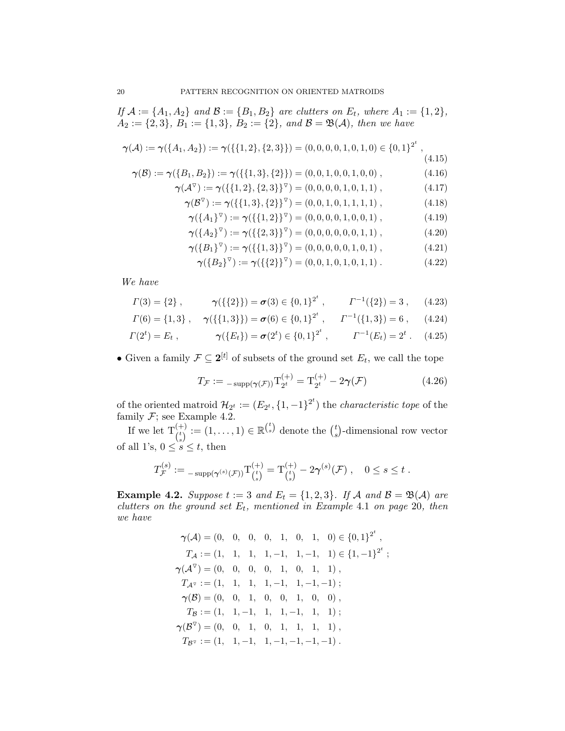$\emph{If $\mathcal{A}:=\{A_1,A_2\}$ and $\mathcal{B}:=\{B_1,B_2\}$ are clusters on $E_t$, where $A_1:=\{1,2\}$,}$  $A_2 := \{2,3\}, B_1 := \{1,3\}, B_2 := \{2\}, and B = \mathfrak{B}(\mathcal{A}), then we have$ 

$$
\gamma(\mathcal{A}) := \gamma(\{A_1, A_2\}) := \gamma(\{\{1, 2\}, \{2, 3\}\}) = (0, 0, 0, 0, 1, 0, 1, 0) \in \{0, 1\}^{2^t},
$$
\n(4.15)

$$
\gamma(\mathcal{B}) := \gamma(\{B_1, B_2\}) := \gamma(\{\{1, 3\}, \{2\}\}) = (0, 0, 1, 0, 0, 1, 0, 0), \tag{4.16}
$$

$$
\gamma(\mathcal{A}^{\triangledown}) := \gamma(\{\{1,2\},\{2,3\}\}^{\triangledown}) = (0,0,0,0,1,0,1,1), \tag{4.17}
$$

$$
\gamma(\mathcal{B}^{\triangledown}) := \gamma(\{\{1,3\},\{2\}\}^{\triangledown}) = (0,0,1,0,1,1,1,1), \tag{4.18}
$$

<span id="page-19-4"></span>
$$
\gamma(\lbrace A_1 \rbrace^{\triangledown}) := \gamma(\lbrace \lbrace 1, 2 \rbrace \rbrace^{\triangledown}) = (0, 0, 0, 0, 1, 0, 0, 1), \qquad (4.19)
$$

$$
\gamma(\lbrace A_2 \rbrace^{\triangledown}) := \gamma(\lbrace \lbrace 2,3 \rbrace \rbrace^{\triangledown}) = (0,0,0,0,0,0,1,1), \qquad (4.20)
$$

$$
\gamma(\lbrace B_1 \rbrace^{\triangledown}) := \gamma(\lbrace \lbrace 1,3 \rbrace \rbrace^{\triangledown}) = (0,0,0,0,0,1,0,1), \qquad (4.21)
$$

<span id="page-19-1"></span><span id="page-19-0"></span>
$$
\gamma(\lbrace B_2 \rbrace^{\triangledown}) := \gamma(\lbrace \lbrace 2 \rbrace \rbrace^{\triangledown}) = (0, 0, 1, 0, 1, 0, 1, 1). \tag{4.22}
$$

We have

$$
\Gamma(3) = \{2\} , \qquad \gamma(\{\{2\}\}) = \sigma(3) \in \{0,1\}^{2^t} , \qquad \Gamma^{-1}(\{2\}) = 3 , \qquad (4.23)
$$

$$
\Gamma(6) = \{1,3\} , \quad \gamma(\{\{1,3\}\}) = \sigma(6) \in \{0,1\}^{2^t} , \quad \Gamma^{-1}(\{1,3\}) = 6 , \quad (4.24)
$$

$$
\Gamma(2^t) = E_t , \qquad \gamma(\lbrace E_t \rbrace) = \sigma(2^t) \in \lbrace 0, 1 \rbrace^{2^t} , \qquad \Gamma^{-1}(E_t) = 2^t . \quad (4.25)
$$

• Given a family  $\mathcal{F} \subseteq 2^{[t]}$  of subsets of the ground set  $E_t$ , we call the tope

<span id="page-19-5"></span><span id="page-19-2"></span>
$$
T_{\mathcal{F}} := -\operatorname{supp}(\gamma(\mathcal{F})) \mathcal{T}_{2^t}^{(+)} = \mathcal{T}_{2^t}^{(+)} - 2\gamma(\mathcal{F})
$$
 (4.26)

of the oriented matroid  $\mathcal{H}_{2^t} := (E_{2^t}, \{1, -1\}^{2^t})$  the *characteristic tope* of the family  $F$ ; see Example [4.2.](#page-19-3)

If we let  $T_{\binom{t}{s}}^{(+)} := (1, \ldots, 1) \in \mathbb{R}^{\binom{t}{s}}$  denote the  $\binom{t}{s}$  $s$ <sup>t</sup> $_s$ )-dimensional row vector of all 1's,  $0 \leq s \leq t$ , then

$$
T_{\mathcal{F}}^{(s)} := \sup_{s \to s} (\gamma^{(s)}(\mathcal{F})) \mathsf{T}_{\binom{t}{s}}^{(+)} = \mathsf{T}_{\binom{t}{s}}^{(+)} - 2\gamma^{(s)}(\mathcal{F}), \quad 0 \le s \le t.
$$

<span id="page-19-3"></span>**Example 4.2.** Suppose  $t := 3$  and  $E_t = \{1, 2, 3\}$ . If A and  $\mathcal{B} = \mathfrak{B}(\mathcal{A})$  are clutters on the ground set  $E_t$ , mentioned in Example [4.1](#page-18-2) on page [20](#page-19-4), then we have

$$
\gamma(\mathcal{A}) = (0, 0, 0, 1, 0, 1, 0) \in \{0, 1\}^{2^{t}},
$$
  
\n
$$
T_{\mathcal{A}} := (1, 1, 1, 1, -1, 1, -1, 1) \in \{1, -1\}^{2^{t}};
$$
  
\n
$$
\gamma(\mathcal{A}^{\nabla}) = (0, 0, 0, 0, 1, 0, 1, 1),
$$
  
\n
$$
T_{\mathcal{A}^{\nabla}} := (1, 1, 1, 1, -1, 1, -1, -1);
$$
  
\n
$$
\gamma(\mathcal{B}) = (0, 0, 1, 0, 0, 1, 0, 0),
$$
  
\n
$$
T_{\mathcal{B}} := (1, 1, -1, 1, 1, -1, 1, 1);
$$
  
\n
$$
\gamma(\mathcal{B}^{\nabla}) = (0, 0, 1, 0, 1, 1, 1, 1),
$$
  
\n
$$
T_{\mathcal{B}^{\nabla}} := (1, 1, -1, 1, -1, -1, -1, -1).
$$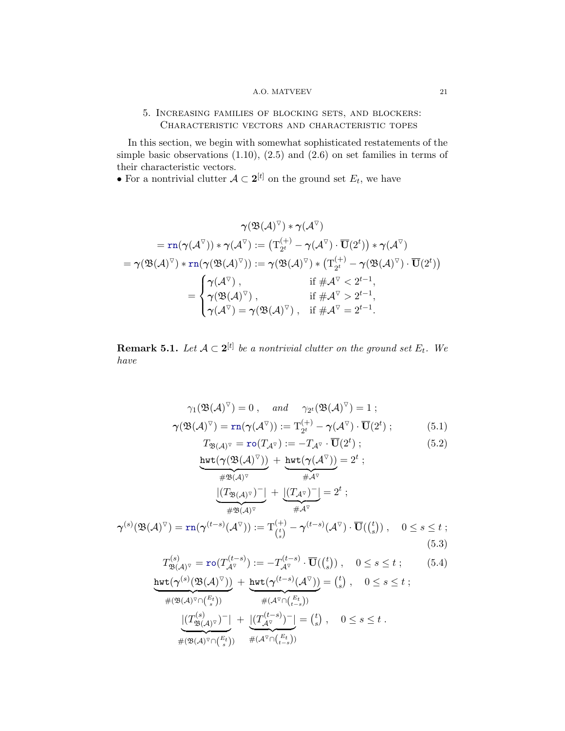## A.O. MATVEEV 21

# <span id="page-20-0"></span>5. Increasing families of blocking sets, and blockers: Characteristic vectors and characteristic topes

In this section, we begin with somewhat sophisticated restatements of the simple basic observations  $(1.10)$ ,  $(2.5)$  and  $(2.6)$  on set families in terms of their characteristic vectors.

• For a nontrivial clutter  $A \subset 2^{[t]}$  on the ground set  $E_t$ , we have

$$
\gamma(\mathfrak{B}(\mathcal{A})^{\triangledown}) * \gamma(\mathcal{A}^{\triangledown}) \\ = \text{rn}(\gamma(\mathcal{A}^{\triangledown})) * \gamma(\mathcal{A}^{\triangledown}) := \left(\text{T}_{2^{t}}^{(+)} - \gamma(\mathcal{A}^{\triangledown}) \cdot \overline{\textbf{U}}(2^{t})\right) * \gamma(\mathcal{A}^{\triangledown}) \\ = \gamma(\mathfrak{B}(\mathcal{A})^{\triangledown}) * \text{rn}(\gamma(\mathfrak{B}(\mathcal{A})^{\triangledown})) := \gamma(\mathfrak{B}(\mathcal{A})^{\triangledown}) * \left(\text{T}_{2^{t}}^{(+)} - \gamma(\mathfrak{B}(\mathcal{A})^{\triangledown}) \cdot \overline{\textbf{U}}(2^{t})\right) \\ = \begin{cases} \gamma(\mathcal{A}^{\triangledown}) \,, & \text{if } \# \mathcal{A}^{\triangledown} < 2^{t-1}, \\ \gamma(\mathfrak{B}(\mathcal{A})^{\triangledown}) \,, & \text{if } \# \mathcal{A}^{\triangledown} > 2^{t-1}, \\ \gamma(\mathcal{A}^{\triangledown}) = \gamma(\mathfrak{B}(\mathcal{A})^{\triangledown}) \,, & \text{if } \# \mathcal{A}^{\triangledown} = 2^{t-1}. \end{cases}
$$

<span id="page-20-5"></span>**Remark 5.1.** Let  $A \subset 2^{[t]}$  be a nontrivial clutter on the ground set  $E_t$ . We have

$$
\gamma_1(\mathfrak{B}(\mathcal{A})^{\nabla}) = 0, \quad \text{and} \quad \gamma_{2^t}(\mathfrak{B}(\mathcal{A})^{\nabla}) = 1 ;
$$
  

$$
\gamma(\mathfrak{B}(\mathcal{A})^{\nabla}) = \text{rn}(\gamma(\mathcal{A}^{\nabla})) := \text{T}_{2^t}^{(+)} - \gamma(\mathcal{A}^{\nabla}) \cdot \overline{\mathbf{U}}(2^t) ;
$$
 (5.1)

<span id="page-20-4"></span><span id="page-20-3"></span><span id="page-20-2"></span><span id="page-20-1"></span>
$$
T_{\mathfrak{B}(\mathcal{A})^{\nabla}} = \mathbf{r} \circ (T_{\mathcal{A}^{\nabla}}) := -T_{\mathcal{A}^{\nabla}} \cdot \overline{\mathbf{U}}(2^t) ; \qquad (5.2)
$$

$$
\frac{\text{hwt}(\gamma(\mathfrak{B}(A)^{\triangledown}))}{\#\mathfrak{B}(A)^{\triangledown}} + \underbrace{\text{hwt}(\gamma(A^{\triangledown}))}_{\#\mathfrak{A}^{\triangledown}} = 2^{t} ;
$$
\n
$$
\frac{|(T_{\mathfrak{B}(A)^{\triangledown}})^{-}|}{\#\mathfrak{B}(A)^{\triangledown}} + \underbrace{|(T_{\mathcal{A}^{\triangledown}})^{-}|}_{\#\mathfrak{A}^{\triangledown}} = 2^{t} ;
$$
\n
$$
\gamma^{(s)}(\mathfrak{B}(A)^{\triangledown}) = \text{rn}(\gamma^{(t-s)}(A^{\triangledown})) := \text{T}_{(s)}^{(+)} - \gamma^{(t-s)}(A^{\triangledown}) \cdot \overline{\text{U}}((s)) , \quad 0 \le s \le t ;
$$
\n(5.3)

$$
T_{\mathfrak{B}(\mathcal{A})^{\triangledown}}^{(s)} = \text{ro}(T_{\mathcal{A}^{\triangledown}}^{(t-s)}) := -T_{\mathcal{A}^{\triangledown}}^{(t-s)} \cdot \overline{\mathbf{U}}(\binom{t}{s}), \quad 0 \le s \le t \; ; \tag{5.4}
$$
  

$$
\text{wt}(\boldsymbol{\gamma}^{(s)}(\mathfrak{B}(\mathcal{A})^{\triangledown})) + \text{hwt}(\boldsymbol{\gamma}^{(t-s)}(\mathcal{A}^{\triangledown})) = \binom{t}{s}, \quad 0 \le s \le t \; ;
$$

$$
\frac{\text{hwt}(\boldsymbol{\gamma}^{(s)}(\mathfrak{B}(\mathcal{A})^{\triangledown}))}{\#(\mathfrak{B}(\mathcal{A})^{\triangledown}\cap {E_t \choose s})} + \frac{\text{hwt}(\boldsymbol{\gamma}^{(t-s)}(\mathcal{A}^{\triangledown}))}{\#(\mathcal{A}^{\triangledown}\cap {E_t \choose s})} = {t \choose s}, \quad 0 \le s \le t ;
$$
\n
$$
\frac{|(T_{\mathfrak{B}(\mathcal{A})^{\triangledown}}^{(s)})^{-}|}{\#(\mathfrak{B}(\mathcal{A})^{\triangledown}\cap {E_t \choose s})} + \frac{|(T_{\mathcal{A}^{\triangledown}}^{(t-s)})^{-}|}{\#(\mathcal{A}^{\triangledown}\cap {E_t \choose t-s}))} = {t \choose s}, \quad 0 \le s \le t .
$$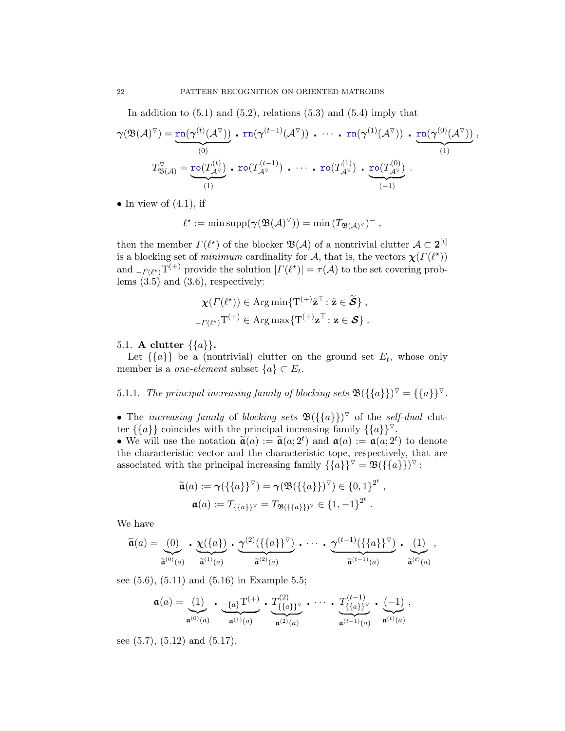In addition to  $(5.1)$  and  $(5.2)$ , relations  $(5.3)$  and  $(5.4)$  imply that

$$
\gamma(\mathfrak{B}(\mathcal{A})^{\triangledown}) = \underbrace{\text{rn}(\gamma^{(t)}(\mathcal{A}^{\triangledown}))}_{(0)} \cdot \text{rn}(\gamma^{(t-1)}(\mathcal{A}^{\triangledown})) \cdot \cdots \cdot \text{rn}(\gamma^{(1)}(\mathcal{A}^{\triangledown})) \cdot \underbrace{\text{rn}(\gamma^{(0)}(\mathcal{A}^{\triangledown}))}_{(1)},
$$
\n
$$
T^{\triangledown}_{\mathfrak{B}(\mathcal{A})} = \underbrace{\text{ro}(T^{(t)}_{\mathcal{A}^{\triangledown}})}_{(1)} \cdot \text{ro}(T^{(t-1)}_{\mathcal{A}^{\triangledown}}) \cdot \cdots \cdot \text{ro}(T^{(1)}_{\mathcal{A}^{\triangledown}}) \cdot \underbrace{\text{ro}(T^{(0)}_{\mathcal{A}^{\triangledown}})}_{(-1)}.
$$

• In view of  $(4.1)$ , if

$$
\ell^{\star} := \min \text{supp}(\gamma(\mathfrak{B}(\mathcal{A})^{\triangledown})) = \min (T_{\mathfrak{B}(\mathcal{A})^{\triangledown}})^{-},
$$

then the member  $\Gamma(\ell^*)$  of the blocker  $\mathfrak{B}(\mathcal{A})$  of a nontrivial clutter  $\mathcal{A} \subset 2^{[t]}$ is a blocking set of minimum cardinality for A, that is, the vectors  $\chi(\Gamma(\ell^*))$ and  $_{-\Gamma(\ell^*)}T^{(+)}$  provide the solution  $|\Gamma(\ell^*)| = \tau(\mathcal{A})$  to the set covering problems  $(3.5)$  and  $(3.6)$ , respectively:

$$
\chi(\Gamma(\ell^*)) \in \operatorname{Arg} \min \{ \mathrm{T}^{(+)} \tilde{\mathbf{z}}^\top : \tilde{\mathbf{z}} \in \tilde{\mathcal{S}} \},
$$
  

$$
_{-\Gamma(\ell^*)} \mathrm{T}^{(+)} \in \operatorname{Arg} \max \{ \mathrm{T}^{(+)} \mathbf{z}^\top : \mathbf{z} \in \mathcal{S} \}.
$$

## <span id="page-21-0"></span>5.1. A clutter  $\{\{a\}\}.$

Let  $\{\{a\}\}\$ be a (nontrivial) clutter on the ground set  $E_t$ , whose only member is a *one-element* subset  $\{a\} \subset E_t$ .

<span id="page-21-1"></span>5.1.1. The principal increasing family of blocking sets  $\mathfrak{B}(\{\{a\}\})^{\nabla} = \{\{a\}\}^{\nabla}$ .

• The increasing family of blocking sets  $\mathfrak{B}(\{\{a\}\})^{\nabla}$  of the self-dual clutter  $\{\{a\}\}\$ coincides with the principal increasing family  $\{\{a\}\}^{\triangledown}$ .

• We will use the notation  $\tilde{\mathfrak{a}}(a) := \tilde{\mathfrak{a}}(a; 2^t)$  and  $\mathfrak{a}(a) := \mathfrak{a}(a; 2^t)$  to denote the ehereteristic vector and the ehereteristic tope, respectively that are the characteristic vector and the characteristic tope, respectively, that are associated with the principal increasing family  $\{\{a\}\}^{\triangledown} = \mathfrak{B}(\{\{a\}\})^{\triangledown}$ :

$$
\widetilde{\mathfrak{a}}(a) := \gamma(\{\{a\}\}^{\nabla}) = \gamma(\mathfrak{B}(\{\{a\}\})^{\nabla}) \in \{0, 1\}^{2^t}, \mathfrak{a}(a) := T_{\{\{a\}\}^{\nabla}} = T_{\mathfrak{B}(\{\{a\}\})^{\nabla}} \in \{1, -1\}^{2^t}.
$$

We have

$$
\widetilde{\mathfrak{a}}(a) = \underbrace{(0)}_{\widetilde{\mathfrak{a}}^{(0)}(a)} \cdot \underbrace{\chi(\{a\})}_{\widetilde{\mathfrak{a}}^{(1)}(a)} \cdot \underbrace{\gamma^{(2)}(\{\{a\}\}^{\triangledown})}_{\widetilde{\mathfrak{a}}^{(2)}(a)} \cdot \cdots \cdot \underbrace{\gamma^{(t-1)}(\{\{a\}\}^{\triangledown})}_{\widetilde{\mathfrak{a}}^{(t-1)}(a)} \cdot \underbrace{(1)}_{\widetilde{\mathfrak{a}}^{(t)}(a)},
$$

see [\(5.6\)](#page-24-0), [\(5.11\)](#page-24-1) and [\(5.16\)](#page-24-2) in Example [5.5;](#page-24-3)

$$
\mathfrak{a}(a) = \underbrace{(1)}_{\mathfrak{a}^{(0)}(a)} \cdot \underbrace{-\{a\}}_{\mathfrak{a}^{(1)}(a)} \cdot \underbrace{T^{(2)}_{\{ \{a\} \}^{\triangledown}}}_{\mathfrak{a}^{(2)}(a)} \cdot \cdots \cdot \underbrace{T^{(t-1)}_{\{ \{a\} \}^{\triangledown}}}_{\mathfrak{a}^{(t-1)}(a)} \cdot \underbrace{(-1)}_{\mathfrak{a}^{(t)}(a)},
$$

see  $(5.7)$ ,  $(5.12)$  and  $(5.17)$ .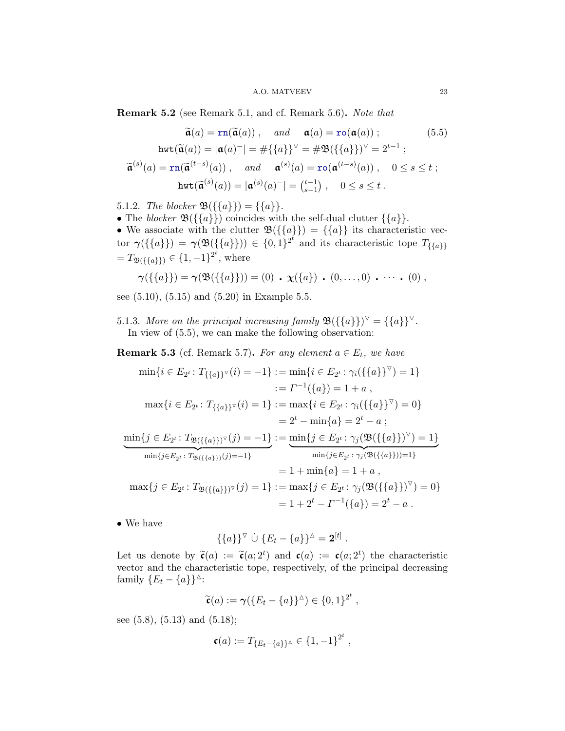<span id="page-22-3"></span>Remark 5.2 (see Remark [5.1,](#page-20-5) and cf. Remark [5.6\)](#page-26-1). Note that

<span id="page-22-2"></span>
$$
\widetilde{\mathbf{a}}(a) = \operatorname{rn}(\widetilde{\mathbf{a}}(a)), \quad \text{and} \quad \mathbf{a}(a) = \operatorname{ro}(\mathbf{a}(a)); \tag{5.5}
$$
\n
$$
\operatorname{hwt}(\widetilde{\mathbf{a}}(a)) = |\mathbf{a}(a)^{-}| = \#\{\{a\}\}^{\nabla} = \#\mathfrak{B}(\{\{a\}\})^{\nabla} = 2^{t-1};
$$
\n
$$
\widetilde{\mathbf{a}}^{(s)}(a) = \operatorname{rn}(\widetilde{\mathbf{a}}^{(t-s)}(a)), \quad \text{and} \quad \mathbf{a}^{(s)}(a) = \operatorname{ro}(\mathbf{a}^{(t-s)}(a)), \quad 0 \le s \le t;
$$
\n
$$
\operatorname{hwt}(\widetilde{\mathbf{a}}^{(s)}(a)) = |\mathbf{a}^{(s)}(a)^{-}| = \binom{t-1}{s-1}, \quad 0 \le s \le t.
$$

<span id="page-22-0"></span>5.1.2. The blocker  $\mathfrak{B}(\{\{a\}\}) = \{\{a\}\}.$ 

• The blocker  $\mathfrak{B}(\{\{a\}\})$  coincides with the self-dual clutter  $\{\{a\}\}.$ 

• We associate with the clutter  $\mathfrak{B}(\{\{a\}\}) = \{\{a\}\}\$ its characteristic vector  $\gamma(\{\{a\}\}) = \gamma(\mathfrak{B}(\{\{a\}\})) \in \{0,1\}^{2^t}$  and its characteristic tope  $T_{\{\{a\}\}}$  $=T_{\mathfrak{B}(\{\{a\}\})}\in\{1,-1\}^{2^t},\$  where

$$
\gamma(\{\{a\}\}) = \gamma(\mathfrak{B}(\{\{a\}\})) = (0) \cdot \chi(\{a\}) \cdot (0, \ldots, 0) \cdot \cdots \cdot (0) ,
$$

see [\(5.10\)](#page-24-7), [\(5.15\)](#page-24-8) and [\(5.20\)](#page-24-9) in Example [5.5.](#page-24-3)

<span id="page-22-1"></span>5.1.3. More on the principal increasing family  $\mathfrak{B}(\{\{a\}\})^{\vee} = \{\{a\}\}^{\vee}$ . In view of [\(5.5\)](#page-22-2), we can make the following observation:

<span id="page-22-4"></span>**Remark 5.3** (cf. Remark [5.7\)](#page-27-2). For any element  $a \in E_t$ , we have

$$
\min\{i \in E_{2} : T_{\{\{a\}\}}\circ(i) = -1\} := \min\{i \in E_{2} : \gamma_{i}(\{\{a\}\}^{\nabla}) = 1\}
$$
\n
$$
:= \Gamma^{-1}(\{a\}) = 1 + a,
$$
\n
$$
\max\{i \in E_{2} : T_{\{\{a\}\}}\circ(i) = 1\} := \max\{i \in E_{2} : \gamma_{i}(\{\{a\}\}^{\nabla}) = 0\}
$$
\n
$$
= 2^{t} - \min\{a\} = 2^{t} - a;
$$
\n
$$
\min\{j \in E_{2} : T_{\mathfrak{B}(\{\{a\}\})^{\nabla}}(j) = -1\} := \min\{j \in E_{2} : \gamma_{j}(\mathfrak{B}(\{\{a\}\})^{\nabla}) = 1\}
$$
\n
$$
\min\{j \in E_{2} : T_{\mathfrak{B}(\{\{a\}\})}(j) = -1\}
$$
\n
$$
= 1 + \min\{a\} = 1 + a,
$$
\n
$$
\max\{j \in E_{2} : T_{\mathfrak{B}(\{\{a\}\})^{\nabla}}(j) = 1\} := \max\{j \in E_{2} : \gamma_{j}(\mathfrak{B}(\{\{a\}\})^{\nabla}) = 0\}
$$
\n
$$
= 1 + 2^{t} - \Gamma^{-1}(\{a\}) = 2^{t} - a.
$$

• We have

$$
\{\{a\}\}^{\triangledown} \dot{\cup} \{E_t - \{a\}\}^{\triangle} = \mathbf{2}^{[t]}.
$$

Let us denote by  $\tilde{\mathfrak{c}}(a) := \tilde{\mathfrak{c}}(a; 2^t)$  and  $\mathfrak{c}(a) := \mathfrak{c}(a; 2^t)$  the characteristic vector and the observatoristic tope, respectively of the principal degrees in vector and the characteristic tope, respectively, of the principal decreasing family  $\{E_t - \{a\}\}^{\Delta}$ :

$$
\widetilde{\mathfrak{c}}(a) := \mathfrak{\gamma}(\lbrace E_t - \lbrace a \rbrace \rbrace^{\Delta}) \in \lbrace 0, 1 \rbrace^{2^t},
$$

see [\(5.8\)](#page-24-10), [\(5.13\)](#page-24-11) and [\(5.18\)](#page-24-12);

$$
\mathfrak{c}(a) := T_{\{E_t - \{a\}\}^\Delta} \in \{1, -1\}^{2^t},
$$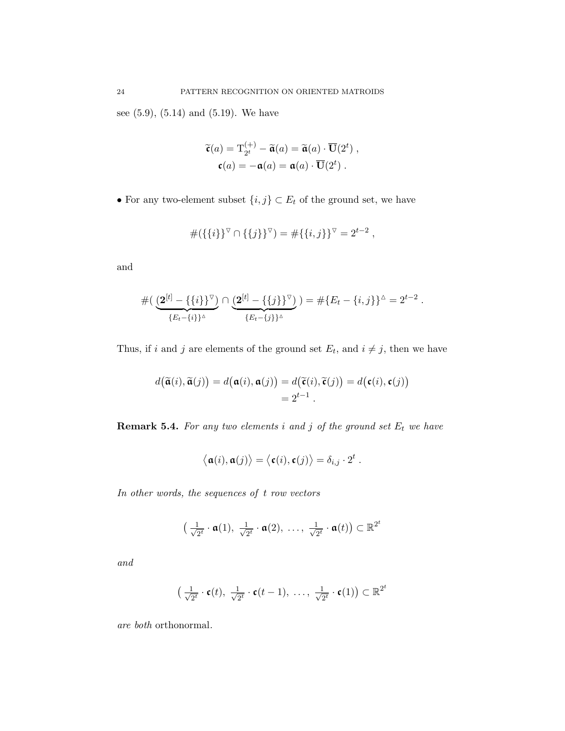see [\(5.9\)](#page-24-13), [\(5.14\)](#page-24-14) and [\(5.19\)](#page-24-15). We have

$$
\widetilde{\mathfrak{c}}(a) = \mathrm{T}_{2^t}^{(+)} - \widetilde{\mathfrak{a}}(a) = \widetilde{\mathfrak{a}}(a) \cdot \overline{\mathbf{U}}(2^t) ,
$$

$$
\mathfrak{c}(a) = -\mathfrak{a}(a) = \mathfrak{a}(a) \cdot \overline{\mathbf{U}}(2^t) .
$$

 $\bullet$  For any two-element subset  $\{i,j\} \subset E_t$  of the ground set, we have

$$
#({\{i\}}^{\nabla} \cap {\{j\}}^{\nabla}) = #{\{i,j\}}^{\nabla} = 2^{t-2},
$$

and

$$
\# \big( \underbrace{(2^{[t]} - \{\{i\}\}^{\triangledown})}_{\{E_t - \{i\}\}^{\triangle}} \cap \underbrace{(2^{[t]} - \{\{j\}\}^{\triangledown})}_{\{E_t - \{j\}\}^{\triangle}} \big) = \# \{E_t - \{i, j\}\}^{\triangle} = 2^{t-2}.
$$

Thus, if i and j are elements of the ground set  $E_t$ , and  $i \neq j$ , then we have

$$
d(\widetilde{\mathfrak{a}}(i),\widetilde{\mathfrak{a}}(j)) = d(\mathfrak{a}(i),\mathfrak{a}(j)) = d(\widetilde{\mathfrak{c}}(i),\widetilde{\mathfrak{c}}(j)) = d(\mathfrak{c}(i),\mathfrak{c}(j))
$$
  
=  $2^{t-1}$ .

**Remark 5.4.** For any two elements i and j of the ground set  $E_t$  we have

$$
\langle \mathfrak{a}(i), \mathfrak{a}(j) \rangle = \langle \mathfrak{c}(i), \mathfrak{c}(j) \rangle = \delta_{i,j} \cdot 2^t.
$$

In other words, the sequences of t row vectors

$$
\left(\frac{1}{\sqrt{2^t}}\cdot \mathfrak{a}(1),\ \frac{1}{\sqrt{2^t}}\cdot \mathfrak{a}(2),\ \ldots,\ \frac{1}{\sqrt{2^t}}\cdot \mathfrak{a}(t)\right)\subset \mathbb{R}^{2^t}
$$

and

$$
\left(\frac{1}{\sqrt{2^t}} \cdot \mathfrak{c}(t), \frac{1}{\sqrt{2^t}} \cdot \mathfrak{c}(t-1), \ldots, \frac{1}{\sqrt{2^t}} \cdot \mathfrak{c}(1)\right) \subset \mathbb{R}^{2^t}
$$

are both orthonormal.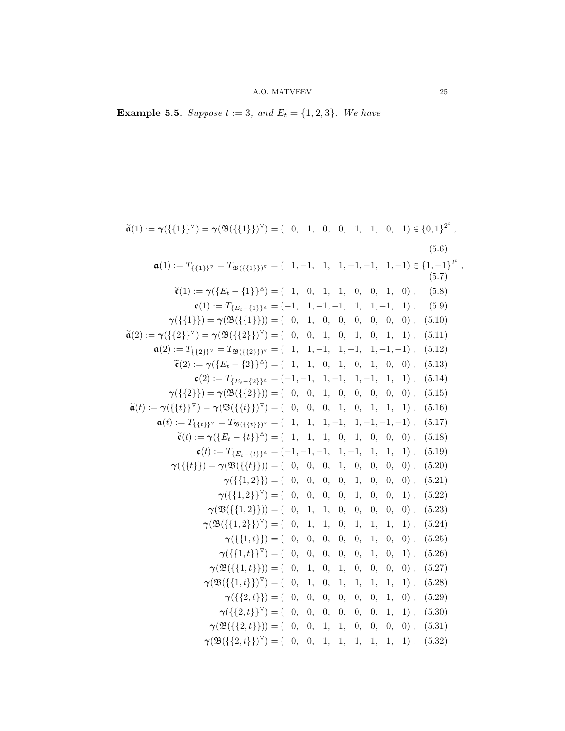<span id="page-24-3"></span>**Example 5.5.** Suppose  $t := 3$ , and  $E_t = \{1, 2, 3\}$ . We have

<span id="page-24-27"></span><span id="page-24-26"></span><span id="page-24-25"></span><span id="page-24-24"></span><span id="page-24-23"></span><span id="page-24-22"></span><span id="page-24-21"></span><span id="page-24-20"></span><span id="page-24-19"></span><span id="page-24-18"></span><span id="page-24-17"></span><span id="page-24-16"></span><span id="page-24-15"></span><span id="page-24-14"></span><span id="page-24-13"></span><span id="page-24-12"></span><span id="page-24-11"></span><span id="page-24-10"></span><span id="page-24-9"></span><span id="page-24-8"></span><span id="page-24-7"></span><span id="page-24-6"></span><span id="page-24-5"></span><span id="page-24-4"></span><span id="page-24-2"></span><span id="page-24-1"></span><span id="page-24-0"></span>
$$
\tilde{\mathbf{a}}(1) := \gamma(\{\{1\}\}^{\circ}) = \gamma(\mathfrak{B}(\{\{1\}\})^{\circ}) = (0, 1, 0, 0, 1, 1, 0, 1) \in \{0, 1\}^{2^{t}},
$$
\n(5.6)  
\n
$$
\mathbf{a}(1) := T_{\{\{1\}\}^{\circ}} = T_{\mathfrak{B}(\{\{1\}\})^{\circ}} = (1, -1, 1, 1, -1, -1, 1, -1) \in \{1, -1\}^{2^{t}},
$$
\n(5.6)  
\n
$$
\tilde{\mathbf{c}}(1) := \gamma(\{E_{t} - \{1\}\}^{\Delta}) = (1, 0, 1, 1, 0, 0, 1, 0),
$$
\n(5.8)  
\n
$$
\mathbf{c}(1) := T_{\{E_{t} - \{1\}\}^{\Delta}} = (-1, 1, -1, -1, 1, 1, -1, 1, 1),
$$
\n(5.9)  
\n
$$
\gamma(\{\{1\}\}) = \gamma(\mathfrak{B}(\{\{1\}\})) = (0, 1, 0, 0, 0, 0, 0, 0),
$$
\n(5.10)  
\n
$$
\tilde{\mathbf{a}}(2) := T_{\{\{\{2\}\}^{\circ}\}} = T_{\mathfrak{B}(\{\{2\}\})^{\circ}} = (0, 0, 1, 0, 1, 0, 1, 1),
$$
\n(5.11)  
\n
$$
\mathbf{a}(2) := T_{\{\{2\}\}^{\circ}} = T_{\mathfrak{B}(\{\{2\}\})^{\circ}} = (1, 1, -1, 1, -1, 1, -1, -1, -1),
$$
\n(5.12)  
\n
$$
\tilde{\mathbf{c}}(2) := T_{\{\{E_{t} - \{2\}\}^{\Delta}} = (-1, -1, 1, -1, 1, -1, 1, 1, 1),
$$
\n(5.13)  
\n
$$
\mathbf{c}(3) := \gamma(\{\{E_{t} - \{2\}\}^{\Delta}) = (0, 0, 1, 0, 1, 0, 1, 0, 0),
$$
\n(5.13)  
\n
$$
\tilde{\math
$$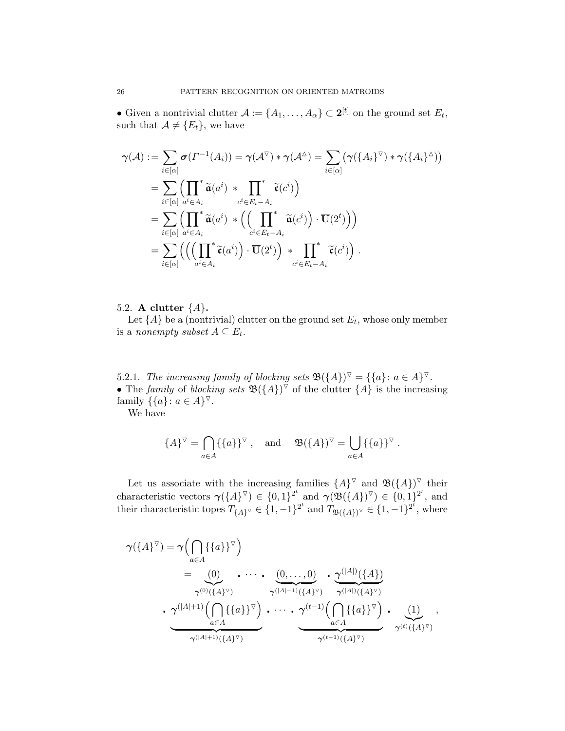• Given a nontrivial clutter  $\mathcal{A} := \{A_1, \ldots, A_\alpha\} \subset \mathbf{2}^{[t]}$  on the ground set  $E_t$ , such that  $A \neq \{E_t\}$ , we have

$$
\gamma(\mathcal{A}) := \sum_{i \in [\alpha]} \sigma(\Gamma^{-1}(A_i)) = \gamma(\mathcal{A}^{\triangledown}) * \gamma(\mathcal{A}^{\triangle}) = \sum_{i \in [\alpha]} (\gamma(\{A_i\}^{\triangledown}) * \gamma(\{A_i\}^{\triangle}))
$$
  
\n
$$
= \sum_{i \in [\alpha]} \Biggl(\prod_{a^i \in A_i}^* \widetilde{\mathfrak{a}}(a^i) * \prod_{c^i \in E_t - A_i}^* \widetilde{\mathfrak{c}}(c^i)\Biggr)
$$
  
\n
$$
= \sum_{i \in [\alpha]} \Biggl(\prod_{a^i \in A_i}^* \widetilde{\mathfrak{a}}(a^i) * \Biggl(\Biggl(\prod_{c^i \in E_t - A_i}^* \widetilde{\mathfrak{a}}(c^i)\Biggr) \cdot \overline{\mathbf{U}}(2^t)\Biggr)\Biggr)
$$
  
\n
$$
= \sum_{i \in [\alpha]} \Biggl(\Biggl(\Biggl(\prod_{a^i \in A_i}^* \widetilde{\mathfrak{c}}(a^i)\Biggr) \cdot \overline{\mathbf{U}}(2^t)\Biggr) * \prod_{c^i \in E_t - A_i}^* \widetilde{\mathfrak{c}}(c^i)\Biggr) .
$$

# <span id="page-25-0"></span>5.2. A clutter  $\{A\}$ .

Let  $\{A\}$  be a (nontrivial) clutter on the ground set  $E_t$ , whose only member is a nonempty subset  $A \subseteq E_t$ .

<span id="page-25-1"></span>5.2.1. The increasing family of blocking sets  $\mathfrak{B}(\{A\})^{\triangledown} = \{\{a\} \colon a \in A\}^{\triangledown}$ . • The family of blocking sets  $\mathfrak{B}(\{A\})^{\nabla}$  of the clutter  $\{A\}$  is the increasing family  $\{ \{a\} : a \in A \}^{\nabla}$ .

We have

$$
\{A\}^{\triangledown} = \bigcap_{a \in A} \{\{a\}\}^{\triangledown} , \text{ and } \mathfrak{B}(\{A\})^{\triangledown} = \bigcup_{a \in A} \{\{a\}\}^{\triangledown} .
$$

Let us associate with the increasing families  $\{A\}^{\nabla}$  and  $\mathfrak{B}(\{A\})^{\nabla}$  their characteristic vectors  $\gamma(\lbrace A \rbrace^{\vee}) \in \lbrace 0,1 \rbrace^{2^t}$  and  $\gamma(\mathfrak{B}(\lbrace A \rbrace)^{\vee}) \in \lbrace 0,1 \rbrace^{2^t}$ , and their characteristic topes  $T_{\{A\}^{\nabla}} \in \{1, -1\}^{2^t}$  and  $T_{\mathfrak{B}(\{A\})^{\nabla}} \in \{1, -1\}^{2^t}$ , where

$$
\gamma(\lbrace A \rbrace^{\triangledown}) = \gamma \Big( \bigcap_{a \in A} \lbrace \lbrace a \rbrace \rbrace^{\triangledown} \Big) \n= \underbrace{(0)}_{\gamma^{(0)}(\lbrace A \rbrace^{\triangledown})} \cdots \cdots \underbrace{(0, \ldots, 0)}_{\gamma^{(|A|-1)}(\lbrace A \rbrace^{\triangledown})} \cdot \underbrace{\gamma^{(|A|)}(\lbrace A \rbrace)}_{\gamma^{(|A|)}(\lbrace A \rbrace^{\triangledown})} \cdot \underbrace{\gamma^{(|A|+1)} \Big( \bigcap_{a \in A} \lbrace \lbrace a \rbrace \rbrace^{\triangledown} \Big)}_{\gamma^{(|A|+1)}(\lbrace A \rbrace^{\triangledown})} \cdot \underbrace{\gamma^{(t-1)} \Big( \bigcap_{a \in A} \lbrace \lbrace a \rbrace \rbrace^{\triangledown} \Big)}_{\gamma^{(t-1)}(\lbrace A \rbrace^{\triangledown})} \cdot \underbrace{(1)}_{\gamma^{(t)}(\lbrace A \rbrace^{\triangledown})} \cdot \underbrace{\gamma^{(t)}(\lbrace A \rbrace^{\triangledown})}_{\gamma^{(t)}(\lbrace A \rbrace^{\triangledown})}
$$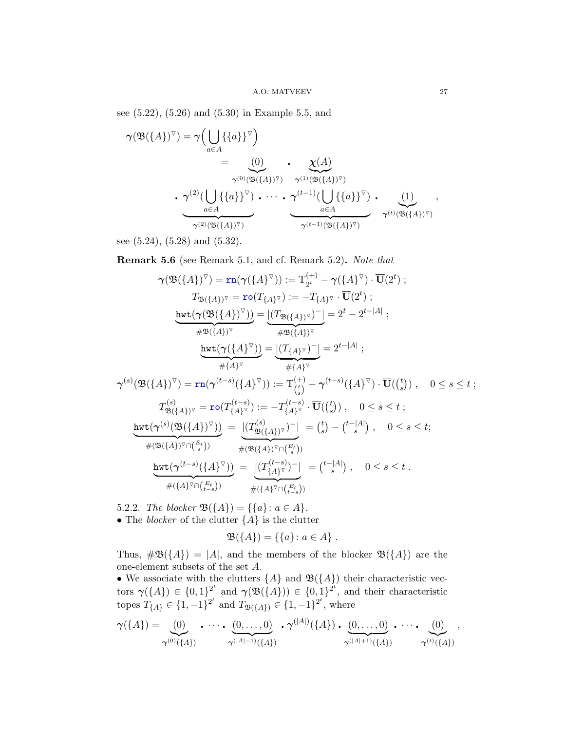see [\(5.22\)](#page-24-16), [\(5.26\)](#page-24-17) and [\(5.30\)](#page-24-18) in Example [5.5,](#page-24-3) and

$$
\gamma(\mathfrak{B}(\{A\})^{\triangledown}) = \gamma \Big( \bigcup_{a \in A} \{\{a\}\}^{\triangledown} \Big) \n= \underbrace{(0)}_{\gamma^{(0)}(\mathfrak{B}(\{A\})^{\triangledown})} \cdot \underbrace{\chi(A)}_{\gamma^{(1)}(\mathfrak{B}(\{A\})^{\triangledown})} \cdot \underbrace{\chi(A)}_{a \in A} \n\cdot \underbrace{\gamma^{(2)}(\bigcup_{a \in A} \{\{a\}\}^{\triangledown}) \cdot \cdots \cdot \underbrace{\gamma^{(t-1)}(\bigcup_{a \in A} \{\{a\}\}^{\triangledown})}_{\gamma^{(t-1)}(\mathfrak{B}(\{A\})^{\triangledown})} \cdot \underbrace{(1)}_{\gamma^{(t)}(\mathfrak{B}(\{A\})^{\triangledown})},
$$

see [\(5.24\)](#page-24-19), [\(5.28\)](#page-24-20) and [\(5.32\)](#page-24-21).

<span id="page-26-1"></span>Remark 5.6 (see Remark [5.1,](#page-20-5) and cf. Remark [5.2\)](#page-22-3). Note that

$$
\gamma(\mathfrak{B}(\{A\})^{\triangledown}) = \operatorname{rn}(\gamma(\{A\}^{\triangledown})) := \mathbf{T}_{2^{t}}^{(+)} - \gamma(\{A\}^{\triangledown}) \cdot \overline{\mathbf{U}}(2^{t}) ;
$$
\n
$$
T_{\mathfrak{B}(\{A\})^{\triangledown}} = \operatorname{ro}(T_{\{A\}^{\triangledown}}) := -T_{\{A\}^{\triangledown}} \cdot \overline{\mathbf{U}}(2^{t}) ;
$$
\n
$$
\underline{\operatorname{hwt}(\gamma(\mathfrak{B}(\{A\})^{\triangledown}))} = \underbrace{|(T_{\mathfrak{B}(\{A\})^{\triangledown}})^{-}|}_{\# \mathfrak{B}(\{A\})^{\triangledown}} = 2^{t} - 2^{t-|A|} ;
$$
\n
$$
\underline{\operatorname{hwt}(\gamma(\{A\}^{\triangledown}))} = \underbrace{|(T_{\{A\}^{\triangledown})})^{-}|}_{\# \{A\}^{\triangledown}} = 2^{t-|A|} ;
$$
\n
$$
\gamma^{(s)}(\mathfrak{B}(\{A\})^{\triangledown}) = \operatorname{rn}(\gamma^{(t-s)}(\{A\}^{\triangledown})) := \mathbf{T}_{(s)}^{(+)} - \gamma^{(t-s)}(\{A\}^{\triangledown}) \cdot \overline{\mathbf{U}}(\binom{t}{s}) , \quad 0 \le s \le t ;
$$
\n
$$
T_{\mathfrak{B}(\{A\})^{\triangledown}}^{(s)} = \operatorname{ro}(T_{\{A\}^{\triangledown})}^{(t-s)} := -T_{\{A\}^{\triangledown}}^{(t-s)} \cdot \overline{\mathbf{U}}(\binom{t}{s}) , \quad 0 \le s \le t ;
$$
\n
$$
\underline{\operatorname{hwt}(\gamma^{(s)}(\mathfrak{B}(\{A\})^{\triangledown}))} = \underbrace{|(T_{\mathfrak{B}(\{A\})^{\triangledown} \cap \binom{E_{t}}{s})|}_{\# (\mathfrak{B}(\{A\})^{\triangledown} \cap \binom{E_{t}}{s})|} = \underbrace{|(T_{\{A\}^{\triangledown})}^{(t-s)} - (T_{\{A\}^{\triangledown})}^{(-1)}|}_{\#(\{A\}^{\triangled
$$

<span id="page-26-0"></span>5.2.2. The blocker  $\mathfrak{B}(\{A\}) = \{\{a\} : a \in A\}.$ • The *blocker* of the clutter  $\{A\}$  is the clutter

$$
\mathfrak{B}(\{A\}) = \{\{a\} \colon a \in A\} .
$$

Thus,  $\#\mathfrak{B}(\{A\}) = |A|$ , and the members of the blocker  $\mathfrak{B}(\{A\})$  are the one-element subsets of the set A.

• We associate with the clutters  $\{A\}$  and  $\mathfrak{B}(\{A\})$  their characteristic vectors  $\gamma(\lbrace A \rbrace) \in \lbrace 0,1 \rbrace^{2^t}$  and  $\gamma(\mathfrak{B}(\lbrace A \rbrace)) \in \lbrace 0,1 \rbrace^{2^t}$ , and their characteristic topes  $T_{\{A\}} \in \{1, -1\}^{2^t}$  and  $T_{\mathfrak{B}(\{A\})} \in \{1, -1\}^{2^t}$ , where

$$
\gamma(\{A\}) = \underbrace{(0)}_{\gamma^{(0)}(\{A\})} \cdot \cdots \cdot \underbrace{(0, \ldots, 0)}_{\gamma^{(|A|-1)}(\{A\})} \cdot \gamma^{(|A|)}(\{A\}) \cdot \underbrace{(0, \ldots, 0)}_{\gamma^{(|A|+1)}(\{A\})} \cdot \cdots \cdot \underbrace{(0)}_{\gamma^{(t)}(\{A\})},
$$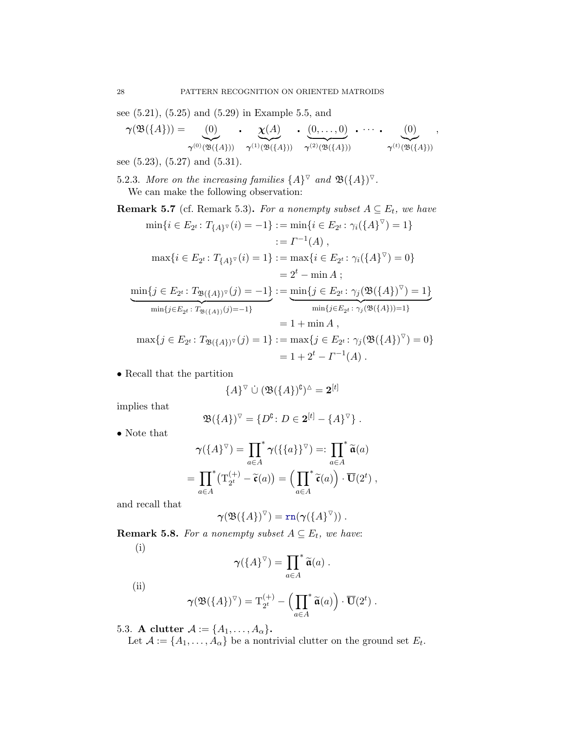see [\(5.21\)](#page-24-22), [\(5.25\)](#page-24-23) and [\(5.29\)](#page-24-24) in Example [5.5,](#page-24-3) and

$$
\gamma(\mathfrak{B}(\{A\})) = \underbrace{(0)}_{\gamma^{(0)}(\mathfrak{B}(\{A\}))} \cdot \underbrace{\chi(A)}_{\gamma^{(1)}(\mathfrak{B}(\{A\}))} \cdot \underbrace{(0,\ldots,0)}_{\gamma^{(2)}(\mathfrak{B}(\{A\}))} \cdot \cdots \cdot \underbrace{(0)}_{\gamma^{(t)}(\mathfrak{B}(\{A\}))},
$$

see [\(5.23\)](#page-24-25), [\(5.27\)](#page-24-26) and [\(5.31\)](#page-24-27).

<span id="page-27-0"></span>5.2.3. More on the increasing families  $\{A\}^{\nabla}$  and  $\mathfrak{B}(\{A\})^{\nabla}$ .

We can make the following observation:

<span id="page-27-2"></span>**Remark 5.7** (cf. Remark [5.3\)](#page-22-4). For a nonempty subset  $A \subseteq E_t$ , we have

$$
\min\{i \in E_{2^t} : T_{\{A\}^{\nabla}}(i) = -1\} := \min\{i \in E_{2^t} : \gamma_i(\{A\}^{\nabla}) = 1\}
$$
  
\n
$$
:= \Gamma^{-1}(A),
$$
  
\n
$$
\max\{i \in E_{2^t} : T_{\{A\}^{\nabla}}(i) = 1\} := \max\{i \in E_{2^t} : \gamma_i(\{A\}^{\nabla}) = 0\}
$$
  
\n
$$
= 2^t - \min A;
$$
  
\n
$$
\min\{j \in E_{2^t} : T_{\mathfrak{B}(\{A\})^{\nabla}}(j) = -1\} := \min\{j \in E_{2^t} : \gamma_j(\mathfrak{B}(\{A\})^{\nabla}) = 1\}
$$
  
\n
$$
\min\{j \in E_{2^t} : T_{\mathfrak{B}(\{A\})}(j) = -1\}
$$
  
\n
$$
= 1 + \min A,
$$
  
\n
$$
\max\{j \in E_{2^t} : T_{\mathfrak{B}(\{A\})^{\nabla}}(j) = 1\} := \max\{j \in E_{2^t} : \gamma_j(\mathfrak{B}(\{A\})^{\nabla}) = 0\}
$$
  
\n
$$
= 1 + 2^t - \Gamma^{-1}(A).
$$

• Recall that the partition

$$
\{A\}^\nabla \stackrel{.}{\cup} (\mathfrak{B}(\{A\})^{\complement})^{\vartriangle} = \mathbf{2}^{[t]}
$$

implies that

$$
\mathfrak{B}(\lbrace A \rbrace)^{\triangledown} = \lbrace D^{\complement} \colon D \in \mathbf{2}^{[t]} - \lbrace A \rbrace^{\triangledown} \rbrace.
$$

• Note that

$$
\gamma(\lbrace A \rbrace^{\triangledown}) = \prod_{a \in A}^* \gamma(\lbrace \lbrace a \rbrace \rbrace^{\triangledown}) =: \prod_{a \in A}^* \widetilde{\mathfrak{a}}(a)
$$

$$
= \prod_{a \in A}^* (\mathbf{T}_{2^t}^{(+)} - \widetilde{\mathfrak{c}}(a)) = \left( \prod_{a \in A}^* \widetilde{\mathfrak{c}}(a) \right) \cdot \overline{\mathbf{U}}(2^t) ,
$$

and recall that

$$
\gamma(\mathfrak{B}(\lbrace A \rbrace)^{\triangledown}) = \mathrm{rn}(\gamma(\lbrace A \rbrace^{\triangledown})) .
$$

<span id="page-27-3"></span>**Remark 5.8.** For a nonempty subset  $A \subseteq E_t$ , we have: (i)

$$
\gamma(\lbrace A \rbrace^{\triangledown}) = \prod_{a \in A}^* \widetilde{\mathfrak{a}}(a) .
$$

(ii)

$$
\gamma(\mathfrak{B}(\{A\})^{\triangledown}) = \mathrm{T}_{2^t}^{(+)} - \left(\prod_{a \in A}^* \widetilde{\mathfrak{a}}(a)\right) \cdot \overline{\mathbf{U}}(2^t) .
$$

<span id="page-27-1"></span>5.3. A clutter  $\mathcal{A} := \{A_1, \ldots, A_\alpha\}.$ 

Let  $\mathcal{A} := \{A_1, \ldots, A_\alpha\}$  be a nontrivial clutter on the ground set  $E_t$ .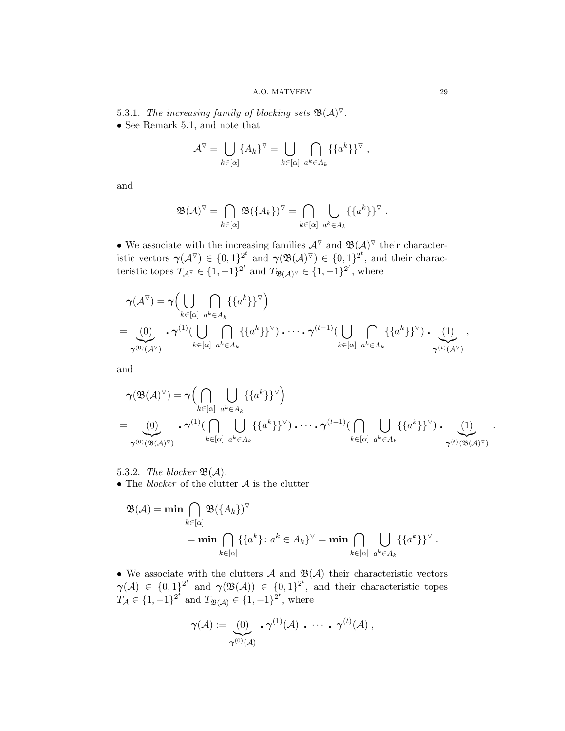<span id="page-28-0"></span>5.3.1. The increasing family of blocking sets  $\mathfrak{B}(\mathcal{A})^{\triangledown}$ .

• See Remark [5.1,](#page-20-5) and note that

$$
\mathcal{A}^{\nabla} = \bigcup_{k \in [\alpha]} \{A_k\}^{\nabla} = \bigcup_{k \in [\alpha]} \bigcap_{a^k \in A_k} \{\{a^k\}\}^{\nabla},
$$

and

$$
\mathfrak{B}(\mathcal{A})^{\nabla} = \bigcap_{k \in [\alpha]} \mathfrak{B}(\{A_k\})^{\nabla} = \bigcap_{k \in [\alpha]} \bigcup_{a^k \in A_k} \{\{a^k\}\}^{\nabla}.
$$

• We associate with the increasing families  $\mathcal{A}^{\nabla}$  and  $\mathfrak{B}(\mathcal{A})^{\nabla}$  their characteristic vectors  $\gamma(\mathcal{A}^{\nabla}) \in \{0,1\}^{2^t}$  and  $\gamma(\mathfrak{B}(\mathcal{A})^{\nabla}) \in \{0,1\}^{2^t}$ , and their characteristic topes  $T_{\mathcal{A}^{\nabla}} \in \{1, -1\}^{2^t}$  and  $T_{\mathfrak{B}(\mathcal{A})^{\nabla}} \in \{1, -1\}^{2^t}$ , where

$$
\gamma(\mathcal{A}^{\triangledown}) = \gamma \Big( \bigcup_{k \in [\alpha]} \bigcap_{a^k \in A_k} \{ \{a^k\} \}^{\triangledown} \Big) \n= \underbrace{(0)}_{\gamma^{(0)}(\mathcal{A}^{\triangledown})} \cdot \gamma^{(1)}(\bigcup_{k \in [\alpha]} \bigcap_{a^k \in A_k} \{ \{a^k\} \}^{\triangledown}) \cdot \dots \cdot \gamma^{(t-1)}(\bigcup_{k \in [\alpha]} \bigcap_{a^k \in A_k} \{ \{a^k\} \}^{\triangledown}) \cdot \bigcup_{\gamma^{(t)}(\mathcal{A}^{\triangledown})} \gamma^{(t)}(\mathcal{A}^{\triangledown})
$$

and

$$
\gamma(\mathfrak{B}(\mathcal{A})^{\triangledown}) = \gamma \Big( \bigcap_{k \in [\alpha]} \bigcup_{a^k \in A_k} \{ \{a^k\} \}^{\triangledown} \Big)
$$
\n
$$
= \bigotimes_{\gamma^{(0)}(\mathfrak{B}(\mathcal{A})^{\triangledown})} \cdot \gamma^{(1)} \Big( \bigcap_{k \in [\alpha]} \bigcup_{a^k \in A_k} \{ \{a^k\} \}^{\triangledown}) \cdot \dots \cdot \gamma^{(t-1)} \Big( \bigcap_{k \in [\alpha]} \bigcup_{a^k \in A_k} \{ \{a^k\} \}^{\triangledown}) \cdot \bigcup_{\gamma^{(t)}(\mathfrak{B}(\mathcal{A})^{\triangledown})} \{ \}^{\preangledown} \Big)
$$

- <span id="page-28-1"></span>5.3.2. The blocker  $\mathfrak{B}(\mathcal{A})$ .
- $\bullet$  The  $block$  of the clutter  ${\mathcal A}$  is the clutter

$$
\mathfrak{B}(\mathcal{A}) = \min \bigcap_{k \in [\alpha]} \mathfrak{B}(\{A_k\})^{\nabla}
$$
  
= 
$$
\min \bigcap_{k \in [\alpha]} \{\{a^k\} : a^k \in A_k\}^{\nabla} = \min \bigcap_{k \in [\alpha]} \bigcup_{a^k \in A_k} \{\{a^k\}\}^{\nabla}.
$$

• We associate with the clutters  $A$  and  $\mathfrak{B}(A)$  their characteristic vectors  $\gamma(\mathcal{A}) \in \{0,1\}^{2^t}$  and  $\gamma(\mathfrak{B}(\mathcal{A})) \in \{0,1\}^{2^t}$ , and their characteristic topes  $T_A \in \{1, -1\}^{2^t}$  and  $T_{\mathfrak{B}(\mathcal{A})} \in \{1, -1\}^{2^t}$ , where

$$
\gamma(\mathcal{A}) := \underbrace{\left(0\right)}_{\gamma^{(0)}(\mathcal{A})} \cdot \gamma^{(1)}(\mathcal{A}) \cdot \cdots \cdot \gamma^{(t)}(\mathcal{A}) ,
$$

.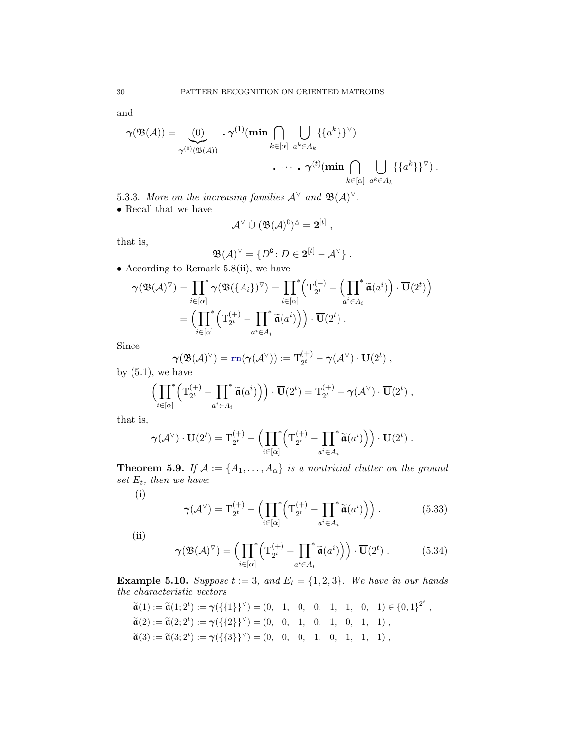and

$$
\gamma(\mathfrak{B}(\mathcal{A})) = \bigcup_{\gamma^{(0)}(\mathfrak{B}(\mathcal{A}))} \cdot \gamma^{(1)}(\min \bigcap_{k \in [\alpha]} \bigcup_{a^k \in A_k} \{ \{a^k\} \}^{\triangledown})
$$

$$
\cdots \cdot \gamma^{(t)}(\min \bigcap_{k \in [\alpha]} \bigcup_{a^k \in A_k} \{ \{a^k\} \}^{\triangledown}) .
$$

<span id="page-29-0"></span>5.3.3. More on the increasing families  $\mathcal{A}^{\triangledown}$  and  $\mathfrak{B}(\mathcal{A})^{\triangledown}$ .

 $\bullet$  Recall that we have

$$
\mathcal{A}^\triangledown \ \dot\cup \ (\mathfrak{B}(\mathcal{A})^\complement)^\vartriangle = 2^{[t]} \ ,
$$

that is,

$$
\mathfrak{B}(\mathcal{A})^{\nabla} = \{ D^{\complement} \colon D \in \mathbf{2}^{[t]} - \mathcal{A}^{\nabla} \}.
$$

• According to Remark [5.8\(](#page-27-3)ii), we have

$$
\gamma(\mathfrak{B}(\mathcal{A})^{\triangledown}) = \prod_{i \in [\alpha]}^* \gamma(\mathfrak{B}(\{A_i\})^{\triangledown}) = \prod_{i \in [\alpha]}^* \left(\mathbf{T}_{2^t}^{(+)} - \left(\prod_{a^i \in A_i}^* \widetilde{\mathfrak{a}}(a^i)\right) \cdot \overline{\mathbf{U}}(2^t)\right)
$$

$$
= \left(\prod_{i \in [\alpha]}^* \left(\mathbf{T}_{2^t}^{(+)} - \prod_{a^i \in A_i}^* \widetilde{\mathfrak{a}}(a^i)\right)\right) \cdot \overline{\mathbf{U}}(2^t).
$$

Since

$$
\boldsymbol{\gamma}(\mathfrak{B}(\mathcal{A})^{\triangledown})=\mathrm{rn}(\boldsymbol{\gamma}(\mathcal{A}^{\triangledown})):=\mathrm{T}_{2^t}^{(+)}-\boldsymbol{\gamma}(\mathcal{A}^{\triangledown})\cdot\overline{\mathbf{U}}(2^t)\;,
$$
 have

by  $(5.1)$ , we have

$$
\left(\prod_{i\in[\alpha]}^{*} \left(\mathrm{T}_{2^t}^{(+)}-\prod_{a^i\in A_i}^{*} \widetilde{\mathfrak{a}}(a^i)\right)\right)\cdot \overline{\mathbf{U}}(2^t)=\mathrm{T}_{2^t}^{(+)}-\gamma(\mathcal{A}^{\triangledown})\cdot \overline{\mathbf{U}}(2^t) ,
$$

that is,

$$
\boldsymbol{\gamma}(\mathcal{A}^{\triangledown})\cdot\overline{\mathbf{U}}(2^t)=\mathrm{T}_{2^t}^{(+)}-\Bigl(\prod_{i\in[\alpha]}^{*}\Bigl(\mathrm{T}_{2^t}^{(+)}-\prod_{a^i\in A_i}^{*}\widetilde{\mathbf{a}}(a^i)\Bigr)\Bigr)\cdot\overline{\mathbf{U}}(2^t) .
$$

<span id="page-29-1"></span>**Theorem 5.9.** If  $A := \{A_1, \ldots, A_\alpha\}$  is a nontrivial clutter on the ground set  $E_t$ , then we have:

(i)

$$
\gamma(\mathcal{A}^{\triangledown}) = \mathcal{T}_{2^t}^{(+)} - \left(\prod_{i \in [\alpha]}^* \left(\mathcal{T}_{2^t}^{(+)} - \prod_{a^i \in A_i}^* \widetilde{\mathfrak{a}}(a^i)\right)\right). \tag{5.33}
$$

(ii)

$$
\gamma(\mathfrak{B}(\mathcal{A})^{\triangledown}) = \left(\prod_{i \in [\alpha]} \left(\mathbf{T}_{2^t}^{(+)} - \prod_{a^i \in A_i} \widetilde{\mathfrak{a}}(a^i)\right)\right) \cdot \overline{\mathbf{U}}(2^t) . \tag{5.34}
$$

<span id="page-29-2"></span>**Example 5.10.** Suppose  $t := 3$ , and  $E_t = \{1, 2, 3\}$ . We have in our hands the characteristic vectors

$$
\widetilde{\mathfrak{a}}(1) := \widetilde{\mathfrak{a}}(1; 2^t) := \gamma(\{\{1\}\}^{\nabla}) = (0, 1, 0, 0, 1, 1, 0, 1) \in \{0, 1\}^{2^t}, \n\widetilde{\mathfrak{a}}(2) := \widetilde{\mathfrak{a}}(2; 2^t) := \gamma(\{\{2\}\}^{\nabla}) = (0, 0, 1, 0, 1, 0, 1, 1), \n\widetilde{\mathfrak{a}}(3) := \widetilde{\mathfrak{a}}(3; 2^t) := \gamma(\{\{3\}\}^{\nabla}) = (0, 0, 0, 1, 0, 1, 1, 1),
$$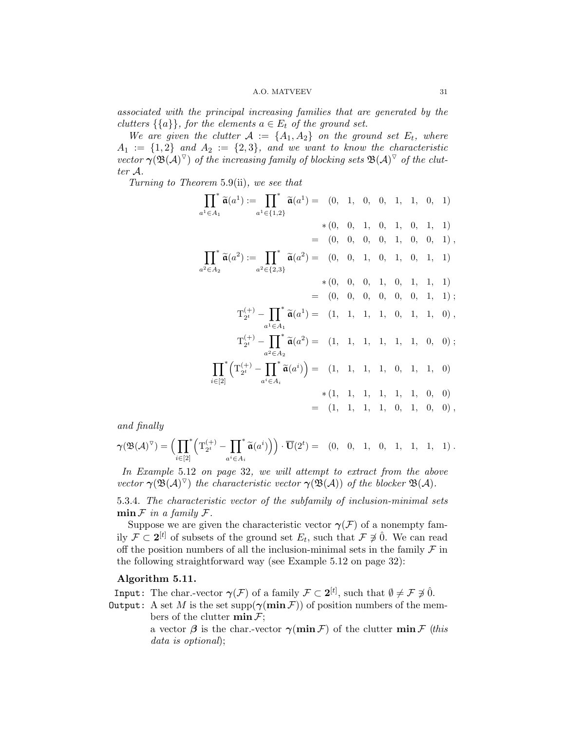#### A.O. MATVEEV 31

associated with the principal increasing families that are generated by the clutters  $\{\{a\}\}\$ , for the elements  $a \in E_t$  of the ground set.

We are given the clutter  $A := \{A_1, A_2\}$  on the ground set  $E_t$ , where  $A_1 := \{1,2\}$  and  $A_2 := \{2,3\}$ , and we want to know the characteristic vector  $\gamma(\mathfrak{B}(\mathcal{A})^{\triangledown})$  of the increasing family of blocking sets  $\mathfrak{B}(\mathcal{A})^{\triangledown}$  of the clutter A.

Turning to Theorem [5.9\(](#page-29-1)ii), we see that

$$
\prod_{a^1 \in A_1}^* \tilde{\mathfrak{a}}(a^1) := \prod_{a^1 \in \{1,2\}}^* \tilde{\mathfrak{a}}(a^1) = (0, 1, 0, 0, 1, 1, 0, 1)
$$
  
\n
$$
= (0, 0, 0, 0, 1, 0, 1, 0, 0, 1),
$$
  
\n
$$
\prod_{a^2 \in A_2}^* \tilde{\mathfrak{a}}(a^2) := \prod_{a^2 \in \{2,3\}}^* \tilde{\mathfrak{a}}(a^2) = (0, 0, 1, 0, 1, 0, 1, 1)
$$
  
\n
$$
= (0, 0, 0, 1, 0, 1, 0, 1, 1)
$$
  
\n
$$
= (0, 0, 0, 0, 1, 0, 1, 1, 1)
$$
  
\n
$$
= (0, 0, 0, 0, 0, 1, 1, 1)
$$
  
\n
$$
= (0, 0, 0, 0, 0, 1, 1, 1)
$$
  
\n
$$
\text{T}_{2^t}^{(+)} - \prod_{a^1 \in A_1}^* \tilde{\mathfrak{a}}(a^1) = (1, 1, 1, 1, 1, 1, 1, 0, 0);
$$
  
\n
$$
\prod_{a^2 \in A_2}^* \left( \text{T}_{2^t}^{(+)} - \prod_{a^2 \in A_i}^* \tilde{\mathfrak{a}}(a^i) \right) = (1, 1, 1, 1, 1, 0, 1, 1, 0, 0)
$$
  
\n
$$
= (1, 1, 1, 1, 1, 1, 0, 1, 0, 0)
$$
  
\n
$$
= (1, 1, 1, 1, 1, 0, 1, 0, 0),
$$

and finally

$$
\gamma(\mathfrak{B}(\mathcal{A})^{\triangledown})=\Big(\prod_{i\in[2]}^*\Big(\mathcal{T}_{2^t}^{(+)}-\prod_{a^i\in A_i}^*\widetilde{\mathfrak{a}}(a^i)\Big)\Big)\cdot\overline{\mathbf{U}}(2^t)=\quad(0,\quad 0,\quad 1,\quad 0,\quad 1,\quad 1,\quad 1,\quad 1)\;.
$$

In Example [5.12](#page-31-1) on page [32](#page-31-1), we will attempt to extract from the above vector  $\gamma(\mathfrak{B}(\mathcal{A})^{\triangledown})$  the characteristic vector  $\gamma(\mathfrak{B}(\mathcal{A}))$  of the blocker  $\mathfrak{B}(\mathcal{A})$ .

<span id="page-30-0"></span>5.3.4. The characteristic vector of the subfamily of inclusion-minimal sets  $\min \mathcal{F}$  in a family  $\mathcal{F}.$ 

Suppose we are given the characteristic vector  $\gamma(\mathcal{F})$  of a nonempty family  $\mathcal{F} \subset 2^{[t]}$  of subsets of the ground set  $E_t$ , such that  $\mathcal{F} \not\ni \hat{0}$ . We can read off the position numbers of all the inclusion-minimal sets in the family  $\mathcal F$  in the following straightforward way (see Example [5.12](#page-31-1) on page [32\)](#page-31-1):

# <span id="page-30-1"></span>Algorithm 5.11.

**Input:** The char.-vector  $\gamma(\mathcal{F})$  of a family  $\mathcal{F} \subset 2^{[t]}$ , such that  $\emptyset \neq \mathcal{F} \neq \hat{0}$ .

Output: A set M is the set supp $(\gamma(\min \mathcal{F}))$  of position numbers of the members of the clutter  $\min \mathcal{F}$ ;

> a vector  $\beta$  is the char.-vector  $\gamma(\min \mathcal{F})$  of the clutter  $\min \mathcal{F}$  (this data is optional);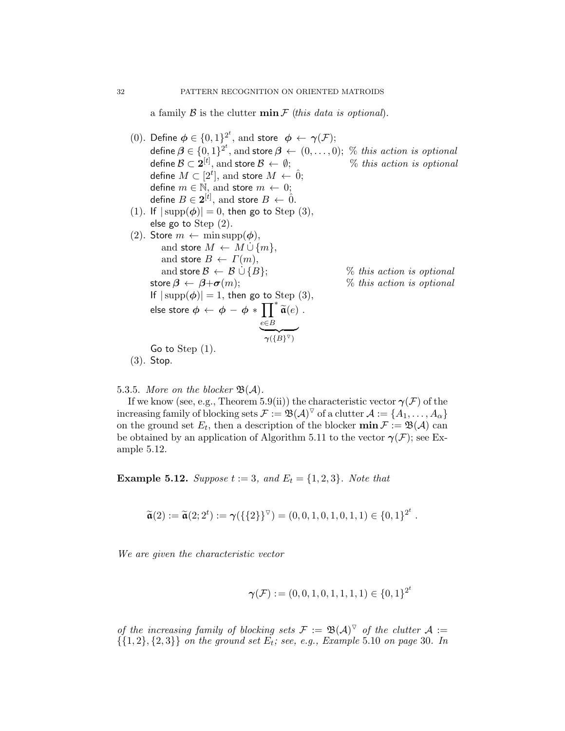a family  $\beta$  is the clutter  $\min \mathcal{F}$  (this data is optional).

- (0). Define  $\phi \in \{0,1\}^{2^t}$ , and store  $\phi \leftarrow \gamma(\mathcal{F});$ define  $\boldsymbol{\beta} \in \{0,1\}^{2^t},$  and store  $\boldsymbol{\beta} \leftarrow (0,\ldots,0);$  % this action is optional define  $\mathcal{B}\subset \mathbf{2}^{[t]}$  $%$  this action is optional define  $M\subset[2^t],$  and store  $M\,\leftarrow\,\hat{0};$ define  $m \in \mathbb{N}$ , and store  $m \leftarrow 0$ ; define  $B \in {\bf 2}^{[t]},$  and store  $B \, \leftarrow \, \hat{0}.$ (1). If  $|\text{supp}(\phi)| = 0$ , then go to Step (3), else go to Step (2). (2). Store  $m \leftarrow \min \text{supp}(\boldsymbol{\phi}),$ and store  $M \leftarrow M \cup \{m\},\$ and store  $B \leftarrow \Gamma(m)$ , and store  $\mathcal{B} \leftarrow \mathcal{B} \cup \{B\};$  % this action is optional store  $\beta \leftarrow \beta + \sigma(m)$ ; % this action is optional If  $|\text{supp}(\phi)| = 1$ , then go to Step (3), else store  $\phi \leftarrow \phi - \phi * \prod^*$  $\prod_{e\in B} \widetilde{\mathfrak{a}}(e)$  $\gamma(\lbrace B \rbrace^{\triangledown})$ . Go to Step (1). (3). Stop.
- <span id="page-31-0"></span>5.3.5. More on the blocker  $\mathfrak{B}(\mathcal{A})$ .

If we know (see, e.g., Theorem [5.9\(](#page-29-1)ii)) the characteristic vector  $\gamma(\mathcal{F})$  of the increasing family of blocking sets  $\mathcal{F}:=\mathfrak{B}(\mathcal{A})^\triangledown$  of a clutter  $\mathcal{A}:=\{A_1,\ldots,A_\alpha\}$ on the ground set  $E_t$ , then a description of the blocker  $\min \mathcal{F} := \mathfrak{B}(\mathcal{A})$  can be obtained by an application of Algorithm [5.11](#page-30-1) to the vector  $\gamma(\mathcal{F})$ ; see Example [5.12.](#page-31-1)

<span id="page-31-1"></span>**Example 5.12.** Suppose  $t := 3$ , and  $E_t = \{1, 2, 3\}$ . Note that

$$
\widetilde{\mathfrak{a}}(2) := \widetilde{\mathfrak{a}}(2; 2^t) := \gamma(\{\{2\}\}^{\triangledown}) = (0, 0, 1, 0, 1, 0, 1, 1) \in \{0, 1\}^{2^t}.
$$

We are given the characteristic vector

$$
\pmb{\gamma}(\mathcal{F}):=(0,0,1,0,1,1,1,1)\in\{0,1\}^{2^t}
$$

of the increasing family of blocking sets  $\mathcal{F} := \mathfrak{B}(\mathcal{A})^{\nabla}$  of the clutter  $\mathcal{A} :=$  $\{ \{1,2\}, \{2,3\} \}$  on the ground set  $E_t$ ; see, e.g., Example [5.10](#page-29-2) on page [30](#page-29-2). In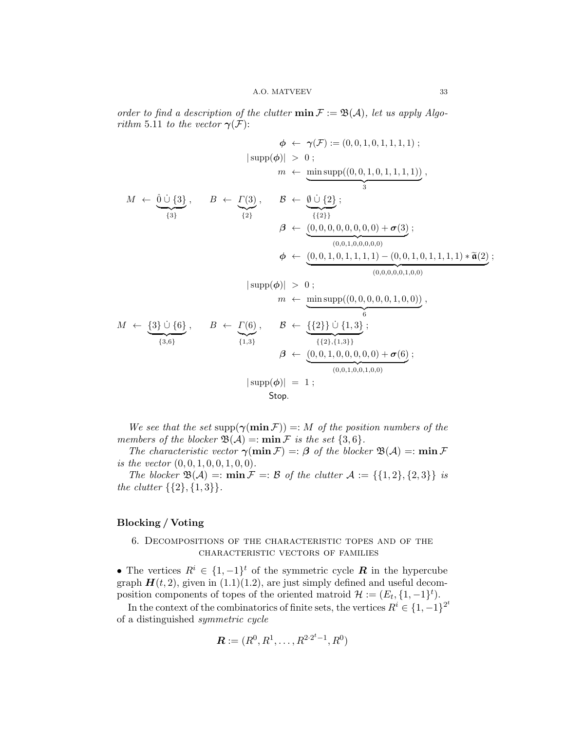order to find a description of the clutter  $\min \mathcal{F} := \mathfrak{B}(\mathcal{A})$ , let us apply Algo-rithm [5.11](#page-30-1) to the vector  $\gamma(\mathcal{F})$ :

$$
\phi \leftarrow \gamma(\mathcal{F}) := (0, 0, 1, 0, 1, 1, 1, 1);
$$
\n
$$
|\operatorname{supp}(\phi)| > 0 ;
$$
\n
$$
m \leftarrow \underbrace{\min_{\{3\}} \operatorname{supp}((0, 0, 1, 0, 1, 1, 1, 1))}_{3},
$$
\n
$$
M \leftarrow \underbrace{\hat{0} \cup \{3\}}_{\{3\}}, \quad B \leftarrow \underbrace{\Gamma(3)}_{\{2\}}, \quad \underbrace{\beta \leftarrow \underbrace{\hat{0} \cup \{2\}}_{\{42\}}; ;
$$
\n
$$
\beta \leftarrow \underbrace{(0, 0, 0, 0, 0, 0, 0, 0) + \sigma(3)}_{(0, 0, 1, 0, 0, 0, 0, 0)};
$$
\n
$$
\phi \leftarrow \underbrace{(0, 0, 1, 0, 1, 1, 1, 1) - (0, 0, 1, 0, 1, 1, 1, 1) * \tilde{\mathfrak{a}}(2)}_{(0, 0, 0, 0, 0, 1, 0, 0)};
$$
\n
$$
| \operatorname{supp}(\phi) | > 0 ;
$$
\n
$$
m \leftarrow \underbrace{\min_{\{3\}} \operatorname{supp}((0, 0, 0, 0, 0, 1, 0, 0))}_{6},
$$
\n
$$
M \leftarrow \underbrace{\{3\} \cup \{6\}}_{\{3, 6\}}, \quad B \leftarrow \underbrace{\Gamma(6)}_{\{1, 3\}}, \quad \beta \leftarrow \underbrace{\{2\}\} \cup \{1, 3\};}_{\{1, 3\}},
$$
\n
$$
\beta \leftarrow \underbrace{(0, 0, 1, 0, 0, 0, 0, 0) + \sigma(6)}_{(0, 0, 1, 0, 0, 1, 0, 0, 0)};
$$
\n
$$
| \operatorname{supp}(\phi) | = 1 ;
$$
\n
$$
\operatorname{Stop.}
$$

We see that the set supp $(\gamma(\min \mathcal{F})) =: M$  of the position numbers of the members of the blocker  $\mathfrak{B}(\mathcal{A}) =: \min \mathcal{F}$  is the set  $\{3,6\}.$ 

The characteristic vector  $\gamma(\min \mathcal{F}) =: \beta$  of the blocker  $\mathfrak{B}(\mathcal{A}) =: \min \mathcal{F}$ is the vector  $(0, 0, 1, 0, 0, 1, 0, 0)$ .

The blocker  $\mathfrak{B}(\mathcal{A}) =: \min \mathcal{F} =: \mathcal{B}$  of the clutter  $\mathcal{A} := \{ \{1,2\}, \{2,3\} \}$  is the clutter  $\{\{2\},\{1,3\}\}.$ 

# <span id="page-32-0"></span>Blocking / Voting

# <span id="page-32-1"></span>6. Decompositions of the characteristic topes and of the characteristic vectors of families

• The vertices  $R^i \in \{1, -1\}^t$  of the symmetric cycle **R** in the hypercube graph  $H(t, 2)$ , given in  $(1.1)(1.2)$  $(1.1)(1.2)$ , are just simply defined and useful decomposition components of topes of the oriented matroid  $\mathcal{H} := (E_t, \{1, -1\}^t)$ .

In the context of the combinatorics of finite sets, the vertices  $R^i \in \{1, -1\}^{2^t}$ of a distinguished symmetric cycle

$$
\boldsymbol{R} := (R^0, R^1, \dots, R^{2 \cdot 2^t - 1}, R^0)
$$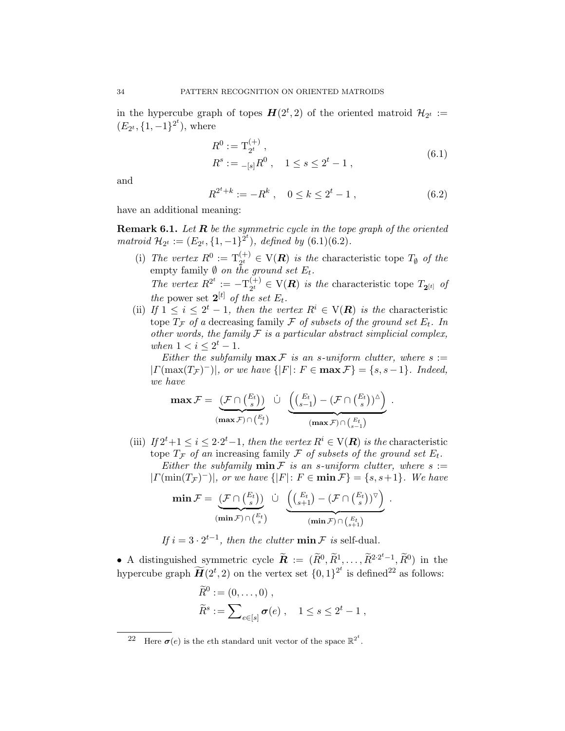in the hypercube graph of topes  $H(2^t, 2)$  of the oriented matroid  $\mathcal{H}_{2^t} :=$  $(E_{2^t}, \{1, -1\}^{2^t}),$  where

$$
R^{0} := \mathcal{T}_{2^{t}}^{(+)},
$$
  
\n
$$
R^{s} := -[s]R^{0}, \quad 1 \le s \le 2^{t} - 1,
$$
\n(6.1)

<span id="page-33-0"></span>and

<span id="page-33-1"></span>
$$
R^{2^t+k} := -R^k \ , \quad 0 \le k \le 2^t - 1 \ , \tag{6.2}
$$

have an additional meaning:

**Remark 6.1.** Let  $R$  be the symmetric cycle in the tope graph of the oriented matroid  $\mathcal{H}_{2^t} := (E_{2^t}, \{1, -1\}^{2^t}), \text{ defined by } (6.1)(6.2).$  $\mathcal{H}_{2^t} := (E_{2^t}, \{1, -1\}^{2^t}), \text{ defined by } (6.1)(6.2).$  $\mathcal{H}_{2^t} := (E_{2^t}, \{1, -1\}^{2^t}), \text{ defined by } (6.1)(6.2).$  $\mathcal{H}_{2^t} := (E_{2^t}, \{1, -1\}^{2^t}), \text{ defined by } (6.1)(6.2).$ 

(i) The vertex  $R^0 := T_{2^t}^{(+)} \in V(R)$  is the characteristic tope  $T_{\emptyset}$  of the empty family  $\emptyset$  on the ground set  $E_t$ .

The vertex  $R^{2^t} := -\mathrm{T}_{2^t}^{(+)}$  $C_{2}^{(+)} \in V(R)$  is the characteristic tope  $T_{2}[t]$  of the power set  $2^{[t]}$  of the set  $E_t$ .

(ii) If  $1 \leq i \leq 2^t - 1$ , then the vertex  $R^i \in V(R)$  is the characteristic tope  $T_F$  of a decreasing family  $\mathcal F$  of subsets of the ground set  $E_t$ . In other words, the family  $\mathcal F$  is a particular abstract simplicial complex, when  $1 < i \leq 2^t - 1$ .

Either the subfamily  $\max \mathcal{F}$  is an s-uniform clutter, where  $s :=$  $|\Gamma(\max(T_{\mathcal{F}})^{-})|$ , or we have  $\{ |F|: F \in \max \mathcal{F} \} = \{s, s-1\}.$  Indeed, we have

$$
\max \mathcal{F} = \underbrace{(\mathcal{F} \cap \binom{E_t}{s})}_{(\max \mathcal{F}) \cap \binom{E_t}{s}} \ \dot{\cup} \ \underbrace{\left( \binom{E_t}{s-1} - (\mathcal{F} \cap \binom{E_t}{s})^\vartriangle \right)}_{(\max \mathcal{F}) \cap \binom{E_t}{s-1}} \, .
$$

(iii) If  $2^t+1 \leq i \leq 2 \cdot 2^t-1$ , then the vertex  $R^i \in V(R)$  is the characteristic tope  $T_{\mathcal{F}}$  of an increasing family  $\mathcal F$  of subsets of the ground set  $E_t$ . Either the subfamily  $\min \mathcal{F}$  is an s-uniform clutter, where  $s :=$  $|\Gamma(\min(T_{\mathcal{F}})^{-})|$ , or we have  $\{ |F|: F \in \min \mathcal{F} \} = \{s, s+1\}.$  We have

$$
\min \mathcal{F} = \underbrace{(\mathcal{F} \cap \binom{E_t}{s})}_{(\min \mathcal{F}) \cap \binom{E_t}{s}} \ \dot{\cup} \ \underbrace{\left( \binom{E_t}{s+1} - (\mathcal{F} \cap \binom{E_t}{s})^{\triangledown} \right)}_{(\min \mathcal{F}) \cap \binom{E_t}{s+1}} \, .
$$

If  $i = 3 \cdot 2^{t-1}$ , then the clutter  $\min \mathcal{F}$  is self-dual.

• A distinguished symmetric cycle  $\widetilde{\mathbf{R}} := (\widetilde{R}^0, \widetilde{R}^1, \dots, \widetilde{R}^{2 \cdot 2^t-1}, \widetilde{R}^0)$  in the hypercube graph  $\widetilde{H}(2^t, 2)$  on the vertex set  $\{0, 1\}^{2^t}$  is defined<sup>[22](#page-33-2)</sup> as follows:

$$
\widetilde{R}^0 := (0, \dots, 0) ,
$$
  

$$
\widetilde{R}^s := \sum_{e \in [s]} \sigma(e) , \quad 1 \le s \le 2^t - 1 ,
$$

<span id="page-33-2"></span><sup>&</sup>lt;sup>22</sup> Here  $\sigma(e)$  is the eth standard unit vector of the space  $\mathbb{R}^{2^t}$ .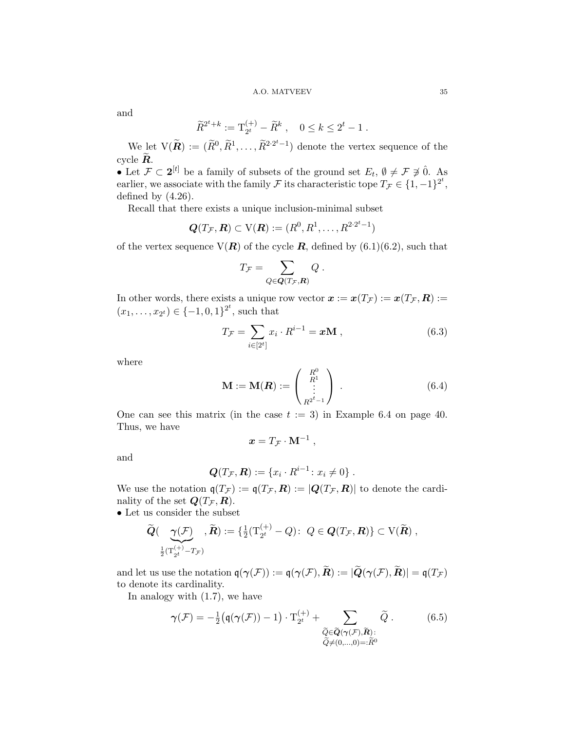#### A.O. MATVEEV 35

and

$$
\widetilde{R}^{2^t+k} := \mathrm{T}_{2^t}^{(+)} - \widetilde{R}^k \ , \quad 0 \le k \le 2^t - 1 \ .
$$

We let  $V(\tilde{R}) := (\tilde{R}^0, \tilde{R}^1, \dots, \tilde{R}^{2 \cdot 2^t - 1})$  denote the vertex sequence of the cycle  $\overline{R}$ .

• Let  $\mathcal{F} \subset 2^{[t]}$  be a family of subsets of the ground set  $E_t$ ,  $\emptyset \neq \mathcal{F} \neq \hat{0}$ . As earlier, we associate with the family F its characteristic tope  $T_{\mathcal{F}} \in \{1, -1\}^{2^t}$ , defined by  $(4.26)$ .

Recall that there exists a unique inclusion-minimal subset

$$
\boldsymbol{Q}(T_{\mathcal{F}},\boldsymbol{R})\subset\mathrm{V}(\boldsymbol{R}):=(R^0,R^1,\ldots,R^{2\cdot 2^t-1})
$$

of the vertex sequence  $V(R)$  of the cycle R, defined by  $(6.1)(6.2)$  $(6.1)(6.2)$ , such that

$$
T_{\mathcal{F}} = \sum_{Q \in \mathbf{Q}(T_{\mathcal{F}},\mathbf{R})} Q \ .
$$

In other words, there exists a unique row vector  $\mathbf{x} := \mathbf{x}(T_{\mathcal{F}}) := \mathbf{x}(T_{\mathcal{F}}, \mathbf{R}) :=$  $(x_1, \ldots, x_{2^t}) \in \{-1, 0, 1\}^{2^t}$ , such that

<span id="page-34-0"></span>
$$
T_{\mathcal{F}} = \sum_{i \in [2^t]} x_i \cdot R^{i-1} = \boldsymbol{x} \mathbf{M} , \qquad (6.3)
$$

where

<span id="page-34-2"></span>
$$
\mathbf{M} := \mathbf{M}(\mathbf{R}) := \begin{pmatrix} R^0 \\ R^1 \\ \vdots \\ R^{2^t - 1} \end{pmatrix} .
$$
 (6.4)

One can see this matrix (in the case  $t := 3$ ) in Example [6.4](#page-38-1) on page [40.](#page-38-1) Thus, we have

$$
\mathbf{x} = T_{\mathcal{F}} \cdot \mathbf{M}^{-1} ,
$$

and

$$
\mathbf{Q}(T_{\mathcal{F}}, \mathbf{R}) := \{x_i \cdot R^{i-1} \colon x_i \neq 0\}.
$$

We use the notation  $q(T_{\mathcal{F}}) := q(T_{\mathcal{F}}, \mathbf{R}) := |Q(T_{\mathcal{F}}, \mathbf{R})|$  to denote the cardinality of the set  $\mathbf{Q}(T_{\mathcal{F}}, \mathbf{R})$ .

• Let us consider the subset

$$
\widetilde{\boldsymbol{Q}}(\underbrace{\boldsymbol{\gamma}(\mathcal{F})}_{\frac{1}{2}(\mathrm{T}_{2^t}^{(+)}-\boldsymbol{T}_{\mathcal{F}})}\,,\widetilde{\boldsymbol{R}}):=\{\tfrac{1}{2}(\mathrm{T}_{2^t}^{(+)}-Q)\colon\;Q\in \boldsymbol{Q}(\boldsymbol{T}_{\mathcal{F}},\boldsymbol{R})\}\subset \mathrm{V}(\widetilde{\boldsymbol{R}})\;,
$$

and let us use the notation  $q(\gamma(\mathcal{F})) := q(\gamma(\mathcal{F}), \widetilde{R}) := |\widetilde{Q}(\gamma(\mathcal{F}), \widetilde{R})| = q(T_{\mathcal{F}})$ to denote its cardinality.

In analogy with [\(1.7\)](#page-2-3), we have

<span id="page-34-1"></span>
$$
\gamma(\mathcal{F}) = -\frac{1}{2} \left( \mathfrak{q}(\gamma(\mathcal{F})) - 1 \right) \cdot \mathcal{T}_{2^t}^{(+)} + \sum_{\substack{\widetilde{Q} \in \widetilde{\mathbf{Q}}(\gamma(\mathcal{F}), \widetilde{\mathbf{R}}) : \\ \widetilde{Q} \neq (0, \dots, 0) = : \widetilde{R}^0}} \widetilde{Q}.
$$
(6.5)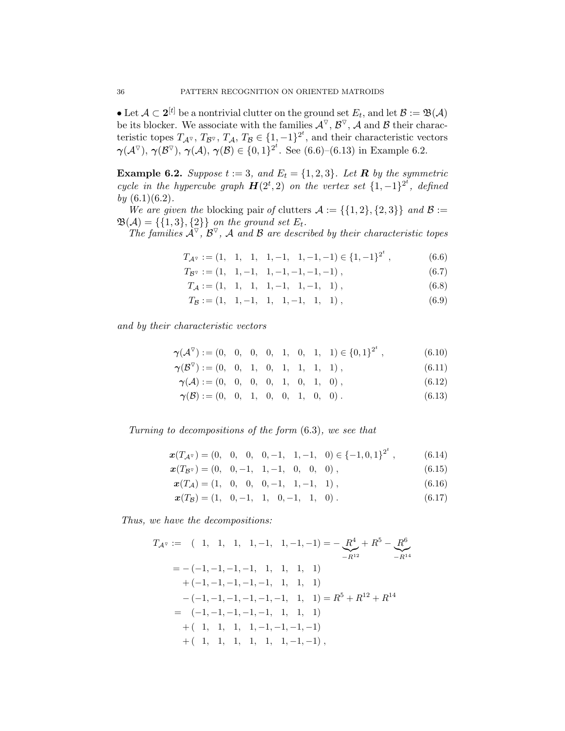• Let  $\mathcal{A} \subset 2^{[t]}$  be a nontrivial clutter on the ground set  $E_t$ , and let  $\mathcal{B} := \mathfrak{B}(\mathcal{A})$ be its blocker. We associate with the families  $\mathcal{A}^{\nabla}$ ,  $\mathcal{B}^{\nabla}$ ,  $\mathcal{A}$  and  $\mathcal{B}$  their characteristic topes  $T_{A^{\nabla}}$ ,  $T_{B^{\nabla}}$ ,  $T_A$ ,  $T_B \in \{1, -1\}^{2^t}$ , and their characteristic vectors  $\gamma(\mathcal{A}^\nabla), \gamma(\mathcal{B}^\nabla), \gamma(\mathcal{A}), \gamma(\mathcal{B}) \in \{0,1\}^{2^t}$ . See [\(6.6\)](#page-35-0)–[\(6.13\)](#page-35-1) in Example [6.2.](#page-35-2)

<span id="page-35-2"></span>**Example 6.2.** Suppose  $t := 3$ , and  $E_t = \{1, 2, 3\}$ . Let **R** by the symmetric cycle in the hypercube graph  $H(2^t, 2)$  on the vertex set  $\{1, -1\}^{2^t}$ , defined by  $(6.1)(6.2)$  $(6.1)(6.2)$ .

We are given the blocking pair of clutters  $\mathcal{A} := \{ \{1,2\}, \{2,3\} \}$  and  $\mathcal{B} :=$  $\mathfrak{B}(\mathcal{A}) = \{\{1,3\},\{2\}\}\$  on the ground set  $E_t$ .

The families  $\mathcal{A}^{\nabla}$ ,  $\mathcal{B}^{\nabla}$ , A and B are described by their characteristic topes

<span id="page-35-0"></span>
$$
T_{\mathcal{A}^{\triangledown}} := (1, \quad 1, \quad 1, \quad 1, -1, \quad 1, -1, -1) \in \{1, -1\}^{2^t}, \tag{6.6}
$$

<span id="page-35-3"></span>
$$
T_{\mathcal{B}^{\triangledown}} := (1, 1, -1, 1, -1, -1, -1, -1), \tag{6.7}
$$

 $T_A := (1, 1, 1, 1, -1, 1, -1, 1)$ , (6.8)

$$
T_B := (1, 1, -1, 1, 1, -1, 1, 1), \tag{6.9}
$$

and by their characteristic vectors

$$
\boldsymbol{\gamma}(\mathcal{A}^{\triangledown}) := (0, 0, 0, 0, 1, 0, 1, 1) \in \{0, 1\}^{2^t}, \tag{6.10}
$$

- $\boldsymbol{\gamma}(\mathcal{B}^{\nabla}) := (0, 0, 1, 0, 1, 1, 1, 1),$ (6.11)
- $\gamma(A) := (0, 0, 0, 0, 1, 0, 1, 0)$ , (6.12)

<span id="page-35-4"></span><span id="page-35-1"></span>
$$
\gamma(\mathcal{B}) := (0, 0, 1, 0, 0, 1, 0, 0). \tag{6.13}
$$

Turning to decompositions of the form [\(6.3\)](#page-34-0), we see that

$$
\boldsymbol{x}(T_{\mathcal{A}^{\triangledown}}) = (0, \ 0, \ 0, \ -1, \ 1, -1, \ 0) \in \{-1, 0, 1\}^{2^{t}}, \tag{6.14}
$$

$$
\boldsymbol{x}(T_{\mathcal{B}^{\triangledown}}) = (0, 0, -1, 1, -1, 0, 0, 0), \qquad (6.15)
$$

 $x(T_A) = (1, 0, 0, 0, -1, 1, -1, 1),$  (6.16)

<span id="page-35-5"></span>
$$
\boldsymbol{x}(T_{\mathcal{B}}) = (1, 0, -1, 1, 0, -1, 1, 0). \tag{6.17}
$$

Thus, we have the decompositions:

$$
T_{\mathcal{A}^{\triangledown}} := (1, 1, 1, 1, -1, 1, -1, -1) = -\underbrace{R^{4}}_{-R^{12}} + R^{5} - \underbrace{R^{6}}_{-R^{14}}
$$
  
\n
$$
= -(-1, -1, -1, -1, 1, 1, 1, 1)
$$
  
\n
$$
+(-1, -1, -1, -1, -1, 1, 1, 1)
$$
  
\n
$$
-(-1, -1, -1, -1, -1, -1, 1, 1) = R^{5} + R^{12} + R^{14}
$$
  
\n
$$
= (-1, -1, -1, -1, -1, 1, 1, 1)
$$
  
\n
$$
+ (-1, 1, 1, 1, -1, -1, -1, -1)
$$
  
\n
$$
+ (-1, 1, 1, 1, 1, 1, -1, -1, -1),
$$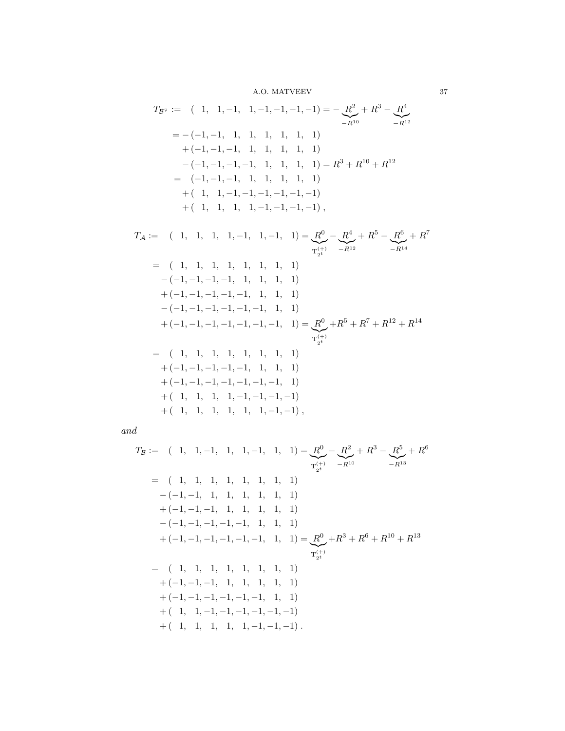A.O. MATVEEV 37

$$
T_{\mathcal{B}^{\triangledown}} := (1, 1, -1, 1, -1, -1, -1, -1) = -\underbrace{R^2}_{-R^{10}} + R^3 - \underbrace{R^4}_{-R^{12}}
$$
  
\n
$$
= -(-1, -1, 1, 1, 1, 1, 1, 1)
$$
  
\n
$$
+(-1, -1, -1, 1, 1, 1, 1, 1)
$$
  
\n
$$
-(-1, -1, -1, -1, 1, 1, 1, 1) = R^3 + R^{10} + R^{12}
$$
  
\n
$$
= (-1, -1, -1, 1, 1, 1, 1, 1)
$$
  
\n
$$
+ (-1, 1, -1, -1, -1, -1, -1, -1)
$$
  
\n
$$
+ (-1, 1, 1, 1, -1, -1, -1, -1, -1),
$$

$$
T_{\mathcal{A}} := (1, 1, 1, 1, -1, 1, -1, 1) = \underbrace{\mathcal{R}^{0}}_{T_{2^{t}}} - \underbrace{\mathcal{R}^{4}}_{-R^{12}} + R^{5} - \underbrace{\mathcal{R}^{6}}_{-R^{14}} + R^{7}
$$
\n
$$
= (1, 1, 1, 1, 1, 1, 1, 1)
$$
\n
$$
-(-1, -1, -1, -1, -1, 1, 1, 1, 1)
$$
\n
$$
+ (-1, -1, -1, -1, -1, -1, 1, 1, 1)
$$
\n
$$
+ (-1, -1, -1, -1, -1, -1, -1, 1) = \underbrace{\mathcal{R}^{0}}_{T_{2^{t}}} + R^{5} + R^{7} + R^{12} + R^{14}
$$
\n
$$
= (1, 1, 1, 1, 1, 1, 1, 1, 1)
$$
\n
$$
+ (-1, -1, -1, -1, -1, -1, 1, 1, 1)
$$
\n
$$
+ (-1, -1, -1, -1, -1, -1, -1, -1, 1)
$$
\n
$$
+ (1, 1, 1, 1, 1, 1, 1, -1, -1, -1)
$$
\n
$$
+ (1, 1, 1, 1, 1, 1, 1, -1, -1, -1),
$$

and

$$
T_B := (1, 1, -1, 1, 1, -1, 1, 1) = \underbrace{R^0}_{T_{2^t}} - \underbrace{R^2}_{-R^{10}} + R^3 - \underbrace{R^5}_{-R^{13}} + R^6
$$
\n
$$
= (1, 1, 1, 1, 1, 1, 1, 1)
$$
\n
$$
-(-1, -1, -1, 1, 1, 1, 1, 1)
$$
\n
$$
+(-1, -1, -1, -1, -1, -1, 1, 1, 1)
$$
\n
$$
+(-1, -1, -1, -1, -1, -1, 1, 1, 1)
$$
\n
$$
+(-1, -1, -1, -1, -1, -1, 1, 1, 1)
$$
\n
$$
+(-1, -1, -1, -1, 1, 1, 1, 1)
$$
\n
$$
+(-1, -1, -1, -1, -1, -1, 1, 1, 1)
$$
\n
$$
+(-1, -1, -1, -1, -1, -1, -1, -1, -1)
$$
\n
$$
+(-1, 1, 1, 1, 1, 1, -1, -1, -1, -1)
$$
\n
$$
+(-1, 1, 1, 1, 1, 1, -1, -1, -1, -1)
$$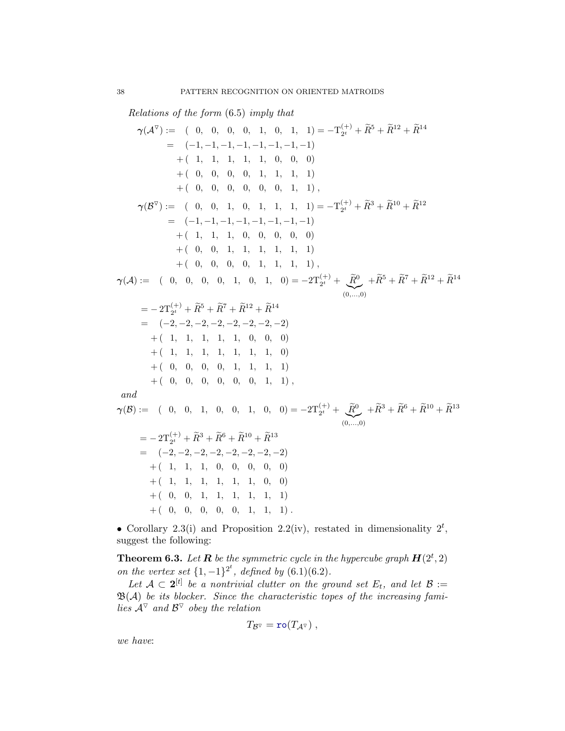Relations of the form [\(6.5\)](#page-34-1) imply that

γ(A O ) := ( 0, 0, 0, 0, 1, 0, 1, 1) = −T (+) 2 <sup>t</sup> <sup>+</sup> <sup>R</sup>e<sup>5</sup> <sup>+</sup> <sup>R</sup>e<sup>12</sup> <sup>+</sup> <sup>R</sup>e<sup>14</sup> = (−1, −1, −1, −1, −1, −1, −1, −1) + ( 1, 1, 1, 1, 1, 0, 0, 0) + ( 0, 0, 0, 0, 1, 1, 1, 1) + ( 0, 0, 0, 0, 0, 0, 1, 1) , γ(B O ) := ( 0, 0, 1, 0, 1, 1, 1, 1) = −T (+) 2 <sup>t</sup> <sup>+</sup> <sup>R</sup>e<sup>3</sup> <sup>+</sup> <sup>R</sup>e<sup>10</sup> <sup>+</sup> <sup>R</sup>e<sup>12</sup> = (−1, −1, −1, −1, −1, −1, −1, −1) + ( 1, 1, 1, 0, 0, 0, 0, 0) + ( 0, 0, 1, 1, 1, 1, 1, 1) + ( 0, 0, 0, 0, 1, 1, 1, 1) , γ(A) := ( 0, 0, 0, 0, 1, 0, 1, 0) = −2T(+) 2 <sup>t</sup> <sup>+</sup> <sup>R</sup>e<sup>0</sup> |{z} (0,...,0) <sup>+</sup>Re<sup>5</sup> <sup>+</sup> <sup>R</sup>e<sup>7</sup> <sup>+</sup> <sup>R</sup>e<sup>12</sup> <sup>+</sup> <sup>R</sup>e<sup>14</sup> = − 2T(+) 2 <sup>t</sup> <sup>+</sup> <sup>R</sup>e<sup>5</sup> <sup>+</sup> <sup>R</sup>e<sup>7</sup> <sup>+</sup> <sup>R</sup>e<sup>12</sup> <sup>+</sup> <sup>R</sup>e<sup>14</sup> = (−2, −2, −2, −2, −2, −2, −2, −2) + ( 1, 1, 1, 1, 1, 0, 0, 0) + ( 1, 1, 1, 1, 1, 1, 1, 0) + ( 0, 0, 0, 0, 1, 1, 1, 1) + ( 0, 0, 0, 0, 0, 0, 1, 1) , and γ(B) := ( 0, 0, 1, 0, 0, 1, 0, 0) = −2T(+) 2 <sup>t</sup> <sup>+</sup> <sup>R</sup>e<sup>0</sup> |{z} (0,...,0) <sup>+</sup>Re<sup>3</sup> <sup>+</sup> <sup>R</sup>e<sup>6</sup> <sup>+</sup> <sup>R</sup>e<sup>10</sup> <sup>+</sup> <sup>R</sup>e<sup>13</sup> = − 2T(+) 2 <sup>t</sup> <sup>+</sup> <sup>R</sup>e<sup>3</sup> <sup>+</sup> <sup>R</sup>e<sup>6</sup> <sup>+</sup> <sup>R</sup>e<sup>10</sup> <sup>+</sup> <sup>R</sup>e<sup>13</sup> = (−2, −2, −2, −2, −2, −2, −2, −2) + ( 1, 1, 1, 0, 0, 0, 0, 0) + ( 1, 1, 1, 1, 1, 1, 0, 0) + ( 0, 0, 1, 1, 1, 1, 1, 1) + ( 0, 0, 0, 0, 0, 1, 1, 1) .

• Corollary [2.3\(](#page-11-2)i) and Proposition [2.2\(](#page-9-1)iv), restated in dimensionality  $2^t$ , suggest the following:

**Theorem 6.3.** Let **R** be the symmetric cycle in the hypercube graph  $H(2^t, 2)$ on the vertex set  $\{1, -1\}^{2^t}$ , defined by  $(6.1)(6.2)$  $(6.1)(6.2)$ .

Let  $\mathcal{A} \subset 2^{[t]}$  be a nontrivial clutter on the ground set  $E_t$ , and let  $\mathcal{B} :=$  $\mathfrak{B}(\mathcal{A})$  be its blocker. Since the characteristic topes of the increasing families  $\mathcal{A}^{\nabla}$  and  $\mathcal{B}^{\nabla}$  obey the relation

$$
T_{\mathcal{B}^\nabla} = \text{ro}(T_{\mathcal{A}^\nabla}) \ ,
$$

we have: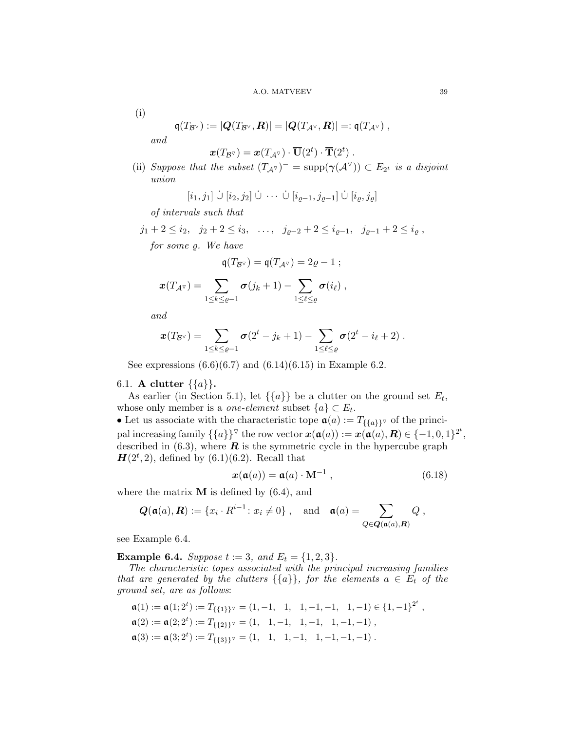(i)

$$
\mathfrak{q}(T_{\mathcal{B}^{\nabla}}) := |\mathbf{Q}(T_{\mathcal{B}^{\nabla}}, \mathbf{R})| = |\mathbf{Q}(T_{\mathcal{A}^{\nabla}}, \mathbf{R})| =: \mathfrak{q}(T_{\mathcal{A}^{\nabla}}) ,
$$

and

$$
\boldsymbol{x}(T_{\mathcal{B}^\triangledown}) = \boldsymbol{x}(T_{\mathcal{A}^\triangledown}) \cdot \overline{\mathbf{U}}(2^t) \cdot \overline{\mathbf{T}}(2^t) \ .
$$

(ii) Suppose that the subset  $(T_{\mathcal{A}^{\nabla}})^{-} = \text{supp}(\gamma(\mathcal{A}^{\nabla})) \subset E_{2^{t}}$  is a disjoint union

$$
[i_1, j_1] \cup [i_2, j_2] \cup \cdots \cup [i_{\varrho-1}, j_{\varrho-1}] \cup [i_{\varrho}, j_{\varrho}]
$$

of intervals such that

$$
j_1 + 2 \le i_2, \quad j_2 + 2 \le i_3, \quad \dots, \quad j_{\varrho-2} + 2 \le i_{\varrho-1}, \quad j_{\varrho-1} + 2 \le i_{\varrho},
$$
  
for some  $\varrho$ . We have

$$
\mathfrak{q}(T_{\mathcal{B}^\nabla}) = \mathfrak{q}(T_{\mathcal{A}^\nabla}) = 2\varrho - 1 ;
$$

$$
\boldsymbol{x}(T_{\mathcal{A}^{\triangledown}})=\sum_{1\leq k\leq \varrho-1}\boldsymbol{\sigma}(j_k+1)-\sum_{1\leq \ell\leq \varrho}\boldsymbol{\sigma}(i_\ell),
$$

and

$$
\boldsymbol{x}(T_{\mathcal{B}^\nabla}) = \sum_{1 \leq k \leq \varrho-1} \boldsymbol{\sigma}(2^t - j_k + 1) - \sum_{1 \leq \ell \leq \varrho} \boldsymbol{\sigma}(2^t - i_\ell + 2) .
$$

See expressions  $(6.6)(6.7)$  $(6.6)(6.7)$  and  $(6.14)(6.15)$  $(6.14)(6.15)$  in Example [6.2.](#page-35-2)

## <span id="page-38-0"></span>6.1. **A clutter**  $\{\{a\}\}.$

As earlier (in Section [5.1\)](#page-21-0), let  $\{\{a\}\}\$ be a clutter on the ground set  $E_t$ , whose only member is a *one-element* subset  $\{a\} \subset E_t$ .

• Let us associate with the characteristic tope  $\mathfrak{a}(a) := T_{\{\{a\}\}}\sigma$  of the principal increasing family  $\{\{a\}\}^{\triangledown}$  the row vector  $\boldsymbol{x}(\mathfrak{a}(a)) := \boldsymbol{x}(\mathfrak{a}(a), \boldsymbol{R}) \in \{-1, 0, 1\}^{2^t},$ described in  $(6.3)$ , where  $\boldsymbol{R}$  is the symmetric cycle in the hypercube graph  $H(2^t, 2)$ , defined by  $(6.1)(6.2)$  $(6.1)(6.2)$ . Recall that

<span id="page-38-2"></span>
$$
\boldsymbol{x}(\mathfrak{a}(a)) = \mathfrak{a}(a) \cdot \mathbf{M}^{-1} , \qquad (6.18)
$$

where the matrix  $M$  is defined by  $(6.4)$  $(6.4)$ , and

$$
Q(\mathfrak{a}(a), R) := \{x_i \cdot R^{i-1} \colon x_i \neq 0\}
$$
, and  $\mathfrak{a}(a) = \sum_{Q \in \mathbf{Q}(\mathfrak{a}(a), R)} Q$ ,

see Example [6.4.](#page-38-1)

<span id="page-38-1"></span>**Example 6.4.** Suppose  $t := 3$ , and  $E_t = \{1, 2, 3\}$ .

The characteristic topes associated with the principal increasing families that are generated by the clutters  $\{\{a\}\}\$ , for the elements  $a \in E_t$  of the ground set, are as follows:

$$
\mathfrak{a}(1) := \mathfrak{a}(1; 2^t) := T_{\{\{1\}^{\} \vee}} = (1, -1, 1, 1, -1, -1, 1, -1) \in \{1, -1\}^{2^t},
$$
  
\n
$$
\mathfrak{a}(2) := \mathfrak{a}(2; 2^t) := T_{\{\{2\}^{\}vee}} = (1, 1, -1, 1, -1, 1, -1, -1),
$$
  
\n
$$
\mathfrak{a}(3) := \mathfrak{a}(3; 2^t) := T_{\{\{3\}^{\}vee}} = (1, 1, 1, -1, 1, -1, -1, -1).
$$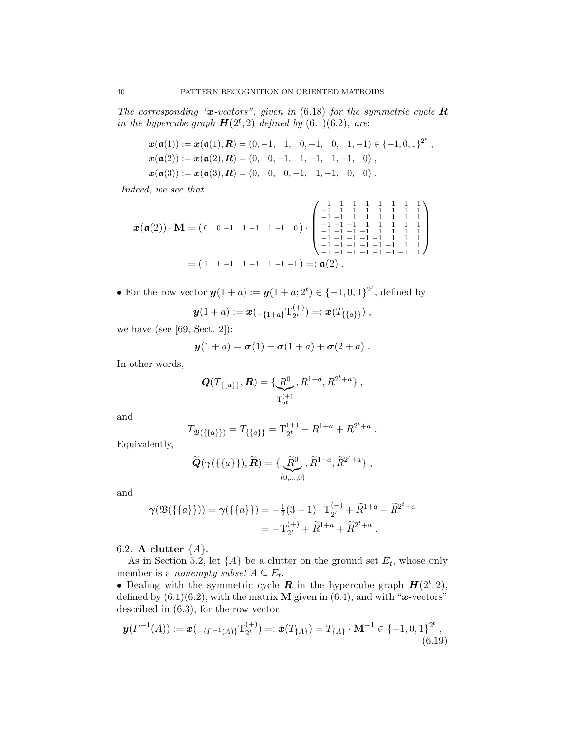The corresponding " $x$ -vectors", given in [\(6.18\)](#page-38-2) for the symmetric cycle  $R$ in the hypercube graph  $H(2^t, 2)$  defined by [\(6.1\)](#page-33-0)[\(6.2\)](#page-33-1), are:

$$
x(\mathfrak{a}(1)) := x(\mathfrak{a}(1), R) = (0, -1, 1, 0, -1, 0, 1, -1) \in \{-1, 0, 1\}^{2^t},
$$
  
\n
$$
x(\mathfrak{a}(2)) := x(\mathfrak{a}(2), R) = (0, 0, -1, 1, -1, 1, -1, 0),
$$
  
\n
$$
x(\mathfrak{a}(3)) := x(\mathfrak{a}(3), R) = (0, 0, 0, -1, 1, -1, 0, 0).
$$

Indeed, we see that

$$
\boldsymbol{x}(\mathfrak{a}(2)) \cdot \mathbf{M} = \begin{pmatrix} 0 & 0 & -1 & 1 & -1 & 1 & -1 & 0 \end{pmatrix} \cdot \begin{pmatrix} 1 & 1 & 1 & 1 & 1 & 1 & 1 & 1 & 1 \\ -1 & 1 & 1 & 1 & 1 & 1 & 1 & 1 \\ -1 & -1 & -1 & 1 & 1 & 1 & 1 & 1 & 1 \\ -1 & -1 & -1 & -1 & 1 & 1 & 1 & 1 & 1 \\ -1 & -1 & -1 & -1 & -1 & 1 & 1 & 1 \\ -1 & -1 & -1 & -1 & -1 & -1 & 1 & 1 \\ -1 & -1 & -1 & -1 & -1 & -1 & -1 & 1 \end{pmatrix}
$$

$$
= \begin{pmatrix} 1 & 1 & -1 & 1 & -1 & -1 & -1 \\ 1 & -1 & 1 & 1 & 1 & 1 & 1 \\ -1 & -1 & -1 & -1 & -1 & -1 & -1 & 1 \\ -1 & -1 & -1 & -1 & -1 & -1 & -1 & 1 \end{pmatrix}
$$

• For the row vector  $y(1 + a) := y(1 + a; 2^t) \in \{-1, 0, 1\}^{2^t}$ , defined by

$$
\mathbf{y}(1+a) := \mathbf{x} \left( \begin{smallmatrix} -\{1+a\} & T_{2}^{(+)} \end{smallmatrix} \right) =: \mathbf{x}(T_{\{\{a\}\}}),
$$

we have (see  $[69, Sect. 2]$  $[69, Sect. 2]$ ):

$$
\mathbf{y}(1+a) = \boldsymbol{\sigma}(1) - \boldsymbol{\sigma}(1+a) + \boldsymbol{\sigma}(2+a) .
$$

In other words,

$$
\mathbf{Q}(T_{\{\{a\}\}},\mathbf{R})=\{\underbrace{R^0}_{T_{2^t}^{(+)}},R^{1+a},R^{2^t+a}\},\,
$$

and

$$
T_{\mathfrak{B}(\{\{a\}\})} = T_{\{\{a\}\}} = \mathrm{T}_{2^t}^{(+)} + R^{1+a} + R^{2^t+a}.
$$

Equivalently,

$$
\widetilde{\mathbf{Q}}(\gamma(\{\{a\}\}), \widetilde{\mathbf{R}}) = \{\underbrace{\widetilde{R}^0}_{(0,\ldots,0)}, \widetilde{R}^{1+a}, \widetilde{R}^{2^t+a}\},
$$

and

$$
\gamma(\mathfrak{B}(\{\{a\}\})) = \gamma(\{\{a\}\}) = -\frac{1}{2}(3-1) \cdot \mathcal{T}_{2^t}^{(+)} + \widetilde{R}^{1+a} + \widetilde{R}^{2^t+a} = -\mathcal{T}_{2^t}^{(+)} + \widetilde{R}^{1+a} + \widetilde{R}^{2^t+a} .
$$

<span id="page-39-0"></span>6.2. A clutter  $\{A\}$ .

As in Section [5.2,](#page-25-0) let  $\{A\}$  be a clutter on the ground set  $E_t$ , whose only member is a *nonempty subset*  $A \subseteq E_t$ .

• Dealing with the symmetric cycle **R** in the hypercube graph  $H(2^t, 2)$ , defined by  $(6.1)(6.2)$  $(6.1)(6.2)$ , with the matrix **M** given in  $(6.4)$ , and with "x-vectors" described in [\(6.3\)](#page-34-0), for the row vector

<span id="page-39-1"></span>
$$
\mathbf{y}(\Gamma^{-1}(A)) := \mathbf{x}(-\{r^{-1}(A)\}T_{2^t}^{(+)}) =: \mathbf{x}(T_{\{A\}}) = T_{\{A\}} \cdot \mathbf{M}^{-1} \in \{-1, 0, 1\}^{2^t},\tag{6.19}
$$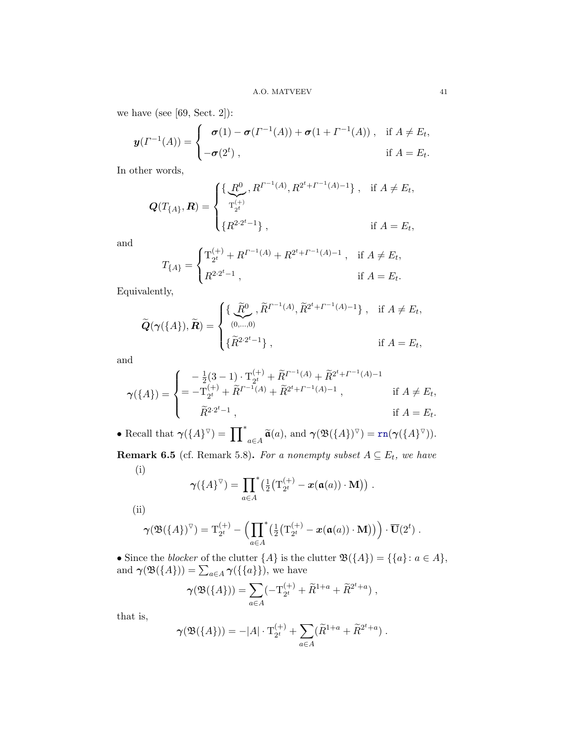we have (see [\[69,](#page-45-3) Sect. 2]):

$$
\boldsymbol{y}(\boldsymbol{\varGamma}^{-1}(A)) = \begin{cases} \boldsymbol{\sigma}(1) - \boldsymbol{\sigma}(\boldsymbol{\varGamma}^{-1}(A)) + \boldsymbol{\sigma}(1 + \boldsymbol{\varGamma}^{-1}(A)), & \text{if } A \neq E_t, \\ -\boldsymbol{\sigma}(2^t), & \text{if } A = E_t. \end{cases}
$$

In other words,

$$
\mathbf{Q}(T_{\{A\}}, \mathbf{R}) = \begin{cases} \{ \underbrace{\mathbf{R}^0}_{T_{2^t}} , R^{\Gamma^{-1}(A)}, R^{2^t + \Gamma^{-1}(A) - 1} \}, & \text{if } A \neq E_t, \\ \{ R^{2 \cdot 2^t - 1} \}, & \text{if } A = E_t, \end{cases}
$$

and

$$
T_{\{A\}} = \begin{cases} \mathbf{T}_{2^t}^{(+)} + R^{\varGamma^{-1}(A)} + R^{2^t + \varGamma^{-1}(A) - 1} \ , & \text{if } A \neq E_t, \\[2mm] R^{2 \cdot 2^t - 1} \ , & \text{if } A = E_t. \end{cases}
$$

Equivalently,

$$
\widetilde{\mathbf{Q}}(\gamma(\{A\}), \widetilde{\mathbf{R}}) = \begin{cases} \{ \widetilde{\mathbf{R}}^{0}, \widetilde{R}^{T-1(A)}, \widetilde{R}^{2^{t}+T-1(A)-1} \}, & \text{if } A \neq E_{t}, \\ (\widetilde{R}^{2 \cdot 2^{t}-1}), & \text{if } A = E_{t}, \end{cases}
$$

and

$$
\gamma(\{A\}) = \begin{cases}\n-\frac{1}{2}(3-1) \cdot \mathbf{T}_{2^{t}}^{(+)} + \widetilde{R}^{T^{-1}(A)} + \widetilde{R}^{2^{t}+T^{-1}(A)-1} \\
= -\mathbf{T}_{2^{t}}^{(+)} + \widetilde{R}^{T^{-1}(A)} + \widetilde{R}^{2^{t}+T^{-1}(A)-1}, & \text{if } A \neq E_{t}, \\
\widetilde{R}^{2 \cdot 2^{t}-1}, & \text{if } A = E_{t}.\n\end{cases}
$$

• Recall that  $\gamma(\lbrace A \rbrace^{\triangledown}) = \prod_{a \in A}^* \widetilde{\mathfrak{a}}(a)$ , and  $\gamma(\mathfrak{B}(\lbrace A \rbrace)^{\triangledown}) = \text{rn}(\gamma(\lbrace A \rbrace^{\triangledown}))$ .

**Remark 6.5** (cf. Remark [5.8\)](#page-27-3). For a nonempty subset  $A \subseteq E_t$ , we have (i)

$$
\boldsymbol{\gamma}(\{A\}^{\triangledown}) = \prod_{a \in A}^{\ast} \left(\frac{1}{2} \left(\mathbf{T}_{2^t}^{(+)} - \boldsymbol{x}(\mathfrak{a}(a)) \cdot \mathbf{M}\right)\right).
$$

(ii)

$$
\boldsymbol{\gamma}(\mathfrak{B}(\{A\})^{\triangledown})=\mathrm{T}_{2^t}^{(+)}-\Big(\prod_{a\in A}^*(\tfrac{1}{2}(\mathrm{T}_{2^t}^{(+)}-\boldsymbol{x}(\mathfrak{a}(a))\cdot\mathbf{M}))\Big)\cdot\overline{\mathbf{U}}(2^t) .
$$

• Since the *blocker* of the clutter  $\{A\}$  is the clutter  $\mathfrak{B}(\{A\}) = \{\{a\} : a \in A\},\$ and  $\gamma(\mathfrak{B}(\lbrace A \rbrace)) = \sum_{a \in A} \gamma(\lbrace \lbrace a \rbrace \rbrace)$ , we have

$$
\gamma(\mathfrak{B}(\{A\})) = \sum_{a \in A} (-\mathrm{T}_{2^t}^{(+)} + \widetilde{R}^{1+a} + \widetilde{R}^{2^t+a}),
$$

that is,

$$
\gamma(\mathfrak{B}(\{A\})) = -|A| \cdot \mathrm{T}_{2^t}^{(+)} + \sum_{a \in A} (\widetilde{R}^{1+a} + \widetilde{R}^{2^t+a}).
$$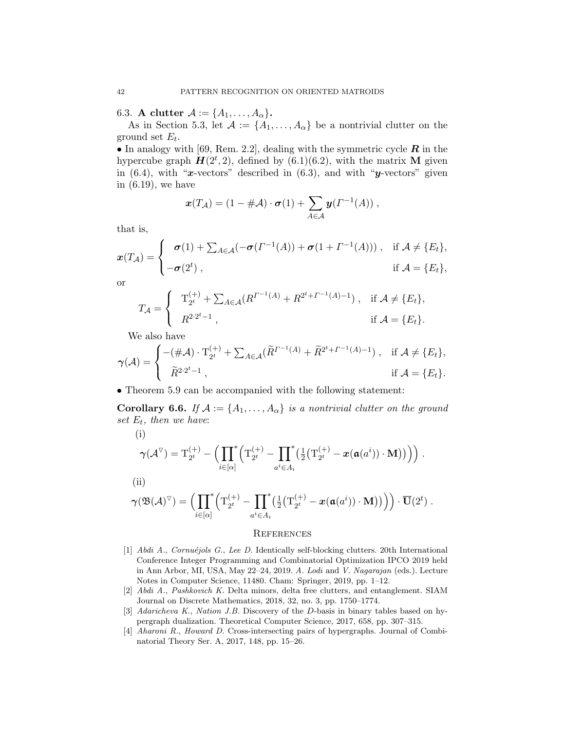<span id="page-41-0"></span>6.3. A clutter  $\mathcal{A} := \{A_1, \ldots, A_\alpha\}.$ 

As in Section [5.3,](#page-27-1) let  $A := \{A_1, \ldots, A_\alpha\}$  be a nontrivial clutter on the ground set  $E_t$ .

• In analogy with [\[69,](#page-45-3) Rem. 2.2], dealing with the symmetric cycle  $\boldsymbol{R}$  in the hypercube graph  $\mathbf{H}(2^t, 2)$ , defined by  $(6.1)(6.2)$  $(6.1)(6.2)$ , with the matrix M given in  $(6.4)$ , with "x-vectors" described in  $(6.3)$ , and with "y-vectors" given in [\(6.19\)](#page-39-1), we have

$$
\boldsymbol{x}(T_{\mathcal{A}}) = (1 - \#\mathcal{A}) \cdot \boldsymbol{\sigma}(1) + \sum_{A \in \mathcal{A}} \boldsymbol{y}(T^{-1}(A)),
$$

that is,

$$
\boldsymbol{x}(T_{\mathcal{A}}) = \begin{cases}\n\boldsymbol{\sigma}(1) + \sum_{A \in \mathcal{A}} (-\boldsymbol{\sigma}(T^{-1}(A)) + \boldsymbol{\sigma}(1 + T^{-1}(A))), & \text{if } \mathcal{A} \neq \{E_t\}, \\
-\boldsymbol{\sigma}(2^t), & \text{if } \mathcal{A} = \{E_t\},\n\end{cases}
$$

or

$$
T_{\mathcal{A}} = \begin{cases} T_{2^{t}}^{(+)} + \sum_{A \in \mathcal{A}} (R^{\Gamma^{-1}(A)} + R^{2^{t} + \Gamma^{-1}(A) - 1}), & \text{if } \mathcal{A} \neq \{E_{t}\}, \\ R^{2 \cdot 2^{t} - 1}, & \text{if } \mathcal{A} = \{E_{t}\}. \end{cases}
$$

We also have

 $(i)$ 

$$
\gamma(\mathcal{A}) = \begin{cases}\n-(\#\mathcal{A}) \cdot \mathrm{T}_{2^{t}}^{(+)} + \sum_{A \in \mathcal{A}} (\widetilde{R}^{T^{-1}(A)} + \widetilde{R}^{2^{t}+T^{-1}(A)-1}), & \text{if } \mathcal{A} \neq \{E_{t}\}, \\
\widetilde{R}^{2 \cdot 2^{t}-1}, & \text{if } \mathcal{A} = \{E_{t}\}.\n\end{cases}
$$

• Theorem [5.9](#page-29-1) can be accompanied with the following statement:

**Corollary 6.6.** If  $A := \{A_1, \ldots, A_\alpha\}$  is a nontrivial clutter on the ground set  $E_t$ , then we have:

(i)  
\n
$$
\gamma(\mathcal{A}^{\nabla}) = \mathcal{T}_{2^t}^{(+)} - \Big(\prod_{i \in [\alpha]}^* \Big(\mathcal{T}_{2^t}^{(+)} - \prod_{a^i \in A_i}^* \Big(\frac{1}{2} \big(\mathcal{T}_{2^t}^{(+)} - x(\mathfrak{a}(a^i)) \cdot \mathbf{M}\big)\big)\Big)\Big).
$$
\n(ii)  
\n
$$
\gamma(\mathfrak{R}(A)^{\nabla}) - \Big(\prod^* \big(\mathcal{T}^{(+)} - \prod^* \big(\frac{1}{2} \big(\mathcal{T}^{(+)} - x(\mathfrak{a}(a^i)) \cdot \mathbf{M}\big)\big)\Big)\Big) \cdot \overline{\mathcal{T}(\mathcal{I}^{t})}
$$

$$
\boldsymbol{\gamma}(\mathfrak{B}(\mathcal{A})^{\triangledown})=\Bigl(\prod_{i\in [\alpha]} \bigl(\mathrm{T}_{2^t}^{(+)}-\prod_{a^i\in A_i} \bigl(\tfrac{1}{2}(\mathrm{T}_{2^t}^{(+)}-x(\mathfrak{a}(a^i))\cdot\mathbf{M}\bigr)\bigr)\Bigr)\Bigr)\cdot\overline{\mathbf{U}}(2^t) \ .
$$

## <span id="page-41-1"></span>**REFERENCES**

- <span id="page-41-4"></span>[1] Abdi A., Cornuéjols G., Lee D. Identically self-blocking clutters. 20th International Conference Integer Programming and Combinatorial Optimization IPCO 2019 held in Ann Arbor, MI, USA, May 22–24, 2019. A. Lodi and V. Nagarajan (eds.). Lecture Notes in Computer Science, 11480. Cham: Springer, 2019, pp. 1–12.
- <span id="page-41-5"></span>[2] Abdi A., Pashkovich K. Delta minors, delta free clutters, and entanglement. SIAM Journal on Discrete Mathematics, 2018, 32, no. 3, pp. 1750–1774.
- <span id="page-41-2"></span>[3] Adaricheva K., Nation J.B. Discovery of the D-basis in binary tables based on hypergraph dualization. Theoretical Computer Science, 2017, 658, pp. 307–315.
- <span id="page-41-3"></span>[4] Aharoni R., Howard D. Cross-intersecting pairs of hypergraphs. Journal of Combinatorial Theory Ser. A, 2017, 148, pp. 15–26.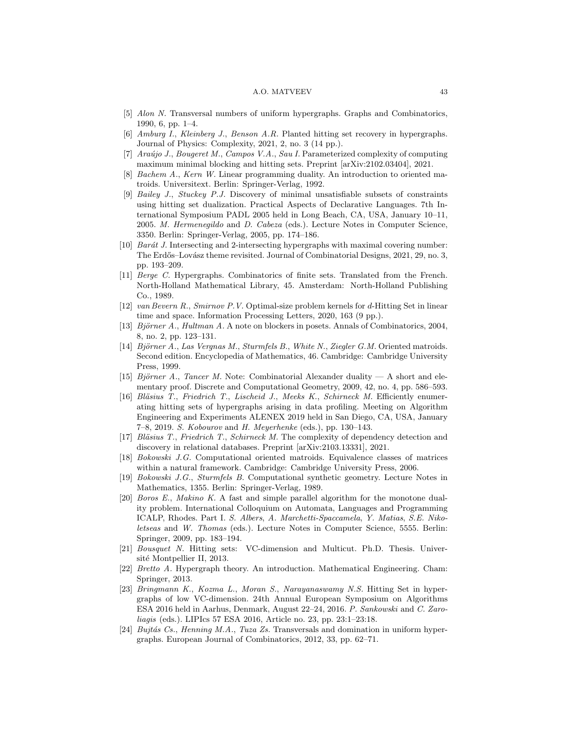#### A.O. MATVEEV 43

- <span id="page-42-6"></span>[5] Alon N. Transversal numbers of uniform hypergraphs. Graphs and Combinatorics, 1990, 6, pp. 1–4.
- <span id="page-42-7"></span>[6] Amburg I., Kleinberg J., Benson A.R. Planted hitting set recovery in hypergraphs. Journal of Physics: Complexity, 2021, 2, no. 3 (14 pp.).
- <span id="page-42-8"></span>[7]  $Araŭjo J., Bougeret M., Campos V.A., Sau I. Parameterized complexity of computing$ maximum minimal blocking and hitting sets. Preprint [arXiv:2102.03404], 2021.
- <span id="page-42-1"></span>[8] Bachem A., Kern W. Linear programming duality. An introduction to oriented matroids. Universitext. Berlin: Springer-Verlag, 1992.
- <span id="page-42-9"></span>[9] Bailey J., Stuckey P.J. Discovery of minimal unsatisfiable subsets of constraints using hitting set dualization. Practical Aspects of Declarative Languages. 7th International Symposium PADL 2005 held in Long Beach, CA, USA, January 10–11, 2005. M. Hermenegildo and D. Cabeza (eds.). Lecture Notes in Computer Science, 3350. Berlin: Springer-Verlag, 2005, pp. 174–186.
- <span id="page-42-10"></span>[10] Barát J. Intersecting and 2-intersecting hypergraphs with maximal covering number: The Erdős–Lovász theme revisited. Journal of Combinatorial Designs, 2021, 29, no. 3, pp. 193–209.
- <span id="page-42-4"></span>[11] Berge C. Hypergraphs. Combinatorics of finite sets. Translated from the French. North-Holland Mathematical Library, 45. Amsterdam: North-Holland Publishing Co., 1989.
- <span id="page-42-11"></span>[12] van Bevern R., Smirnov P.V. Optimal-size problem kernels for d-Hitting Set in linear time and space. Information Processing Letters, 2020, 163 (9 pp.).
- <span id="page-42-12"></span>[13] Björner A., Hultman A. A note on blockers in posets. Annals of Combinatorics, 2004, 8, no. 2, pp. 123–131.
- <span id="page-42-0"></span>[14] Björner A., Las Vergnas M., Sturmfels B., White N., Ziegler G.M. Oriented matroids. Second edition. Encyclopedia of Mathematics, 46. Cambridge: Cambridge University Press, 1999.
- <span id="page-42-19"></span>[15] Björner A., Tancer M. Note: Combinatorial Alexander duality — A short and elementary proof. Discrete and Computational Geometry, 2009, 42, no. 4, pp. 586–593.
- <span id="page-42-13"></span>[16] Bläsius T., Friedrich T., Lischeid J., Meeks K., Schirneck M. Efficiently enumerating hitting sets of hypergraphs arising in data profiling. Meeting on Algorithm Engineering and Experiments ALENEX 2019 held in San Diego, CA, USA, January 7–8, 2019. S. Kobourov and H. Meyerhenke (eds.), pp. 130–143.
- <span id="page-42-14"></span>[17] Bläsius T., Friedrich T., Schirneck M. The complexity of dependency detection and discovery in relational databases. Preprint [arXiv:2103.13331], 2021.
- <span id="page-42-2"></span>[18] Bokowski J.G. Computational oriented matroids. Equivalence classes of matrices within a natural framework. Cambridge: Cambridge University Press, 2006.
- <span id="page-42-3"></span>[19] Bokowski J.G., Sturmfels B. Computational synthetic geometry. Lecture Notes in Mathematics, 1355. Berlin: Springer-Verlag, 1989.
- <span id="page-42-15"></span>[20] Boros E., Makino K. A fast and simple parallel algorithm for the monotone duality problem. International Colloquium on Automata, Languages and Programming ICALP, Rhodes. Part I. S. Albers, A. Marchetti-Spaccamela, Y. Matias, S.E. Nikoletseas and W. Thomas (eds.). Lecture Notes in Computer Science, 5555. Berlin: Springer, 2009, pp. 183–194.
- <span id="page-42-16"></span>[21] Bousquet N. Hitting sets: VC-dimension and Multicut. Ph.D. Thesis. Université Montpellier II, 2013.
- <span id="page-42-5"></span>[22] Bretto A. Hypergraph theory. An introduction. Mathematical Engineering. Cham: Springer, 2013.
- <span id="page-42-17"></span>[23] Bringmann K., Kozma L., Moran S., Narayanaswamy N.S. Hitting Set in hypergraphs of low VC-dimension. 24th Annual European Symposium on Algorithms ESA 2016 held in Aarhus, Denmark, August 22–24, 2016. P. Sankowski and C. Zaroliagis (eds.). LIPIcs 57 ESA 2016, Article no. 23, pp. 23:1–23:18.
- <span id="page-42-18"></span>[24] Bujtás Cs., Henning M.A., Tuza Zs. Transversals and domination in uniform hypergraphs. European Journal of Combinatorics, 2012, 33, pp. 62–71.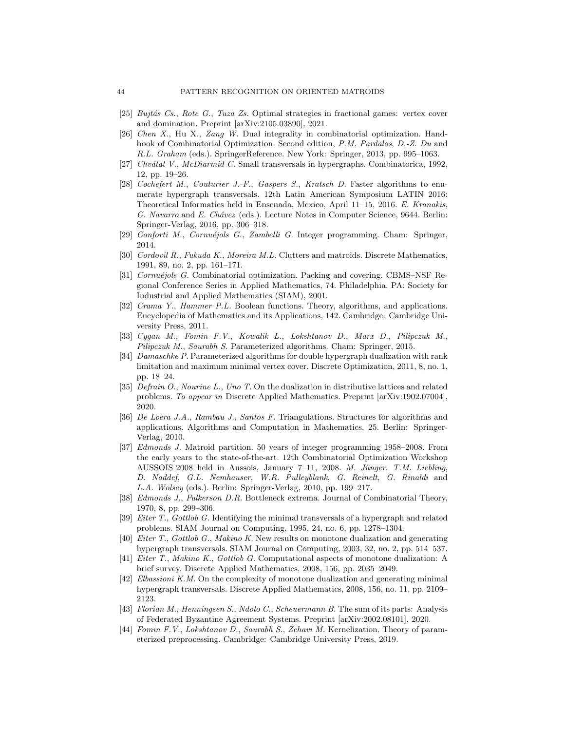- <span id="page-43-7"></span>[25] Bujtás Cs., Rote G., Tuza Zs. Optimal strategies in fractional games: vertex cover and domination. Preprint [arXiv:2105.03890], 2021.
- <span id="page-43-8"></span>[26] Chen X., Hu X., Zang W. Dual integrality in combinatorial optimization. Handbook of Combinatorial Optimization. Second edition, P.M. Pardalos, D.-Z. Du and R.L. Graham (eds.). SpringerReference. New York: Springer, 2013, pp. 995–1063.
- <span id="page-43-9"></span>[27] Chvátal V., McDiarmid C. Small transversals in hypergraphs. Combinatorica, 1992, 12, pp. 19–26.
- <span id="page-43-10"></span>[28] Cochefert M., Couturier J.-F., Gaspers S., Kratsch D. Faster algorithms to enumerate hypergraph transversals. 12th Latin American Symposium LATIN 2016: Theoretical Informatics held in Ensenada, Mexico, April 11–15, 2016. E. Kranakis, G. Navarro and E. Chávez (eds.). Lecture Notes in Computer Science, 9644. Berlin: Springer-Verlag, 2016, pp. 306–318.
- <span id="page-43-2"></span>[29] Conforti M., Cornu´ejols G., Zambelli G. Integer programming. Cham: Springer, 2014.
- <span id="page-43-11"></span>[30] Cordovil R., Fukuda K., Moreira M.L. Clutters and matroids. Discrete Mathematics, 1991, 89, no. 2, pp. 161–171.
- <span id="page-43-3"></span>[31] Cornuéjols G. Combinatorial optimization. Packing and covering. CBMS–NSF Regional Conference Series in Applied Mathematics, 74. Philadelphia, PA: Society for Industrial and Applied Mathematics (SIAM), 2001.
- <span id="page-43-4"></span>[32] Crama Y., Hammer P.L. Boolean functions. Theory, algorithms, and applications. Encyclopedia of Mathematics and its Applications, 142. Cambridge: Cambridge University Press, 2011.
- <span id="page-43-5"></span>[33] Cygan M., Fomin F.V., Kowalik L., Lokshtanov D., Marx D., Pilipczuk M., Pilipczuk M., Saurabh S. Parameterized algorithms. Cham: Springer, 2015.
- <span id="page-43-12"></span>[34] Damaschke P. Parameterized algorithms for double hypergraph dualization with rank limitation and maximum minimal vertex cover. Discrete Optimization, 2011, 8, no. 1, pp. 18–24.
- <span id="page-43-13"></span>[35] Defrain O., Nourine L., Uno T. On the dualization in distributive lattices and related problems. To appear in Discrete Applied Mathematics. Preprint [arXiv:1902.07004], 2020.
- <span id="page-43-0"></span>[36] De Loera J.A., Rambau J., Santos F. Triangulations. Structures for algorithms and applications. Algorithms and Computation in Mathematics, 25. Berlin: Springer-Verlag, 2010.
- <span id="page-43-1"></span>[37] Edmonds J. Matroid partition. 50 years of integer programming 1958–2008. From the early years to the state-of-the-art. 12th Combinatorial Optimization Workshop AUSSOIS 2008 held in Aussois, January 7–11, 2008. M. Jünger, T.M. Liebling, D. Naddef, G.L. Nemhauser, W.R. Pulleyblank, G. Reinelt, G. Rinaldi and L.A. Wolsey (eds.). Berlin: Springer-Verlag, 2010, pp. 199–217.
- <span id="page-43-19"></span>[38] Edmonds J., Fulkerson D.R. Bottleneck extrema. Journal of Combinatorial Theory, 1970, 8, pp. 299–306.
- <span id="page-43-14"></span>[39] Eiter T., Gottlob G. Identifying the minimal transversals of a hypergraph and related problems. SIAM Journal on Computing, 1995, 24, no. 6, pp. 1278–1304.
- <span id="page-43-15"></span>[40] Eiter T., Gottlob G., Makino K. New results on monotone dualization and generating hypergraph transversals. SIAM Journal on Computing, 2003, 32, no. 2, pp. 514–537.
- <span id="page-43-16"></span>[41] Eiter T., Makino K., Gottlob G. Computational aspects of monotone dualization: A brief survey. Discrete Applied Mathematics, 2008, 156, pp. 2035–2049.
- <span id="page-43-17"></span>[42] Elbassioni K.M. On the complexity of monotone dualization and generating minimal hypergraph transversals. Discrete Applied Mathematics, 2008, 156, no. 11, pp. 2109– 2123.
- <span id="page-43-18"></span>[43] Florian M., Henningsen S., Ndolo C., Scheuermann B. The sum of its parts: Analysis of Federated Byzantine Agreement Systems. Preprint [arXiv:2002.08101], 2020.
- <span id="page-43-6"></span>[44] Fomin F.V., Lokshtanov D., Saurabh S., Zehavi M. Kernelization. Theory of parameterized preprocessing. Cambridge: Cambridge University Press, 2019.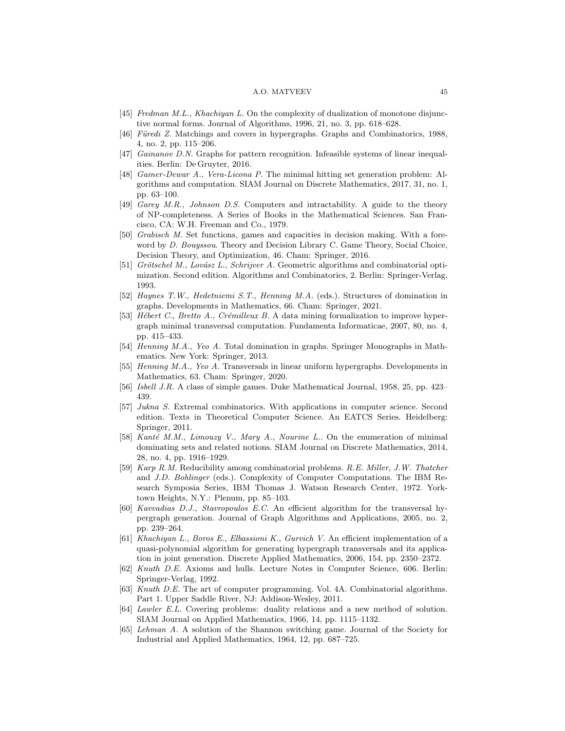#### A.O. MATVEEV 45

- <span id="page-44-8"></span>[45] Fredman M.L., Khachiyan L. On the complexity of dualization of monotone disjunctive normal forms. Journal of Algorithms, 1996, 21, no. 3, pp. 618–628.
- <span id="page-44-9"></span>[46] Füredi Z. Matchings and covers in hypergraphs. Graphs and Combinatorics, 1988, 4, no. 2, pp. 115–206.
- <span id="page-44-1"></span>[47] Gainanov D.N. Graphs for pattern recognition. Infeasible systems of linear inequalities. Berlin: De Gruyter, 2016.
- <span id="page-44-10"></span>[48] Gainer-Dewar A., Vera-Licona P. The minimal hitting set generation problem: Algorithms and computation. SIAM Journal on Discrete Mathematics, 2017, 31, no. 1, pp. 63–100.
- <span id="page-44-2"></span>[49] Garey M.R., Johnson D.S. Computers and intractability. A guide to the theory of NP-completeness. A Series of Books in the Mathematical Sciences. San Francisco, CA: W.H. Freeman and Co., 1979.
- <span id="page-44-20"></span>[50] Grabisch M. Set functions, games and capacities in decision making. With a foreword by D. Bouyssou. Theory and Decision Library C. Game Theory, Social Choice, Decision Theory, and Optimization, 46. Cham: Springer, 2016.
- <span id="page-44-3"></span>[51] Grötschel M., Lovász L., Schrijver A. Geometric algorithms and combinatorial optimization. Second edition. Algorithms and Combinatorics, 2. Berlin: Springer-Verlag, 1993.
- <span id="page-44-4"></span>[52] Haynes T.W., Hedetniemi S.T., Henning M.A. (eds.). Structures of domination in graphs. Developments in Mathematics, 66. Cham: Springer, 2021.
- <span id="page-44-11"></span>[53] Hébert C., Bretto A., Crémilleux B. A data mining formalization to improve hypergraph minimal transversal computation. Fundamenta Informaticae, 2007, 80, no. 4, pp. 415–433.
- <span id="page-44-5"></span>[54] Henning M.A., Yeo A. Total domination in graphs. Springer Monographs in Mathematics. New York: Springer, 2013.
- <span id="page-44-6"></span>[55] Henning M.A., Yeo A. Transversals in linear uniform hypergraphs. Developments in Mathematics, 63. Cham: Springer, 2020.
- <span id="page-44-16"></span>[56] Isbell J.R. A class of simple games. Duke Mathematical Journal, 1958, 25, pp. 423– 439.
- <span id="page-44-7"></span>[57] *Jukna S.* Extremal combinatorics. With applications in computer science. Second edition. Texts in Theoretical Computer Science. An EATCS Series. Heidelberg: Springer, 2011.
- <span id="page-44-12"></span>[58] Kanté M.M., Limouzy V., Mary A., Nourine L.. On the enumeration of minimal dominating sets and related notions. SIAM Journal on Discrete Mathematics, 2014, 28, no. 4, pp. 1916–1929.
- <span id="page-44-13"></span>[59] Karp R.M. Reducibility among combinatorial problems. R.E. Miller, J.W. Thatcher and J.D. Bohlinger (eds.). Complexity of Computer Computations. The IBM Research Symposia Series, IBM Thomas J. Watson Research Center, 1972. Yorktown Heights, N.Y.: Plenum, pp. 85–103.
- <span id="page-44-14"></span>[60] Kavvadias D.J., Stavropoulos E.C. An efficient algorithm for the transversal hypergraph generation. Journal of Graph Algorithms and Applications, 2005, no. 2, pp. 239–264.
- <span id="page-44-15"></span>[61] Khachiyan L., Boros E., Elbassioni K., Gurvich V. An efficient implementation of a quasi-polynomial algorithm for generating hypergraph transversals and its application in joint generation. Discrete Applied Mathematics, 2006, 154, pp. 2350–2372.
- <span id="page-44-0"></span>[62] Knuth D.E. Axioms and hulls. Lecture Notes in Computer Science, 606. Berlin: Springer-Verlag, 1992.
- <span id="page-44-19"></span>[63] Knuth D.E. The art of computer programming. Vol. 4A. Combinatorial algorithms. Part 1. Upper Saddle River, NJ: Addison-Wesley, 2011.
- <span id="page-44-17"></span>[64] Lawler E.L. Covering problems: duality relations and a new method of solution. SIAM Journal on Applied Mathematics, 1966, 14, pp. 1115–1132.
- <span id="page-44-18"></span>[65] Lehman A. A solution of the Shannon switching game. Journal of the Society for Industrial and Applied Mathematics, 1964, 12, pp. 687–725.